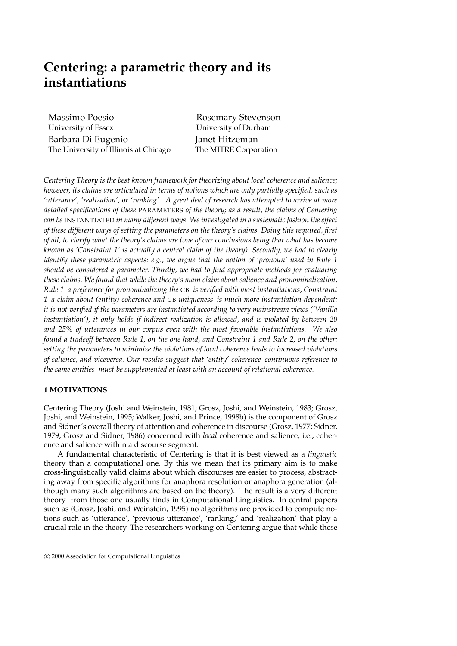# **Centering: a parametric theory and its instantiations**

Massimo Poesio University of Essex Barbara Di Eugenio The University of Illinois at Chicago

Rosemary Stevenson University of Durham Janet Hitzeman The MITRE Corporation

*Centering Theory is the best known framework for theorizing about local coherence and salience; however, its claims are articulated in terms of notions which are only partially specified, such as 'utterance', 'realization', or 'ranking'. A great deal of research has attempted to arrive at more detailed specifications of these* PARAMETERS *of the theory; as a result, the claims of Centering can be* INSTANTIATED *in many different ways. We investigated in a systematic fashion the effect of these different ways of setting the parameters on the theory's claims. Doing this required, first of all, to clarify what the theory's claims are (one of our conclusions being that what has become known as 'Constraint 1' is actually a central claim of the theory). Secondly, we had to clearly identify these parametric aspects: e.g., we argue that the notion of 'pronoun' used in Rule 1 should be considered a parameter. Thirdly, we had to find appropriate methods for evaluating these claims. We found that while the theory's main claim about salience and pronominalization, Rule 1–a preference for pronominalizing the* CB*–is verified with most instantiations, Constraint 1–a claim about (entity) coherence and* CB *uniqueness–is much more instantiation-dependent: it is not verified if the parameters are instantiated according to very mainstream views ('Vanilla instantiation'), it only holds if indirect realization is allowed, and is violated by between 20 and 25% of utterances in our corpus even with the most favorable instantiations. We also found a tradeoff between Rule 1, on the one hand, and Constraint 1 and Rule 2, on the other: setting the parameters to minimize the violations of local coherence leads to increased violations of salience, and viceversa. Our results suggest that 'entity' coherence–continuous reference to the same entities–must be supplemented at least with an account of relational coherence.*

# **1 MOTIVATIONS**

Centering Theory (Joshi and Weinstein, 1981; Grosz, Joshi, and Weinstein, 1983; Grosz, Joshi, and Weinstein, 1995; Walker, Joshi, and Prince, 1998b) is the component of Grosz and Sidner's overall theory of attention and coherence in discourse (Grosz, 1977; Sidner, 1979; Grosz and Sidner, 1986) concerned with *local* coherence and salience, i.e., coherence and salience within a discourse segment.

A fundamental characteristic of Centering is that it is best viewed as a *linguistic* theory than a computational one. By this we mean that its primary aim is to make cross-linguistically valid claims about which discourses are easier to process, abstracting away from specific algorithms for anaphora resolution or anaphora generation (although many such algorithms are based on the theory). The result is a very different theory from those one usually finds in Computational Linguistics. In central papers such as (Grosz, Joshi, and Weinstein, 1995) no algorithms are provided to compute notions such as 'utterance', 'previous utterance', 'ranking,' and 'realization' that play a crucial role in the theory. The researchers working on Centering argue that while these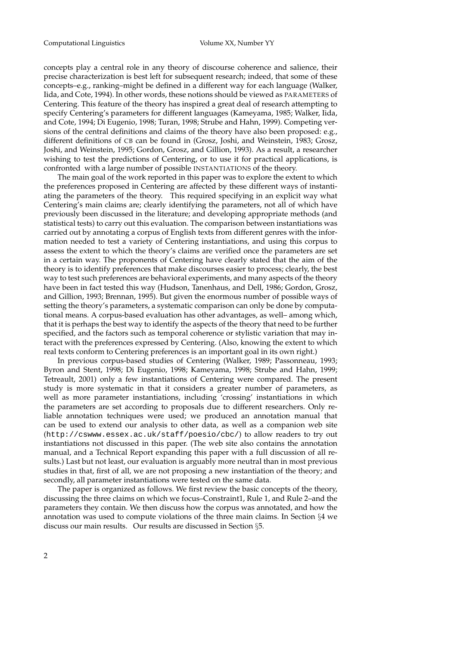concepts play a central role in any theory of discourse coherence and salience, their precise characterization is best left for subsequent research; indeed, that some of these concepts–e.g., ranking–might be defined in a different way for each language (Walker, Iida, and Cote, 1994). In other words, these notions should be viewed as PARAMETERS of Centering. This feature of the theory has inspired a great deal of research attempting to specify Centering's parameters for different languages (Kameyama, 1985; Walker, Iida, and Cote, 1994; Di Eugenio, 1998; Turan, 1998; Strube and Hahn, 1999). Competing versions of the central definitions and claims of the theory have also been proposed: e.g., different definitions of CB can be found in (Grosz, Joshi, and Weinstein, 1983; Grosz, Joshi, and Weinstein, 1995; Gordon, Grosz, and Gillion, 1993). As a result, a researcher wishing to test the predictions of Centering, or to use it for practical applications, is confronted with a large number of possible INSTANTIATIONS of the theory.

The main goal of the work reported in this paper was to explore the extent to which the preferences proposed in Centering are affected by these different ways of instantiating the parameters of the theory. This required specifying in an explicit way what Centering's main claims are; clearly identifying the parameters, not all of which have previously been discussed in the literature; and developing appropriate methods (and statistical tests) to carry out this evaluation. The comparison between instantiations was carried out by annotating a corpus of English texts from different genres with the information needed to test a variety of Centering instantiations, and using this corpus to assess the extent to which the theory's claims are verified once the parameters are set in a certain way. The proponents of Centering have clearly stated that the aim of the theory is to identify preferences that make discourses easier to process; clearly, the best way to test such preferences are behavioral experiments, and many aspects of the theory have been in fact tested this way (Hudson, Tanenhaus, and Dell, 1986; Gordon, Grosz, and Gillion, 1993; Brennan, 1995). But given the enormous number of possible ways of setting the theory's parameters, a systematic comparison can only be done by computational means. A corpus-based evaluation has other advantages, as well– among which, that it is perhaps the best way to identify the aspects of the theory that need to be further specified, and the factors such as temporal coherence or stylistic variation that may interact with the preferences expressed by Centering. (Also, knowing the extent to which real texts conform to Centering preferences is an important goal in its own right.)

In previous corpus-based studies of Centering (Walker, 1989; Passonneau, 1993; Byron and Stent, 1998; Di Eugenio, 1998; Kameyama, 1998; Strube and Hahn, 1999; Tetreault, 2001) only a few instantiations of Centering were compared. The present study is more systematic in that it considers a greater number of parameters, as well as more parameter instantiations, including 'crossing' instantiations in which the parameters are set according to proposals due to different researchers. Only reliable annotation techniques were used; we produced an annotation manual that can be used to extend our analysis to other data, as well as a companion web site (http://cswww.essex.ac.uk/staff/poesio/cbc/) to allow readers to try out instantiations not discussed in this paper. (The web site also contains the annotation manual, and a Technical Report expanding this paper with a full discussion of all results.) Last but not least, our evaluation is arguably more neutral than in most previous studies in that, first of all, we are not proposing a new instantiation of the theory; and secondly, all parameter instantiations were tested on the same data.

The paper is organized as follows. We first review the basic concepts of the theory, discussing the three claims on which we focus–Constraint1, Rule 1, and Rule 2–and the parameters they contain. We then discuss how the corpus was annotated, and how the annotation was used to compute violations of the three main claims. In Section §4 we discuss our main results. Our results are discussed in Section §5.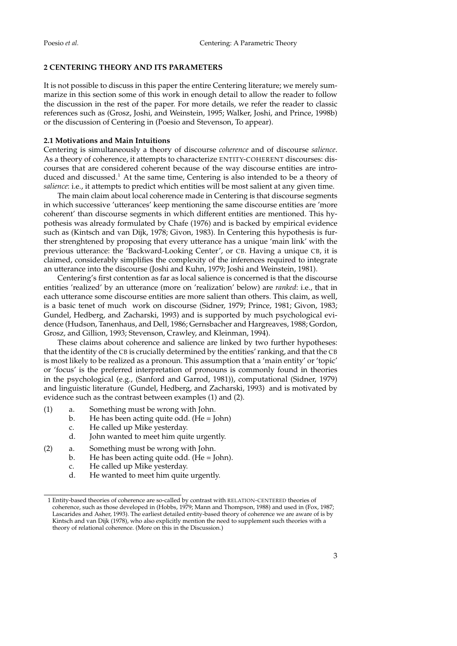# **2 CENTERING THEORY AND ITS PARAMETERS**

It is not possible to discuss in this paper the entire Centering literature; we merely summarize in this section some of this work in enough detail to allow the reader to follow the discussion in the rest of the paper. For more details, we refer the reader to classic references such as (Grosz, Joshi, and Weinstein, 1995; Walker, Joshi, and Prince, 1998b) or the discussion of Centering in (Poesio and Stevenson, To appear).

### **2.1 Motivations and Main Intuitions**

Centering is simultaneously a theory of discourse *coherence* and of discourse *salience*. As a theory of coherence, it attempts to characterize ENTITY-COHERENT discourses: discourses that are considered coherent because of the way discourse entities are introduced and discussed.<sup>1</sup> At the same time, Centering is also intended to be a theory of *salience*: i.e., it attempts to predict which entities will be most salient at any given time.

The main claim about local coherence made in Centering is that discourse segments in which successive 'utterances' keep mentioning the same discourse entities are 'more coherent' than discourse segments in which different entities are mentioned. This hypothesis was already formulated by Chafe (1976) and is backed by empirical evidence such as (Kintsch and van Dijk, 1978; Givon, 1983). In Centering this hypothesis is further strenghtened by proposing that every utterance has a unique 'main link' with the previous utterance: the 'Backward-Looking Center', or CB. Having a unique CB, it is claimed, considerably simplifies the complexity of the inferences required to integrate an utterance into the discourse (Joshi and Kuhn, 1979; Joshi and Weinstein, 1981).

Centering's first contention as far as local salience is concerned is that the discourse entities 'realized' by an utterance (more on 'realization' below) are *ranked*: i.e., that in each utterance some discourse entities are more salient than others. This claim, as well, is a basic tenet of much work on discourse (Sidner, 1979; Prince, 1981; Givon, 1983; Gundel, Hedberg, and Zacharski, 1993) and is supported by much psychological evidence (Hudson, Tanenhaus, and Dell, 1986; Gernsbacher and Hargreaves, 1988; Gordon, Grosz, and Gillion, 1993; Stevenson, Crawley, and Kleinman, 1994).

These claims about coherence and salience are linked by two further hypotheses: that the identity of the CB is crucially determined by the entities' ranking, and that the CB is most likely to be realized as a pronoun. This assumption that a 'main entity' or 'topic' or 'focus' is the preferred interpretation of pronouns is commonly found in theories in the psychological (e.g., (Sanford and Garrod, 1981)), computational (Sidner, 1979) and linguistic literature (Gundel, Hedberg, and Zacharski, 1993) and is motivated by evidence such as the contrast between examples (1) and (2).

- (1) a. Something must be wrong with John.
	- b. He has been acting quite odd. (He = John)
	- c. He called up Mike yesterday.
	- d. John wanted to meet him quite urgently.
- (2) a. Something must be wrong with John.
	- b. He has been acting quite odd. (He = John).
	- c. He called up Mike yesterday.
	- d. He wanted to meet him quite urgently.

<sup>1</sup> Entity-based theories of coherence are so-called by contrast with RELATION-CENTERED theories of coherence, such as those developed in (Hobbs, 1979; Mann and Thompson, 1988) and used in (Fox, 1987; Lascarides and Asher, 1993). The earliest detailed entity-based theory of coherence we are aware of is by Kintsch and van Dijk (1978), who also explicitly mention the need to supplement such theories with a theory of relational coherence. (More on this in the Discussion.)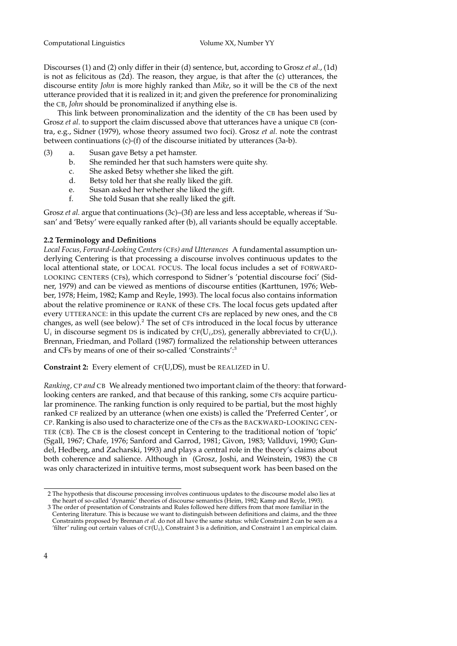Discourses (1) and (2) only differ in their (d) sentence, but, according to Grosz *et al.*, (1d) is not as felicitous as (2d). The reason, they argue, is that after the (c) utterances, the discourse entity *John* is more highly ranked than *Mike*, so it will be the CB of the next utterance provided that it is realized in it; and given the preference for pronominalizing the CB, *John* should be pronominalized if anything else is.

This link between pronominalization and the identity of the CB has been used by Grosz *et al.* to support the claim discussed above that utterances have a unique CB (contra, e.g., Sidner (1979), whose theory assumed two foci). Grosz *et al.* note the contrast between continuations (c)-(f) of the discourse initiated by utterances (3a-b).

- (3) a. Susan gave Betsy a pet hamster.
	- b. She reminded her that such hamsters were quite shy.
	- c. She asked Betsy whether she liked the gift.
	- Betsy told her that she really liked the gift.
	- e. Susan asked her whether she liked the gift.
	- She told Susan that she really liked the gift.

Grosz *et al.* argue that continuations (3c)–(3f) are less and less acceptable, whereas if 'Susan' and 'Betsy' were equally ranked after (b), all variants should be equally acceptable.

# **2.2 Terminology and Definitions**

*Local Focus, Forward-Looking Centers (*CF*s) and Utterances* A fundamental assumption underlying Centering is that processing a discourse involves continuous updates to the local attentional state, or LOCAL FOCUS. The local focus includes a set of FORWARD-LOOKING CENTERS (CFs), which correspond to Sidner's 'potential discourse foci' (Sidner, 1979) and can be viewed as mentions of discourse entities (Karttunen, 1976; Webber, 1978; Heim, 1982; Kamp and Reyle, 1993). The local focus also contains information about the relative prominence or RANK of these CFs. The local focus gets updated after every UTTERANCE: in this update the current CFs are replaced by new ones, and the CB changes, as well (see below).<sup>2</sup> The set of CFs introduced in the local focus by utterance  $\mathrm{U}_i$  in discourse segment DS is indicated by CF( $\mathrm{U}_i$ ,DS), generally abbreviated to CF( $\mathrm{U}_i$ ). Brennan, Friedman, and Pollard (1987) formalized the relationship between utterances and CFs by means of one of their so-called 'Constraints':<sup>3</sup>

**Constraint 2:** Every element of CF(U,DS), must be REALIZED in U.

*Ranking,* CP *and* CB We already mentioned two important claim of the theory: that forwardlooking centers are ranked, and that because of this ranking, some CFs acquire particular prominence. The ranking function is only required to be partial, but the most highly ranked CF realized by an utterance (when one exists) is called the 'Preferred Center', or CP. Ranking is also used to characterize one of the CFs as the BACKWARD-LOOKING CEN-TER (CB). The CB is the closest concept in Centering to the traditional notion of 'topic' (Sgall, 1967; Chafe, 1976; Sanford and Garrod, 1981; Givon, 1983; Vallduvi, 1990; Gundel, Hedberg, and Zacharski, 1993) and plays a central role in the theory's claims about both coherence and salience. Although in (Grosz, Joshi, and Weinstein, 1983) the CB was only characterized in intuitive terms, most subsequent work has been based on the

<sup>2</sup> The hypothesis that discourse processing involves continuous updates to the discourse model also lies at the heart of so-called 'dynamic' theories of discourse semantics (Heim, 1982; Kamp and Reyle, 1993).

<sup>3</sup> The order of presentation of Constraints and Rules followed here differs from that more familiar in the Centering literature. This is because we want to distinguish between definitions and claims, and the three Constraints proposed by Brennan *et al.* do not all have the same status: while Constraint 2 can be seen as a 'filter' ruling out certain values of  $CF(U_i)$ , Constraint 3 is a definition, and Constraint 1 an empirical claim.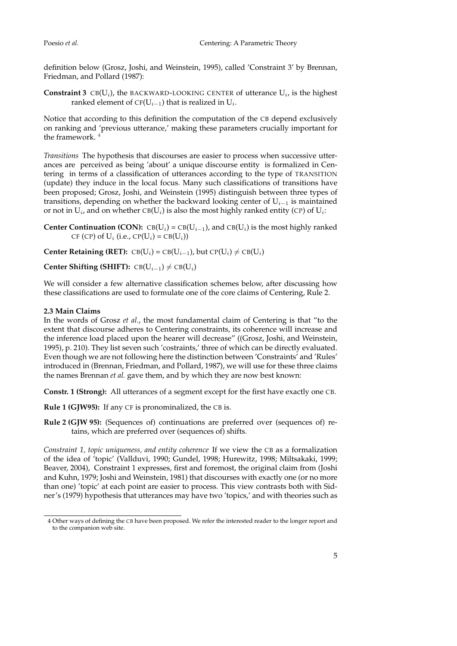definition below (Grosz, Joshi, and Weinstein, 1995), called 'Constraint 3' by Brennan, Friedman, and Pollard (1987):

**Constraint 3** CB(U<sub>i</sub>), the BACKWARD-LOOKING CENTER of utterance  $U_i$ , is the highest ranked element of CF( $\mathrm{U}_{i-1}$ ) that is realized in  $\mathrm{U}_{i}.$ 

Notice that according to this definition the computation of the CB depend exclusively on ranking and 'previous utterance,' making these parameters crucially important for the framework. <sup>4</sup>

*Transitions* The hypothesis that discourses are easier to process when successive utterances are perceived as being 'about' a unique discourse entity is formalized in Centering in terms of a classification of utterances according to the type of TRANSITION (update) they induce in the local focus. Many such classifications of transitions have been proposed; Grosz, Joshi, and Weinstein (1995) distinguish between three types of transitions, depending on whether the backward looking center of  $U_{i-1}$  is maintained or not in  $\mathrm{U}_i$ , and on whether CB( $\mathrm{U}_i$ ) is also the most highly ranked entity (CP) of  $\mathrm{U}_i$ :

**Center Continuation (CON):** CB( $U_i$ ) = CB( $U_{i-1}$ ), and CB( $U_i$ ) is the most highly ranked CF (CP) of  $U_i$  (i.e., CP( $U_i$ ) = CB( $U_i$ ))

**Center Retaining (RET):** CB(U<sub>i</sub>) = CB(U<sub>i−1</sub>), but CP(U<sub>i</sub>)  $\neq$  CB(U<sub>i</sub>)

**Center Shifting (SHIFT):** CB( $U_{i-1}$ )  $\neq$  CB( $U_i$ )

We will consider a few alternative classification schemes below, after discussing how these classifications are used to formulate one of the core claims of Centering, Rule 2.

# **2.3 Main Claims**

In the words of Grosz *et al.*, the most fundamental claim of Centering is that "to the extent that discourse adheres to Centering constraints, its coherence will increase and the inference load placed upon the hearer will decrease" ((Grosz, Joshi, and Weinstein, 1995), p. 210). They list seven such 'costraints,' three of which can be directly evaluated. Even though we are not following here the distinction between 'Constraints' and 'Rules' introduced in (Brennan, Friedman, and Pollard, 1987), we will use for these three claims the names Brennan *et al.* gave them, and by which they are now best known:

**Constr. 1 (Strong):** All utterances of a segment except for the first have exactly one CB.

**Rule 1 (GJW95):** If any CF is pronominalized, the CB is.

**Rule 2 (GJW 95):** (Sequences of) continuations are preferred over (sequences of) retains, which are preferred over (sequences of) shifts.

*Constraint 1, topic uniqueness, and entity coherence* If we view the CB as a formalization of the idea of 'topic' (Vallduvi, 1990; Gundel, 1998; Hurewitz, 1998; Miltsakaki, 1999; Beaver, 2004), Constraint 1 expresses, first and foremost, the original claim from (Joshi and Kuhn, 1979; Joshi and Weinstein, 1981) that discourses with exactly one (or no more than one) 'topic' at each point are easier to process. This view contrasts both with Sidner's (1979) hypothesis that utterances may have two 'topics,' and with theories such as

<sup>4</sup> Other ways of defining the CB have been proposed. We refer the interested reader to the longer report and to the companion web site.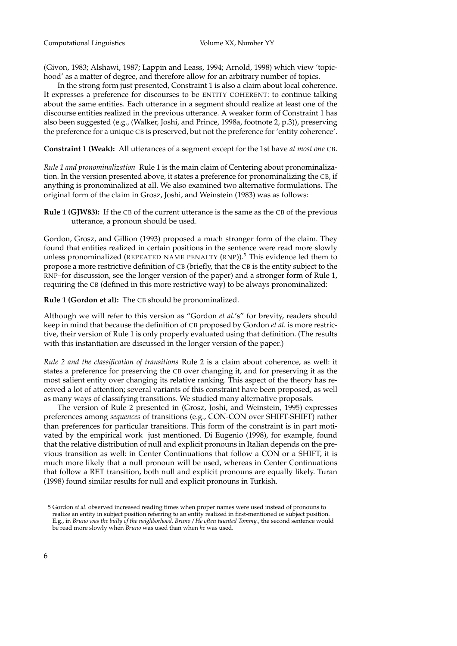(Givon, 1983; Alshawi, 1987; Lappin and Leass, 1994; Arnold, 1998) which view 'topichood' as a matter of degree, and therefore allow for an arbitrary number of topics.

In the strong form just presented, Constraint 1 is also a claim about local coherence. It expresses a preference for discourses to be ENTITY COHERENT: to continue talking about the same entities. Each utterance in a segment should realize at least one of the discourse entities realized in the previous utterance. A weaker form of Constraint 1 has also been suggested (e.g., (Walker, Joshi, and Prince, 1998a, footnote 2, p.3)), preserving the preference for a unique CB is preserved, but not the preference for 'entity coherence'.

**Constraint 1 (Weak):** All utterances of a segment except for the 1st have *at most one* CB.

*Rule 1 and pronominalization* Rule 1 is the main claim of Centering about pronominalization. In the version presented above, it states a preference for pronominalizing the CB, if anything is pronominalized at all. We also examined two alternative formulations. The original form of the claim in Grosz, Joshi, and Weinstein (1983) was as follows:

**Rule 1 (GJW83):** If the CB of the current utterance is the same as the CB of the previous utterance, a pronoun should be used.

Gordon, Grosz, and Gillion (1993) proposed a much stronger form of the claim. They found that entities realized in certain positions in the sentence were read more slowly unless pronominalized (REPEATED NAME PENALTY (RNP)).<sup>5</sup> This evidence led them to propose a more restrictive definition of CB (briefly, that the CB is the entity subject to the RNP–for discussion, see the longer version of the paper) and a stronger form of Rule 1, requiring the CB (defined in this more restrictive way) to be always pronominalized:

**Rule 1 (Gordon et al):** The CB should be pronominalized.

Although we will refer to this version as "Gordon *et al.*'s" for brevity, readers should keep in mind that because the definition of CB proposed by Gordon *et al.* is more restrictive, their version of Rule 1 is only properly evaluated using that definition. (The results with this instantiation are discussed in the longer version of the paper.)

*Rule 2 and the classification of transitions* Rule 2 is a claim about coherence, as well: it states a preference for preserving the CB over changing it, and for preserving it as the most salient entity over changing its relative ranking. This aspect of the theory has received a lot of attention; several variants of this constraint have been proposed, as well as many ways of classifying transitions. We studied many alternative proposals.

The version of Rule 2 presented in (Grosz, Joshi, and Weinstein, 1995) expresses preferences among *sequences* of transitions (e.g., CON-CON over SHIFT-SHIFT) rather than preferences for particular transitions. This form of the constraint is in part motivated by the empirical work just mentioned. Di Eugenio (1998), for example, found that the relative distribution of null and explicit pronouns in Italian depends on the previous transition as well: in Center Continuations that follow a CON or a SHIFT, it is much more likely that a null pronoun will be used, whereas in Center Continuations that follow a RET transition, both null and explicit pronouns are equally likely. Turan (1998) found similar results for null and explicit pronouns in Turkish.

<sup>5</sup> Gordon *et al.* observed increased reading times when proper names were used instead of pronouns to realize an entity in subject position referring to an entity realized in first-mentioned or subject position. E.g., in *Bruno was the bully of the neighborhood. Bruno / He often taunted Tommy.*, the second sentence would be read more slowly when *Bruno* was used than when *he* was used.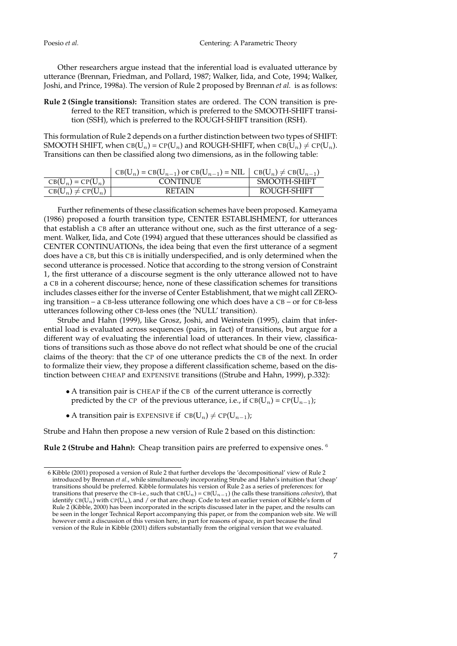Other researchers argue instead that the inferential load is evaluated utterance by utterance (Brennan, Friedman, and Pollard, 1987; Walker, Iida, and Cote, 1994; Walker, Joshi, and Prince, 1998a). The version of Rule 2 proposed by Brennan *et al.* is as follows:

**Rule 2 (Single transitions):** Transition states are ordered. The CON transition is preferred to the RET transition, which is preferred to the SMOOTH-SHIFT transition (SSH), which is preferred to the ROUGH-SHIFT transition (RSH).

This formulation of Rule 2 depends on a further distinction between two types of SHIFT: SMOOTH SHIFT, when CB( $\bar{U}_n$ ) = CP( $U_n$ ) and ROUGH-SHIFT, when CB( $U_n$ )  $\neq$  CP( $U_n$ ). Transitions can then be classified along two dimensions, as in the following table:

|                        | $CB(U_n) = CB(U_{n-1})$ or $CB(U_{n-1}) = NIL \mid CB(U_n) \neq CB(U_{n-1})$ |              |
|------------------------|------------------------------------------------------------------------------|--------------|
| $CB(U_n) = CP(U_n)$    | <b>CONTINUE</b>                                                              | SMOOTH-SHIFT |
| $CB(U_n) \neq CP(U_n)$ | <b>RETAIN</b>                                                                | ROUGH-SHIFT  |

Further refinements of these classification schemes have been proposed. Kameyama (1986) proposed a fourth transition type, CENTER ESTABLISHMENT, for utterances that establish a CB after an utterance without one, such as the first utterance of a segment. Walker, Iida, and Cote (1994) argued that these utterances should be classified as CENTER CONTINUATIONs, the idea being that even the first utterance of a segment does have a CB, but this CB is initially underspecified, and is only determined when the second utterance is processed. Notice that according to the strong version of Constraint 1, the first utterance of a discourse segment is the only utterance allowed not to have a CB in a coherent discourse; hence, none of these classification schemes for transitions includes classes either for the inverse of Center Establishment, that we might call ZEROing transition – a CB-less utterance following one which does have a CB – or for CB-less utterances following other CB-less ones (the 'NULL' transition).

Strube and Hahn (1999), like Grosz, Joshi, and Weinstein (1995), claim that inferential load is evaluated across sequences (pairs, in fact) of transitions, but argue for a different way of evaluating the inferential load of utterances. In their view, classifications of transitions such as those above do not reflect what should be one of the crucial claims of the theory: that the CP of one utterance predicts the CB of the next. In order to formalize their view, they propose a different classification scheme, based on the distinction between CHEAP and EXPENSIVE transitions ((Strube and Hahn, 1999), p.332):

- A transition pair is CHEAP if the CB of the current utterance is correctly predicted by the CP of the previous utterance, i.e., if CB( $U_n$ ) = CP( $U_{n-1}$ );
- A transition pair is EXPENSIVE if  $CB(U_n) \neq CP(U_{n-1});$

Strube and Hahn then propose a new version of Rule 2 based on this distinction:

**Rule 2 (Strube and Hahn):** Cheap transition pairs are preferred to expensive ones. <sup>6</sup>

<sup>6</sup> Kibble (2001) proposed a version of Rule 2 that further develops the 'decompositional' view of Rule 2 introduced by Brennan *et al.*, while simultaneously incorporating Strube and Hahn's intuition that 'cheap' transitions should be preferred. Kibble formulates his version of Rule 2 as a series of preferences: for transitions that preserve the CB–i.e., such that  $CB(U_n) = CB(U_{n-1})$  (he calls these transitions *cohesive*), that identify  $CB(U_n)$  with  $CP(U_n)$ , and / or that are cheap. Code to test an earlier version of Kibble's form of Rule 2 (Kibble, 2000) has been incorporated in the scripts discussed later in the paper, and the results can be seen in the longer Technical Report accompanying this paper, or from the companion web site. We will however omit a discussion of this version here, in part for reasons of space, in part because the final version of the Rule in Kibble (2001) differs substantially from the original version that we evaluated.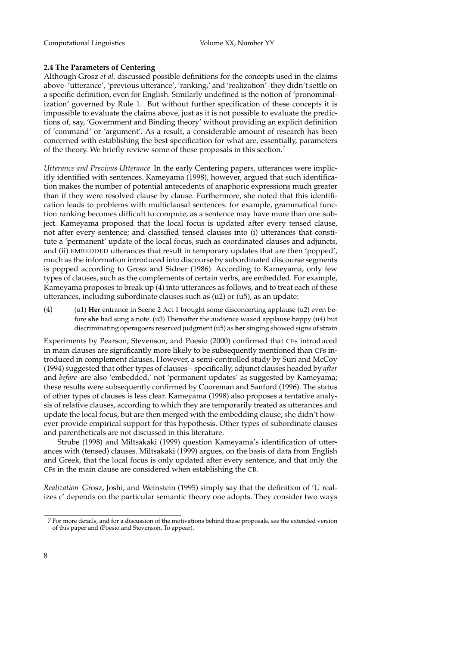# **2.4 The Parameters of Centering**

Although Grosz *et al.* discussed possible definitions for the concepts used in the claims above–'utterance', 'previous utterance', 'ranking,' and 'realization'–they didn't settle on a specific definition, even for English. Similarly undefined is the notion of 'pronominalization' governed by Rule 1. But without further specification of these concepts it is impossible to evaluate the claims above, just as it is not possible to evaluate the predictions of, say, 'Government and Binding theory' without providing an explicit definition of 'command' or 'argument'. As a result, a considerable amount of research has been concerned with establishing the best specification for what are, essentially, parameters of the theory. We briefly review some of these proposals in this section.<sup>7</sup>

*Utterance and Previous Utterance* In the early Centering papers, utterances were implicitly identified with sentences. Kameyama (1998), however, argued that such identification makes the number of potential antecedents of anaphoric expressions much greater than if they were resolved clause by clause. Furthermore, she noted that this identification leads to problems with multiclausal sentences: for example, grammatical function ranking becomes difficult to compute, as a sentence may have more than one subject. Kameyama proposed that the local focus is updated after every tensed clause, not after every sentence; and classified tensed clauses into (i) utterances that constitute a 'permanent' update of the local focus, such as coordinated clauses and adjuncts, and (ii) EMBEDDED utterances that result in temporary updates that are then 'popped', much as the information introduced into discourse by subordinated discourse segments is popped according to Grosz and Sidner (1986). According to Kameyama, only few types of clauses, such as the complements of certain verbs, are embedded. For example, Kameyama proposes to break up (4) into utterances as follows, and to treat each of these utterances, including subordinate clauses such as (u2) or (u5), as an update:

(4) (u1) **Her** entrance in Scene 2 Act 1 brought some disconcerting applause (u2) even before **she** had sung a note. (u3) Thereafter the audience waxed applause happy (u4) but discriminating operagoers reserved judgment (u5) as **her** singing showed signs of strain

Experiments by Pearson, Stevenson, and Poesio (2000) confirmed that CFs introduced in main clauses are significantly more likely to be subsequently mentioned than CFs introduced in complement clauses. However, a semi-controlled study by Suri and McCoy (1994) suggested that other types of clauses – specifically, adjunct clauses headed by *after* and *before*–are also 'embedded,' not 'permanent updates' as suggested by Kameyama; these results were subsequently confirmed by Cooreman and Sanford (1996). The status of other types of clauses is less clear. Kameyama (1998) also proposes a tentative analysis of relative clauses, according to which they are temporarily treated as utterances and update the local focus, but are then merged with the embedding clause; she didn't however provide empirical support for this hypothesis. Other types of subordinate clauses and parentheticals are not discussed in this literature.

Strube (1998) and Miltsakaki (1999) question Kameyama's identification of utterances with (tensed) clauses. Miltsakaki (1999) argues, on the basis of data from English and Greek, that the local focus is only updated after every sentence, and that only the CFs in the main clause are considered when establishing the CB.

*Realization* Grosz, Joshi, and Weinstein (1995) simply say that the definition of 'U realizes c' depends on the particular semantic theory one adopts. They consider two ways

<sup>7</sup> For more details, and for a discussion of the motivations behind these proposals, see the extended version of this paper and (Poesio and Stevenson, To appear).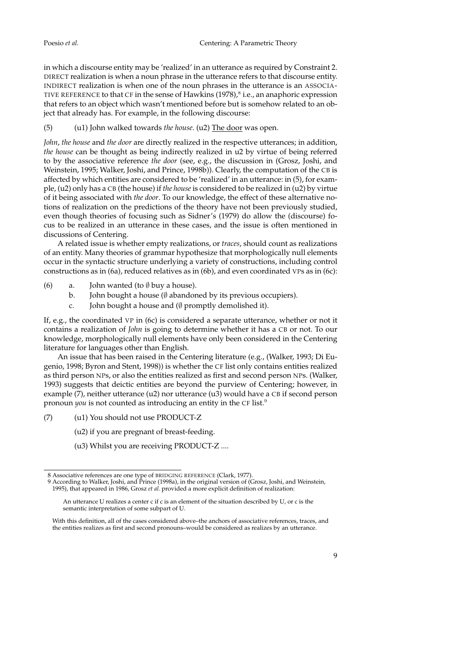in which a discourse entity may be 'realized' in an utterance as required by Constraint 2. DIRECT realization is when a noun phrase in the utterance refers to that discourse entity. INDIRECT realization is when one of the noun phrases in the utterance is an ASSOCIA-TIVE REFERENCE to that CF in the sense of Hawkins (1978), $^8$  i.e., an anaphoric expression that refers to an object which wasn't mentioned before but is somehow related to an object that already has. For example, in the following discourse:

(5) (u1) John walked towards *the house*. (u2) The door was open.

*John*, *the house* and *the door* are directly realized in the respective utterances; in addition, the house can be thought as being indirectly realized in u2 by virtue of being referred to by the associative reference *the door* (see, e.g., the discussion in (Grosz, Joshi, and Weinstein, 1995; Walker, Joshi, and Prince, 1998b)). Clearly, the computation of the CB is affected by which entities are considered to be 'realized' in an utterance: in (5), for example, (u2) only has a CB (the house) if *the house*is considered to be realized in (u2) by virtue of it being associated with *the door*. To our knowledge, the effect of these alternative notions of realization on the predictions of the theory have not been previously studied, even though theories of focusing such as Sidner's (1979) do allow the (discourse) focus to be realized in an utterance in these cases, and the issue is often mentioned in discussions of Centering.

A related issue is whether empty realizations, or *traces*, should count as realizations of an entity. Many theories of grammar hypothesize that morphologically null elements occur in the syntactic structure underlying a variety of constructions, including control constructions as in (6a), reduced relatives as in (6b), and even coordinated VPs as in (6c):

- (6) a. John wanted (to  $\emptyset$  buy a house).
	- b. John bought a house (∅ abandoned by its previous occupiers).
	- c. John bought a house and (∅ promptly demolished it).

If, e.g., the coordinated VP in (6c) is considered a separate utterance, whether or not it contains a realization of *John* is going to determine whether it has a CB or not. To our knowledge, morphologically null elements have only been considered in the Centering literature for languages other than English.

An issue that has been raised in the Centering literature (e.g., (Walker, 1993; Di Eugenio, 1998; Byron and Stent, 1998)) is whether the CF list only contains entities realized as third person NPs, or also the entities realized as first and second person NPs. (Walker, 1993) suggests that deictic entities are beyond the purview of Centering; however, in example (7), neither utterance (u2) nor utterance (u3) would have a CB if second person pronoun *you* is not counted as introducing an entity in the CF list.<sup>9</sup>

- (7) (u1) You should not use PRODUCT-Z
	- (u2) if you are pregnant of breast-feeding.
	- (u3) Whilst you are receiving PRODUCT-Z ....

<sup>8</sup> Associative references are one type of BRIDGING REFERENCE (Clark, 1977).

<sup>9</sup> According to Walker, Joshi, and Prince (1998a), in the original version of (Grosz, Joshi, and Weinstein, 1995), that appeared in 1986, Grosz *et al.* provided a more explicit definition of realization:

An utterance U realizes a center c if c is an element of the situation described by U, or c is the semantic interpretation of some subpart of U.

With this definition, all of the cases considered above–the anchors of associative references, traces, and the entities realizes as first and second pronouns–would be considered as realizes by an utterance.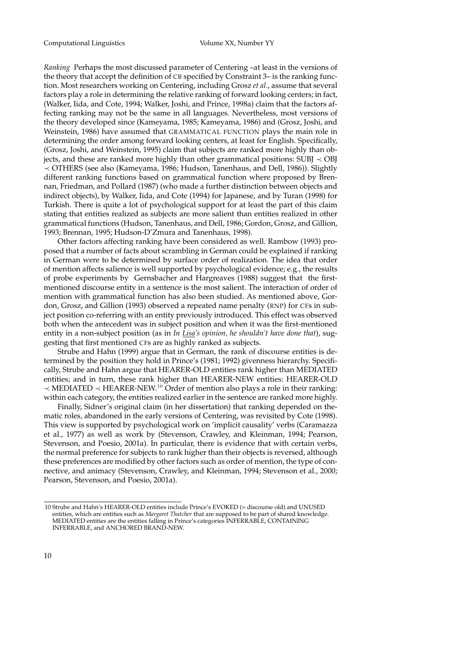*Ranking* Perhaps the most discussed parameter of Centering –at least in the versions of the theory that accept the definition of CB specified by Constraint 3– is the ranking function. Most researchers working on Centering, including Grosz *et al.*, assume that several factors play a role in determining the relative ranking of forward looking centers; in fact, (Walker, Iida, and Cote, 1994; Walker, Joshi, and Prince, 1998a) claim that the factors affecting ranking may not be the same in all languages. Nevertheless, most versions of the theory developed since (Kameyama, 1985; Kameyama, 1986) and (Grosz, Joshi, and Weinstein, 1986) have assumed that GRAMMATICAL FUNCTION plays the main role in determining the order among forward looking centers, at least for English. Specifically, (Grosz, Joshi, and Weinstein, 1995) claim that subjects are ranked more highly than objects, and these are ranked more highly than other grammatical positions: SUBJ  $\prec$  OBJ ≺ OTHERS (see also (Kameyama, 1986; Hudson, Tanenhaus, and Dell, 1986)). Slightly different ranking functions based on grammatical function where proposed by Brennan, Friedman, and Pollard (1987) (who made a further distinction between objects and indirect objects), by Walker, Iida, and Cote (1994) for Japanese, and by Turan (1998) for Turkish. There is quite a lot of psychological support for at least the part of this claim stating that entities realized as subjects are more salient than entities realized in other grammatical functions (Hudson, Tanenhaus, and Dell, 1986; Gordon, Grosz, and Gillion, 1993; Brennan, 1995; Hudson-D'Zmura and Tanenhaus, 1998).

Other factors affecting ranking have been considered as well. Rambow (1993) proposed that a number of facts about scrambling in German could be explained if ranking in German were to be determined by surface order of realization. The idea that order of mention affects salience is well supported by psychological evidence; e.g., the results of probe experiments by Gernsbacher and Hargreaves (1988) suggest that the firstmentioned discourse entity in a sentence is the most salient. The interaction of order of mention with grammatical function has also been studied. As mentioned above, Gordon, Grosz, and Gillion (1993) observed a repeated name penalty (RNP) for CFs in subject position co-referring with an entity previously introduced. This effect was observed both when the antecedent was in subject position and when it was the first-mentioned entity in a non-subject position (as in *In Lisa's opinion, he shouldn't have done that*), suggesting that first mentioned CFs are as highly ranked as subjects.

Strube and Hahn (1999) argue that in German, the rank of discourse entities is determined by the position they hold in Prince's (1981; 1992) givenness hierarchy. Specifically, Strube and Hahn argue that HEARER-OLD entities rank higher than MEDIATED entities; and in turn, these rank higher than HEARER-NEW entities: HEARER-OLD  $\prec$  MEDIATED  $\prec$  HEARER-NEW.<sup>10</sup> Order of mention also plays a role in their ranking: within each category, the entities realized earlier in the sentence are ranked more highly.

Finally, Sidner's original claim (in her dissertation) that ranking depended on thematic roles, abandoned in the early versions of Centering, was revisited by Cote (1998). This view is supported by psychological work on 'implicit causality' verbs (Caramazza et al., 1977) as well as work by (Stevenson, Crawley, and Kleinman, 1994; Pearson, Stevenson, and Poesio, 2001a). In particular, there is evidence that with certain verbs, the normal preference for subjects to rank higher than their objects is reversed, although these preferences are modified by other factors such as order of mention, the type of connective, and animacy (Stevenson, Crawley, and Kleinman, 1994; Stevenson et al., 2000; Pearson, Stevenson, and Poesio, 2001a).

<sup>10</sup> Strube and Hahn's HEARER-OLD entities include Prince's EVOKED (= discourse old) and UNUSED entities, which are entities such as *Margaret Thatcher* that are supposed to be part of shared knowledge. MEDIATED entities are the entities falling in Prince's categories INFERRABLE, CONTAINING INFERRABLE, and ANCHORED BRAND-NEW.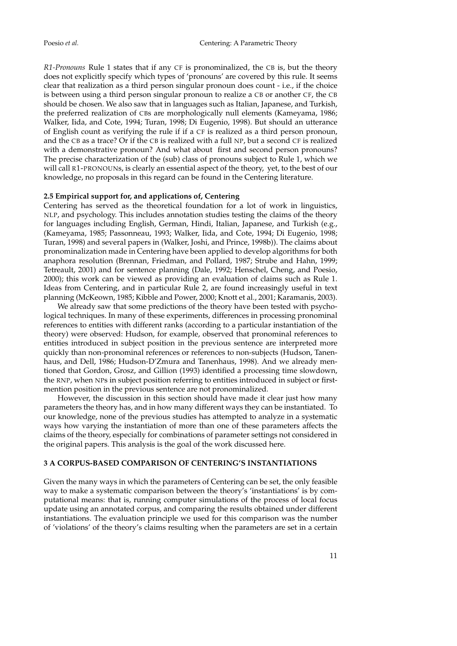*R1-Pronouns* Rule 1 states that if any CF is pronominalized, the CB is, but the theory does not explicitly specify which types of 'pronouns' are covered by this rule. It seems clear that realization as a third person singular pronoun does count - i.e., if the choice is between using a third person singular pronoun to realize a CB or another CF, the CB should be chosen. We also saw that in languages such as Italian, Japanese, and Turkish, the preferred realization of CBs are morphologically null elements (Kameyama, 1986; Walker, Iida, and Cote, 1994; Turan, 1998; Di Eugenio, 1998). But should an utterance of English count as verifying the rule if if a CF is realized as a third person pronoun, and the CB as a trace? Or if the CB is realized with a full NP, but a second CF is realized with a demonstrative pronoun? And what about first and second person pronouns? The precise characterization of the (sub) class of pronouns subject to Rule 1, which we will call R1-PRONOUNs, is clearly an essential aspect of the theory, yet, to the best of our knowledge, no proposals in this regard can be found in the Centering literature.

# **2.5 Empirical support for, and applications of, Centering**

Centering has served as the theoretical foundation for a lot of work in linguistics, NLP, and psychology. This includes annotation studies testing the claims of the theory for languages including English, German, Hindi, Italian, Japanese, and Turkish (e.g., (Kameyama, 1985; Passonneau, 1993; Walker, Iida, and Cote, 1994; Di Eugenio, 1998; Turan, 1998) and several papers in (Walker, Joshi, and Prince, 1998b)). The claims about pronominalization made in Centering have been applied to develop algorithms for both anaphora resolution (Brennan, Friedman, and Pollard, 1987; Strube and Hahn, 1999; Tetreault, 2001) and for sentence planning (Dale, 1992; Henschel, Cheng, and Poesio, 2000); this work can be viewed as providing an evaluation of claims such as Rule 1. Ideas from Centering, and in particular Rule 2, are found increasingly useful in text planning (McKeown, 1985; Kibble and Power, 2000; Knott et al., 2001; Karamanis, 2003).

We already saw that some predictions of the theory have been tested with psychological techniques. In many of these experiments, differences in processing pronominal references to entities with different ranks (according to a particular instantiation of the theory) were observed: Hudson, for example, observed that pronominal references to entities introduced in subject position in the previous sentence are interpreted more quickly than non-pronominal references or references to non-subjects (Hudson, Tanenhaus, and Dell, 1986; Hudson-D'Zmura and Tanenhaus, 1998). And we already mentioned that Gordon, Grosz, and Gillion (1993) identified a processing time slowdown, the RNP, when NPs in subject position referring to entities introduced in subject or firstmention position in the previous sentence are not pronominalized.

However, the discussion in this section should have made it clear just how many parameters the theory has, and in how many different ways they can be instantiated. To our knowledge, none of the previous studies has attempted to analyze in a systematic ways how varying the instantiation of more than one of these parameters affects the claims of the theory, especially for combinations of parameter settings not considered in the original papers. This analysis is the goal of the work discussed here.

# **3 A CORPUS-BASED COMPARISON OF CENTERING'S INSTANTIATIONS**

Given the many ways in which the parameters of Centering can be set, the only feasible way to make a systematic comparison between the theory's 'instantiations' is by computational means: that is, running computer simulations of the process of local focus update using an annotated corpus, and comparing the results obtained under different instantiations. The evaluation principle we used for this comparison was the number of 'violations' of the theory's claims resulting when the parameters are set in a certain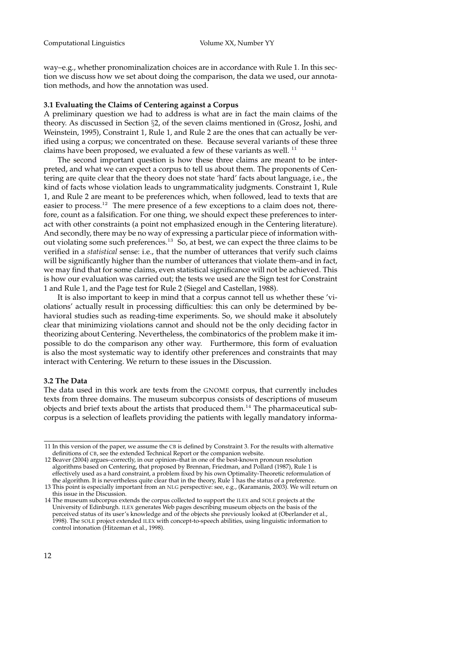way–e.g., whether pronominalization choices are in accordance with Rule 1. In this section we discuss how we set about doing the comparison, the data we used, our annotation methods, and how the annotation was used.

# **3.1 Evaluating the Claims of Centering against a Corpus**

A preliminary question we had to address is what are in fact the main claims of the theory. As discussed in Section §2, of the seven claims mentioned in (Grosz, Joshi, and Weinstein, 1995), Constraint 1, Rule 1, and Rule 2 are the ones that can actually be verified using a corpus; we concentrated on these. Because several variants of these three claims have been proposed, we evaluated a few of these variants as well.<sup>11</sup>

The second important question is how these three claims are meant to be interpreted, and what we can expect a corpus to tell us about them. The proponents of Centering are quite clear that the theory does not state 'hard' facts about language, i.e., the kind of facts whose violation leads to ungrammaticality judgments. Constraint 1, Rule 1, and Rule 2 are meant to be preferences which, when followed, lead to texts that are easier to process.<sup>12</sup> The mere presence of a few exceptions to a claim does not, therefore, count as a falsification. For one thing, we should expect these preferences to interact with other constraints (a point not emphasized enough in the Centering literature). And secondly, there may be no way of expressing a particular piece of information without violating some such preferences.<sup>13</sup> So, at best, we can expect the three claims to be verified in a *statistical* sense: i.e., that the number of utterances that verify such claims will be significantly higher than the number of utterances that violate them–and in fact, we may find that for some claims, even statistical significance will not be achieved. This is how our evaluation was carried out; the tests we used are the Sign test for Constraint 1 and Rule 1, and the Page test for Rule 2 (Siegel and Castellan, 1988).

It is also important to keep in mind that a corpus cannot tell us whether these 'violations' actually result in processing difficulties: this can only be determined by behavioral studies such as reading-time experiments. So, we should make it absolutely clear that minimizing violations cannot and should not be the only deciding factor in theorizing about Centering. Nevertheless, the combinatorics of the problem make it impossible to do the comparison any other way. Furthermore, this form of evaluation is also the most systematic way to identify other preferences and constraints that may interact with Centering. We return to these issues in the Discussion.

# **3.2 The Data**

The data used in this work are texts from the GNOME corpus, that currently includes texts from three domains. The museum subcorpus consists of descriptions of museum objects and brief texts about the artists that produced them.<sup>14</sup> The pharmaceutical subcorpus is a selection of leaflets providing the patients with legally mandatory informa-

<sup>11</sup> In this version of the paper, we assume the CB is defined by Constraint 3. For the results with alternative definitions of CB, see the extended Technical Report or the companion website.

<sup>12</sup> Beaver (2004) argues–correctly, in our opinion–that in one of the best-known pronoun resolution algorithms based on Centering, that proposed by Brennan, Friedman, and Pollard (1987), Rule 1 is effectively used as a hard constraint, a problem fixed by his own Optimality-Theoretic reformulation of the algorithm. It is nevertheless quite clear that in the theory, Rule 1 has the status of a preference. 13 This point is especially important from an NLG perspective: see, e.g., (Karamanis, 2003). We will return on

this issue in the Discussion. 14 The museum subcorpus extends the corpus collected to support the ILEX and SOLE projects at the

University of Edinburgh. ILEX generates Web pages describing museum objects on the basis of the perceived status of its user's knowledge and of the objects she previously looked at (Oberlander et al., 1998). The SOLE project extended ILEX with concept-to-speech abilities, using linguistic information to control intonation (Hitzeman et al., 1998).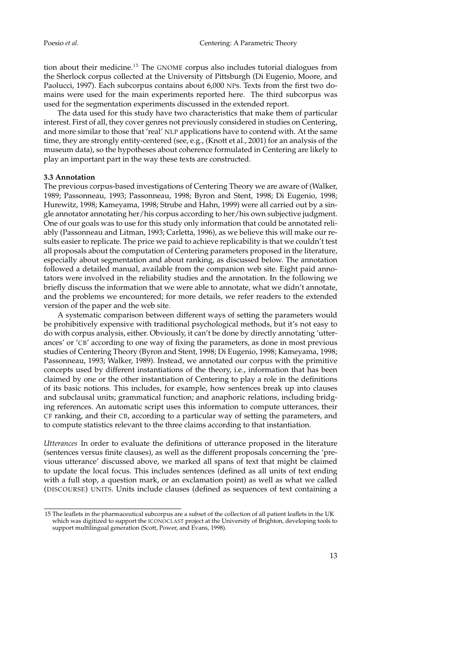tion about their medicine.<sup>15</sup> The GNOME corpus also includes tutorial dialogues from the Sherlock corpus collected at the University of Pittsburgh (Di Eugenio, Moore, and Paolucci, 1997). Each subcorpus contains about 6,000 NPs. Texts from the first two domains were used for the main experiments reported here. The third subcorpus was used for the segmentation experiments discussed in the extended report.

The data used for this study have two characteristics that make them of particular interest. First of all, they cover genres not previously considered in studies on Centering, and more similar to those that 'real' NLP applications have to contend with. At the same time, they are strongly entity-centered (see, e.g., (Knott et al., 2001) for an analysis of the museum data), so the hypotheses about coherence formulated in Centering are likely to play an important part in the way these texts are constructed.

### **3.3 Annotation**

The previous corpus-based investigations of Centering Theory we are aware of (Walker, 1989; Passonneau, 1993; Passonneau, 1998; Byron and Stent, 1998; Di Eugenio, 1998; Hurewitz, 1998; Kameyama, 1998; Strube and Hahn, 1999) were all carried out by a single annotator annotating her/his corpus according to her/his own subjective judgment. One of our goals was to use for this study only information that could be annotated reliably (Passonneau and Litman, 1993; Carletta, 1996), as we believe this will make our results easier to replicate. The price we paid to achieve replicability is that we couldn't test all proposals about the computation of Centering parameters proposed in the literature, especially about segmentation and about ranking, as discussed below. The annotation followed a detailed manual, available from the companion web site. Eight paid annotators were involved in the reliability studies and the annotation. In the following we briefly discuss the information that we were able to annotate, what we didn't annotate, and the problems we encountered; for more details, we refer readers to the extended version of the paper and the web site.

A systematic comparison between different ways of setting the parameters would be prohibitively expensive with traditional psychological methods, but it's not easy to do with corpus analysis, either. Obviously, it can't be done by directly annotating 'utterances' or 'CB' according to one way of fixing the parameters, as done in most previous studies of Centering Theory (Byron and Stent, 1998; Di Eugenio, 1998; Kameyama, 1998; Passonneau, 1993; Walker, 1989). Instead, we annotated our corpus with the primitive concepts used by different instantiations of the theory, i.e., information that has been claimed by one or the other instantiation of Centering to play a role in the definitions of its basic notions. This includes, for example, how sentences break up into clauses and subclausal units; grammatical function; and anaphoric relations, including bridging references. An automatic script uses this information to compute utterances, their CF ranking, and their CB, according to a particular way of setting the parameters, and to compute statistics relevant to the three claims according to that instantiation.

*Utterances* In order to evaluate the definitions of utterance proposed in the literature (sentences versus finite clauses), as well as the different proposals concerning the 'previous utterance' discussed above, we marked all spans of text that might be claimed to update the local focus. This includes sentences (defined as all units of text ending with a full stop, a question mark, or an exclamation point) as well as what we called (DISCOURSE) UNITS. Units include clauses (defined as sequences of text containing a

<sup>15</sup> The leaflets in the pharmaceutical subcorpus are a subset of the collection of all patient leaflets in the UK which was digitized to support the ICONOCLAST project at the University of Brighton, developing tools to support multilingual generation (Scott, Power, and Evans, 1998).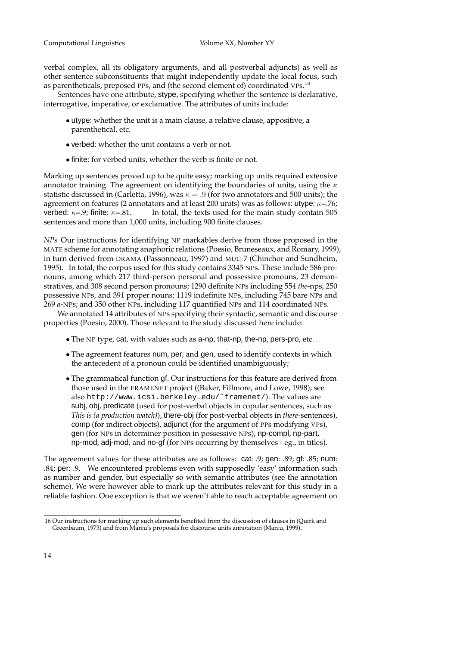verbal complex, all its obligatory arguments, and all postverbal adjuncts) as well as other sentence subconstituents that might independently update the local focus, such as parentheticals, preposed PPs, and (the second element of) coordinated VPs.<sup>16</sup>

Sentences have one attribute, stype, specifying whether the sentence is declarative, interrogative, imperative, or exclamative. The attributes of units include:

- utype: whether the unit is a main clause, a relative clause, appositive, a parenthetical, etc.
- verbed: whether the unit contains a verb or not.
- finite: for verbed units, whether the verb is finite or not.

Marking up sentences proved up to be quite easy; marking up units required extensive annotator training. The agreement on identifying the boundaries of units, using the  $\kappa$ statistic discussed in (Carletta, 1996), was  $\kappa = .9$  (for two annotators and 500 units); the agreement on features (2 annotators and at least 200 units) was as follows: utype:  $\kappa$ =.76; verbed:  $\kappa$ =.9; finite:  $\kappa$ =.81. In total, the texts used for the main study contain 505 sentences and more than 1,000 units, including 900 finite clauses.

*NPs* Our instructions for identifying NP markables derive from those proposed in the MATE scheme for annotating anaphoric relations (Poesio, Bruneseaux, and Romary, 1999), in turn derived from DRAMA (Passonneau, 1997) and MUC-7 (Chinchor and Sundheim, 1995). In total, the corpus used for this study contains 3345 NPs. These include 586 pronouns, among which 217 third-person personal and possessive pronouns, 23 demonstratives, and 308 second person pronouns; 1290 definite NPs including 554 *the*-nps, 250 possessive NPs, and 391 proper nouns; 1119 indefinite NPs, including 745 bare NPs and 269 *a*-NPs; and 350 other NPs, including 117 quantified NPs and 114 coordinated NPs.

We annotated 14 attributes of NPs specifying their syntactic, semantic and discourse properties (Poesio, 2000). Those relevant to the study discussed here include:

- The NP type, cat, with values such as a-np, that-np, the-np, pers-pro, etc. .
- The agreement features num, per, and gen, used to identify contexts in which the antecedent of a pronoun could be identified unambiguously;
- The grammatical function gf. Our instructions for this feature are derived from those used in the FRAMENET project ((Baker, Fillmore, and Lowe, 1998); see also http://www.icsi.berkeley.edu/˜framenet/). The values are subj, obj, predicate (used for post-verbal objects in copular sentences, such as *This is (a production watch)*), there-obj (for post-verbal objects in *there*-sentences), comp (for indirect objects), adjunct (for the argument of PPs modifying VPs), gen (for NPs in determiner position in possessive NPs), np-compl, np-part, np-mod, adj-mod, and no-gf (for NPs occurring by themselves - eg., in titles).

The agreement values for these attributes are as follows: cat: .9; gen: .89; gf: .85; num: .84; per: .9. We encountered problems even with supposedly 'easy' information such as number and gender, but especially so with semantic attributes (see the annotation scheme). We were however able to mark up the attributes relevant for this study in a reliable fashion. One exception is that we weren't able to reach acceptable agreement on

<sup>16</sup> Our instructions for marking up such elements benefited from the discussion of clauses in (Quirk and Greenbaum, 1973) and from Marcu's proposals for discourse units annotation (Marcu, 1999).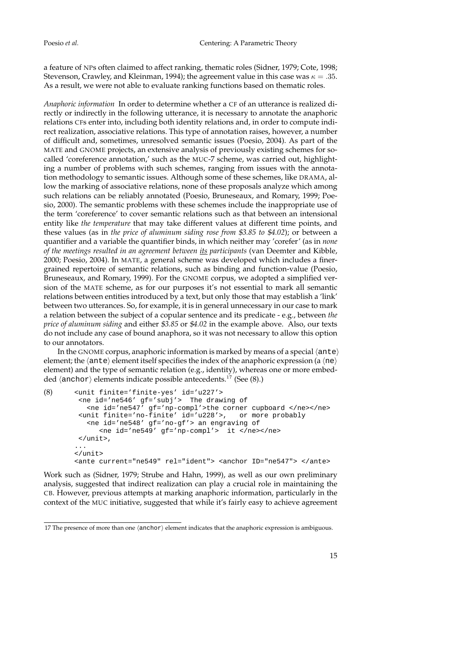a feature of NPs often claimed to affect ranking, thematic roles (Sidner, 1979; Cote, 1998; Stevenson, Crawley, and Kleinman, 1994); the agreement value in this case was  $\kappa = .35$ . As a result, we were not able to evaluate ranking functions based on thematic roles.

*Anaphoric information* In order to determine whether a CF of an utterance is realized directly or indirectly in the following utterance, it is necessary to annotate the anaphoric relations CFs enter into, including both identity relations and, in order to compute indirect realization, associative relations. This type of annotation raises, however, a number of difficult and, sometimes, unresolved semantic issues (Poesio, 2004). As part of the MATE and GNOME projects, an extensive analysis of previously existing schemes for socalled 'coreference annotation,' such as the MUC-7 scheme, was carried out, highlighting a number of problems with such schemes, ranging from issues with the annotation methodology to semantic issues. Although some of these schemes, like DRAMA, allow the marking of associative relations, none of these proposals analyze which among such relations can be reliably annotated (Poesio, Bruneseaux, and Romary, 1999; Poesio, 2000). The semantic problems with these schemes include the inappropriate use of the term 'coreference' to cover semantic relations such as that between an intensional entity like *the temperature* that may take different values at different time points, and these values (as in *the price of aluminum siding rose from* \$*3.85 to* \$*4.02*); or between a quantifier and a variable the quantifier binds, in which neither may 'corefer' (as in *none of the meetings resulted in an agreement between its participants* (van Deemter and Kibble, 2000; Poesio, 2004). In MATE, a general scheme was developed which includes a finergrained repertoire of semantic relations, such as binding and function-value (Poesio, Bruneseaux, and Romary, 1999). For the GNOME corpus, we adopted a simplified version of the MATE scheme, as for our purposes it's not essential to mark all semantic relations between entities introduced by a text, but only those that may establish a 'link' between two utterances. So, for example, it is in general unnecessary in our case to mark a relation between the subject of a copular sentence and its predicate - e.g., between *the price of aluminum siding* and either \$*3.85* or \$*4.02* in the example above. Also, our texts do not include any case of bound anaphora, so it was not necessary to allow this option to our annotators.

In the GNOME corpus, anaphoric information is marked by means of a special  $\langle$  ante $\rangle$ element; the  $\langle$  ante $\rangle$  element itself specifies the index of the anaphoric expression (a  $\langle$  ne $\rangle$ element) and the type of semantic relation (e.g., identity), whereas one or more embedded  $\langle$ anchor $\rangle$  elements indicate possible antecedents.<sup>17</sup> (See (8).)

```
(8) <unit finite='finite-yes' id='u227'>
```

```
<ne id='ne546' gf='subj'> The drawing of
  <ne id='ne547' gf='np-compl'>the corner cupboard </ne></ne>
<unit finite='no-finite' id='u228'>, or more probably
  <ne id='ne548' gf='no-gf'> an engraving of
     <ne id='ne549' gf='np-compl'> it </ne></ne>
</unit>,
...
</unit>
<ante current="ne549" rel="ident"> <anchor ID="ne547"> </ante>
```
Work such as (Sidner, 1979; Strube and Hahn, 1999), as well as our own preliminary analysis, suggested that indirect realization can play a crucial role in maintaining the CB. However, previous attempts at marking anaphoric information, particularly in the context of the MUC initiative, suggested that while it's fairly easy to achieve agreement

<sup>17</sup> The presence of more than one  $\langle$  anchor $\rangle$  element indicates that the anaphoric expression is ambiguous.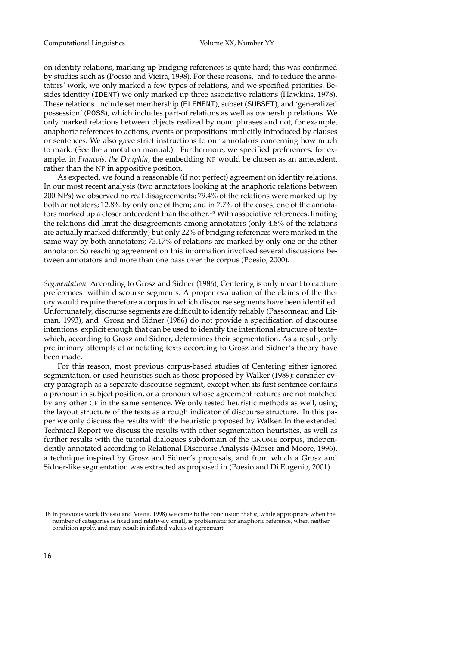on identity relations, marking up bridging references is quite hard; this was confirmed by studies such as (Poesio and Vieira, 1998). For these reasons, and to reduce the annotators' work, we only marked a few types of relations, and we specified priorities. Besides identity (IDENT) we only marked up three associative relations (Hawkins, 1978). These relations include set membership (ELEMENT), subset (SUBSET), and 'generalized possession' (POSS), which includes part-of relations as well as ownership relations. We only marked relations between objects realized by noun phrases and not, for example, anaphoric references to actions, events or propositions implicitly introduced by clauses or sentences. We also gave strict instructions to our annotators concerning how much to mark. (See the annotation manual.) Furthermore, we specified preferences: for example, in *Francois, the Dauphin*, the embedding NP would be chosen as an antecedent, rather than the NP in appositive position.

As expected, we found a reasonable (if not perfect) agreement on identity relations. In our most recent analysis (two annotators looking at the anaphoric relations between 200 NPs) we observed no real disagreements; 79.4% of the relations were marked up by both annotators; 12.8% by only one of them; and in 7.7% of the cases, one of the annotators marked up a closer antecedent than the other.<sup>18</sup> With associative references, limiting the relations did limit the disagreements among annotators (only 4.8% of the relations are actually marked differently) but only 22% of bridging references were marked in the same way by both annotators; 73.17% of relations are marked by only one or the other annotator. So reaching agreement on this information involved several discussions between annotators and more than one pass over the corpus (Poesio, 2000).

*Segmentation* According to Grosz and Sidner (1986), Centering is only meant to capture preferences within discourse segments. A proper evaluation of the claims of the theory would require therefore a corpus in which discourse segments have been identified. Unfortunately, discourse segments are difficult to identify reliably (Passonneau and Litman, 1993), and Grosz and Sidner (1986) do not provide a specification of discourse intentions explicit enough that can be used to identify the intentional structure of texts– which, according to Grosz and Sidner, determines their segmentation. As a result, only preliminary attempts at annotating texts according to Grosz and Sidner's theory have been made.

For this reason, most previous corpus-based studies of Centering either ignored segmentation, or used heuristics such as those proposed by Walker (1989): consider every paragraph as a separate discourse segment, except when its first sentence contains a pronoun in subject position, or a pronoun whose agreement features are not matched by any other CF in the same sentence. We only tested heuristic methods as well, using the layout structure of the texts as a rough indicator of discourse structure. In this paper we only discuss the results with the heuristic proposed by Walker. In the extended Technical Report we discuss the results with other segmentation heuristics, as well as further results with the tutorial dialogues subdomain of the GNOME corpus, independently annotated according to Relational Discourse Analysis (Moser and Moore, 1996), a technique inspired by Grosz and Sidner's proposals, and from which a Grosz and Sidner-like segmentation was extracted as proposed in (Poesio and Di Eugenio, 2001).

<sup>18</sup> In previous work (Poesio and Vieira, 1998) we came to the conclusion that κ, while appropriate when the number of categories is fixed and relatively small, is problematic for anaphoric reference, when neither condition apply, and may result in inflated values of agreement.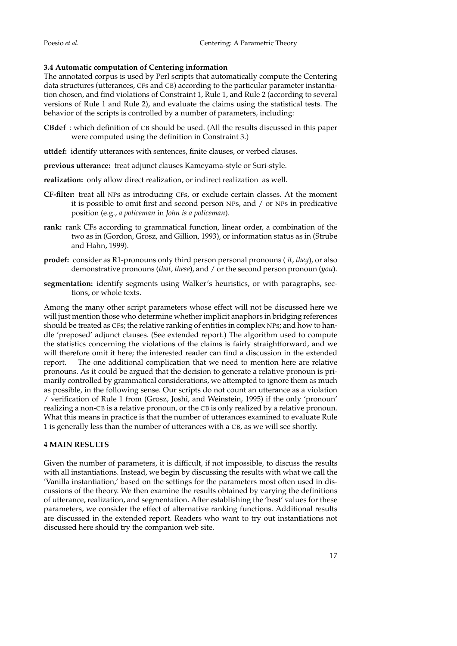# **3.4 Automatic computation of Centering information**

The annotated corpus is used by Perl scripts that automatically compute the Centering data structures (utterances, CFs and CB) according to the particular parameter instantiation chosen, and find violations of Constraint 1, Rule 1, and Rule 2 (according to several versions of Rule 1 and Rule 2), and evaluate the claims using the statistical tests. The behavior of the scripts is controlled by a number of parameters, including:

- **CBdef** : which definition of CB should be used. (All the results discussed in this paper were computed using the definition in Constraint 3.)
- **uttdef:** identify utterances with sentences, finite clauses, or verbed clauses.
- **previous utterance:** treat adjunct clauses Kameyama-style or Suri-style.
- **realization:** only allow direct realization, or indirect realization as well.
- **CF-filter:** treat all NPs as introducing CFs, or exclude certain classes. At the moment it is possible to omit first and second person NPs, and / or NPs in predicative position (e.g., *a policeman* in *John is a policeman*).
- **rank:** rank CFs according to grammatical function, linear order, a combination of the two as in (Gordon, Grosz, and Gillion, 1993), or information status as in (Strube and Hahn, 1999).
- **prodef:** consider as R1-pronouns only third person personal pronouns ( *it*, *they*), or also demonstrative pronouns (*that, these*), and / or the second person pronoun (*you*).
- **segmentation:** identify segments using Walker's heuristics, or with paragraphs, sections, or whole texts.

Among the many other script parameters whose effect will not be discussed here we will just mention those who determine whether implicit anaphors in bridging references should be treated as CFs; the relative ranking of entities in complex NPs; and how to handle 'preposed' adjunct clauses. (See extended report.) The algorithm used to compute the statistics concerning the violations of the claims is fairly straightforward, and we will therefore omit it here; the interested reader can find a discussion in the extended report. The one additional complication that we need to mention here are relative pronouns. As it could be argued that the decision to generate a relative pronoun is primarily controlled by grammatical considerations, we attempted to ignore them as much as possible, in the following sense. Our scripts do not count an utterance as a violation / verification of Rule 1 from (Grosz, Joshi, and Weinstein, 1995) if the only 'pronoun' realizing a non-CB is a relative pronoun, or the CB is only realized by a relative pronoun. What this means in practice is that the number of utterances examined to evaluate Rule 1 is generally less than the number of utterances with a CB, as we will see shortly.

# **4 MAIN RESULTS**

Given the number of parameters, it is difficult, if not impossible, to discuss the results with all instantiations. Instead, we begin by discussing the results with what we call the 'Vanilla instantiation,' based on the settings for the parameters most often used in discussions of the theory. We then examine the results obtained by varying the definitions of utterance, realization, and segmentation. After establishing the 'best' values for these parameters, we consider the effect of alternative ranking functions. Additional results are discussed in the extended report. Readers who want to try out instantiations not discussed here should try the companion web site.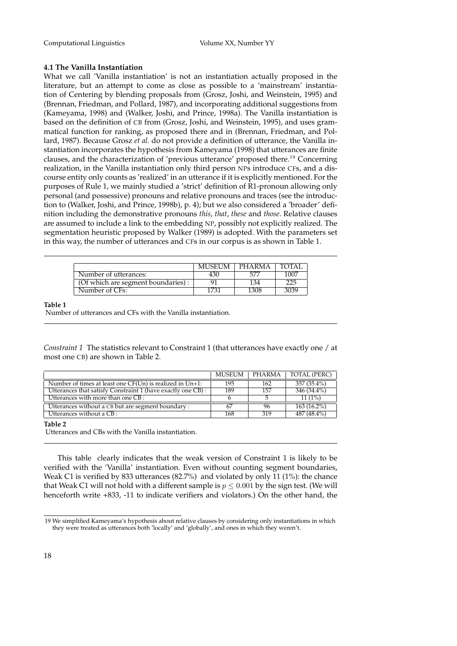# **4.1 The Vanilla Instantiation**

What we call 'Vanilla instantiation' is not an instantiation actually proposed in the literature, but an attempt to come as close as possible to a 'mainstream' instantiation of Centering by blending proposals from (Grosz, Joshi, and Weinstein, 1995) and (Brennan, Friedman, and Pollard, 1987), and incorporating additional suggestions from (Kameyama, 1998) and (Walker, Joshi, and Prince, 1998a). The Vanilla instantiation is based on the definition of CB from (Grosz, Joshi, and Weinstein, 1995), and uses grammatical function for ranking, as proposed there and in (Brennan, Friedman, and Pollard, 1987). Because Grosz *et al.* do not provide a definition of utterance, the Vanilla instantiation incorporates the hypothesis from Kameyama (1998) that utterances are finite clauses, and the characterization of 'previous utterance' proposed there.<sup>19</sup> Concerning realization, in the Vanilla instantiation only third person NPs introduce CFs, and a discourse entity only counts as 'realized' in an utterance if it is explicitly mentioned. For the purposes of Rule 1, we mainly studied a 'strict' definition of R1-pronoun allowing only personal (and possessive) pronouns and relative pronouns and traces (see the introduction to (Walker, Joshi, and Prince, 1998b), p. 4); but we also considered a 'broader' definition including the demonstrative pronouns *this*, *that*, *these* and *those*. Relative clauses are assumed to include a link to the embedding NP, possibly not explicitly realized. The segmentation heuristic proposed by Walker (1989) is adopted. With the parameters set in this way, the number of utterances and CFs in our corpus is as shown in Table 1.

|                                     | MUSEUM | PHARMA | TOTAI |
|-------------------------------------|--------|--------|-------|
| Number of utterances:               | 430    | -577   | 1007  |
| (Of which are segment boundaries) : |        | 134    | 225   |
| Number of CFs:                      | 1731   | 1308   | 3039  |

**Table 1**

Number of utterances and CFs with the Vanilla instantiation.

*Constraint 1* The statistics relevant to Constraint 1 (that utterances have exactly one / at most one CB) are shown in Table 2.

|                                                               | MUSEUM | <b>PHARMA</b> | TOTAL (PERC)  |
|---------------------------------------------------------------|--------|---------------|---------------|
| Number of times at least one $CF(Un)$ is realized in $Un+1$ : | 195    | 162           | $357(35.4\%)$ |
| Utterances that satisfy Constraint 1 (have exactly one CB) :  | 189    | 157           | $346(34.4\%)$ |
| Utterances with more than one CB:                             |        |               | $11(1\%)$     |
| Utterances without a CB but are segment boundary :            | -67    | -96           | $163(16.2\%)$ |
| Utterances without a CB:                                      | 168    | 319           | 487 (48.4%)   |

**Table 2**

Utterances and CBs with the Vanilla instantiation.

This table clearly indicates that the weak version of Constraint 1 is likely to be verified with the 'Vanilla' instantiation. Even without counting segment boundaries, Weak C1 is verified by 833 utterances  $(82.7%)$  and violated by only 11  $(1%)$ : the chance that Weak C1 will not hold with a different sample is  $p \leq 0.001$  by the sign test. (We will henceforth write +833, -11 to indicate verifiers and violators.) On the other hand, the

<sup>19</sup> We simplified Kameyama's hypothesis about relative clauses by considering only instantiations in which they were treated as utterances both 'locally' and 'globally', and ones in which they weren't.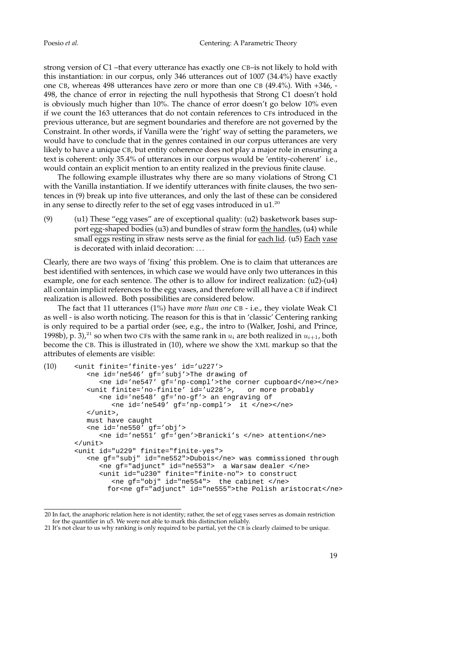strong version of C1 –that every utterance has exactly one CB–is not likely to hold with this instantiation: in our corpus, only 346 utterances out of 1007 (34.4%) have exactly one CB, whereas 498 utterances have zero or more than one CB (49.4%). With +346, - 498, the chance of error in rejecting the null hypothesis that Strong C1 doesn't hold is obviously much higher than 10%. The chance of error doesn't go below 10% even if we count the 163 utterances that do not contain references to CFs introduced in the previous utterance, but are segment boundaries and therefore are not governed by the Constraint. In other words, if Vanilla were the 'right' way of setting the parameters, we would have to conclude that in the genres contained in our corpus utterances are very likely to have a unique CB, but entity coherence does not play a major role in ensuring a text is coherent: only 35.4% of utterances in our corpus would be 'entity-coherent' i.e., would contain an explicit mention to an entity realized in the previous finite clause.

The following example illustrates why there are so many violations of Strong C1 with the Vanilla instantiation. If we identify utterances with finite clauses, the two sentences in (9) break up into five utterances, and only the last of these can be considered in any sense to directly refer to the set of egg vases introduced in u1.<sup>20</sup>

(9)  $(u1)$  These "egg vases" are of exceptional quality:  $(u2)$  basketwork bases support egg-shaped bodies (u3) and bundles of straw form the handles, (u4) while small eggs resting in straw nests serve as the finial for each lid. (u5) Each vase is decorated with inlaid decoration: . . .

Clearly, there are two ways of 'fixing' this problem. One is to claim that utterances are best identified with sentences, in which case we would have only two utterances in this example, one for each sentence. The other is to allow for indirect realization: (u2)-(u4) all contain implicit references to the egg vases, and therefore will all have a CB if indirect realization is allowed. Both possibilities are considered below.

The fact that 11 utterances (1%) have *more than one* CB - i.e., they violate Weak C1 as well - is also worth noticing. The reason for this is that in 'classic' Centering ranking is only required to be a partial order (see, e.g., the intro to (Walker, Joshi, and Prince, 1998b), p. 3),<sup>21</sup> so when two CFs with the same rank in  $u_i$  are both realized in  $u_{i+1}$ , both become the CB. This is illustrated in (10), where we show the XML markup so that the attributes of elements are visible:

```
(10) <unit finite='finite-yes' id='u227'>
          <ne id='ne546' gf='subj'>The drawing of
             <ne id='ne547' gf='np-compl'>the corner cupboard</ne></ne>
          <unit finite='no-finite' id='u228'>, or more probably
             <ne id='ne548' gf='no-gf'> an engraving of
                <ne id='ne549' gf='np-compl'> it </ne></ne>
          </unit>,
          must have caught
          <ne id='ne550' gf='obj'>
             <ne id='ne551' gf='gen'>Branicki's </ne> attention</ne>
       </unit>
       <unit id="u229" finite="finite-yes">
          <ne gf="subj" id="ne552">Dubois</ne> was commissioned through
             <ne gf="adjunct" id="ne553"> a Warsaw dealer </ne>
             <unit id="u230" finite="finite-no"> to construct
                <ne gf="obj" id="ne554"> the cabinet </ne>
               for<ne gf="adjunct" id="ne555">the Polish aristocrat</ne>
```
<sup>20</sup> In fact, the anaphoric relation here is not identity; rather, the set of egg vases serves as domain restriction for the quantifier in u5. We were not able to mark this distinction reliably.

<sup>21</sup> It's not clear to us why ranking is only required to be partial, yet the CB is clearly claimed to be unique.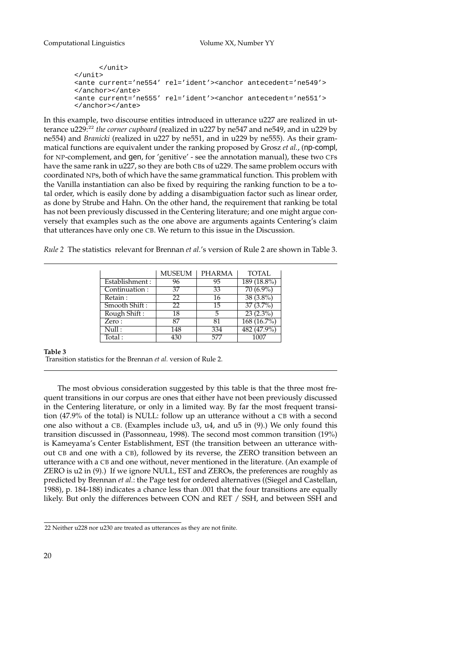```
\epsilon/unit>
\langleunit>
<ante current='ne554' rel='ident'><anchor antecedent='ne549'>
</anchor></ante>
<ante current='ne555' rel='ident'><anchor antecedent='ne551'>
</anchor></ante>
```
In this example, two discourse entities introduced in utterance u227 are realized in utterance u229<sup>22</sup> *the corner cupboard* (realized in u227 by ne547 and ne549, and in u229 by ne554) and *Branicki* (realized in u227 by ne551, and in u229 by ne555). As their grammatical functions are equivalent under the ranking proposed by Grosz *et al.*, (np-compl, for NP-complement, and gen, for 'genitive' - see the annotation manual), these two CFs have the same rank in u227, so they are both CBs of u229. The same problem occurs with coordinated NPs, both of which have the same grammatical function. This problem with the Vanilla instantiation can also be fixed by requiring the ranking function to be a total order, which is easily done by adding a disambiguation factor such as linear order, as done by Strube and Hahn. On the other hand, the requirement that ranking be total has not been previously discussed in the Centering literature; and one might argue conversely that examples such as the one above are arguments againts Centering's claim that utterances have only one CB. We return to this issue in the Discussion.

*Rule 2* The statistics relevant for Brennan *et al.*'s version of Rule 2 are shown in Table 3.

|                | MUSEUM | <b>PHARMA</b> | <b>TOTAL</b>  |
|----------------|--------|---------------|---------------|
| Establishment: | 96     | 95            | 189 (18.8%)   |
| Continuation:  | 37     | 33            | $70(6.9\%)$   |
| Retain:        | 22     | 16            | $38(3.8\%)$   |
| Smooth Shift:  | 22     | 15            | $37(3.7\%)$   |
| Rough Shift:   | 18     | 5             | $23(2.3\%)$   |
| Zero:          | 87     | 81            | 168(16.7%)    |
| Null:          | 148    | 334           | $482(47.9\%)$ |
| Total:         | 430    | 577           |               |

**Table 3** Transition statistics for the Brennan *et al.* version of Rule 2.

The most obvious consideration suggested by this table is that the three most frequent transitions in our corpus are ones that either have not been previously discussed in the Centering literature, or only in a limited way. By far the most frequent transition (47.9% of the total) is NULL: follow up an utterance without a CB with a second one also without a CB. (Examples include u3, u4, and u5 in (9).) We only found this transition discussed in (Passonneau, 1998). The second most common transition (19%) is Kameyama's Center Establishment, EST (the transition between an utterance without CB and one with a CB), followed by its reverse, the ZERO transition between an utterance with a CB and one without, never mentioned in the literature. (An example of ZERO is u2 in (9).) If we ignore NULL, EST and ZEROs, the preferences are roughly as predicted by Brennan *et al.*: the Page test for ordered alternatives ((Siegel and Castellan, 1988), p. 184-188) indicates a chance less than .001 that the four transitions are equally likely. But only the differences between CON and RET / SSH, and between SSH and

<sup>22</sup> Neither u228 nor u230 are treated as utterances as they are not finite.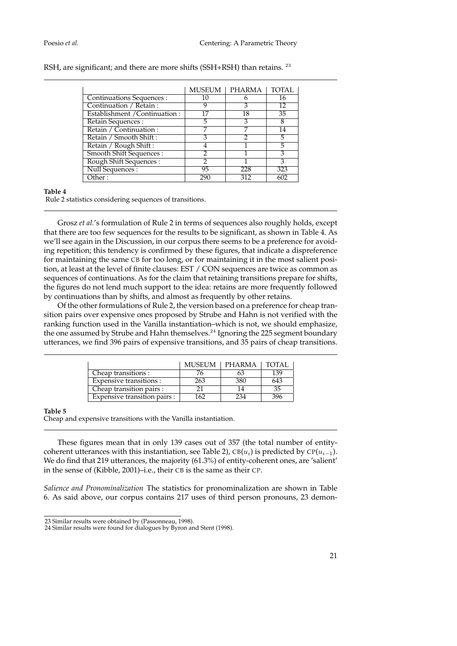|  | RSH, are significant; and there are more shifts (SSH+RSH) than retains. <sup>23</sup> |  |  |
|--|---------------------------------------------------------------------------------------|--|--|
|  |                                                                                       |  |  |

|                                |     | MUSEUM   PHARMA | <b>TOTAL</b> |
|--------------------------------|-----|-----------------|--------------|
| Continuations Sequences :      | 10  |                 | 16           |
| Continuation / Retain:         |     |                 | 12           |
| Establishment / Continuation : |     | 18              | 35           |
| Retain Sequences:              | 5   |                 | 8            |
| Retain / Continuation:         |     |                 | 14           |
| Retain / Smooth Shift:         |     |                 | 5            |
| Retain / Rough Shift:          |     |                 | 5            |
| <b>Smooth Shift Sequences:</b> | 2   |                 | 3            |
| Rough Shift Sequences :        |     |                 | 3            |
| Null Sequences :               | 95  | 228             | 323          |
| Other:                         | 290 | 312             | 602          |

### **Table 4**

Rule 2 statistics considering sequences of transitions.

Grosz *et al.*'s formulation of Rule 2 in terms of sequences also roughly holds, except that there are too few sequences for the results to be significant, as shown in Table 4. As we'll see again in the Discussion, in our corpus there seems to be a preference for avoiding repetition; this tendency is confirmed by these figures, that indicate a dispreference for maintaining the same CB for too long, or for maintaining it in the most salient position, at least at the level of finite clauses: EST / CON sequences are twice as common as sequences of continuations. As for the claim that retaining transitions prepare for shifts, the figures do not lend much support to the idea: retains are more frequently followed by continuations than by shifts, and almost as frequently by other retains.

Of the other formulations of Rule 2, the version based on a preference for cheap transition pairs over expensive ones proposed by Strube and Hahn is not verified with the ranking function used in the Vanilla instantiation–which is not, we should emphasize, the one assumed by Strube and Hahn themselves.<sup>24</sup> Ignoring the 225 segment boundary utterances, we find 396 pairs of expensive transitions, and 35 pairs of cheap transitions.

|                               | <b>MUSEUM</b> | <b>PHARMA</b> | TOTAL. |
|-------------------------------|---------------|---------------|--------|
| Cheap transitions :           |               | 63            | 139    |
| <b>Expensive transitions:</b> | 263           | 380           | 643    |
| Cheap transition pairs :      |               |               | 35     |
| Expensive transition pairs :  | 162           | 234           |        |

### **Table 5**

Cheap and expensive transitions with the Vanilla instantiation.

These figures mean that in only 139 cases out of 357 (the total number of entitycoherent utterances with this instantiation, see Table 2), CB( $u_i$ ) is predicted by CP( $u_{i-1}$ ). We do find that 219 utterances, the majority (61.3%) of entity-coherent ones, are 'salient' in the sense of (Kibble, 2001)–i.e., their CB is the same as their CP.

*Salience and Pronominalization* The statistics for pronominalization are shown in Table 6. As said above, our corpus contains 217 uses of third person pronouns, 23 demon-

<sup>23</sup> Similar results were obtained by (Passonneau, 1998).

<sup>24</sup> Similar results were found for dialogues by Byron and Stent (1998).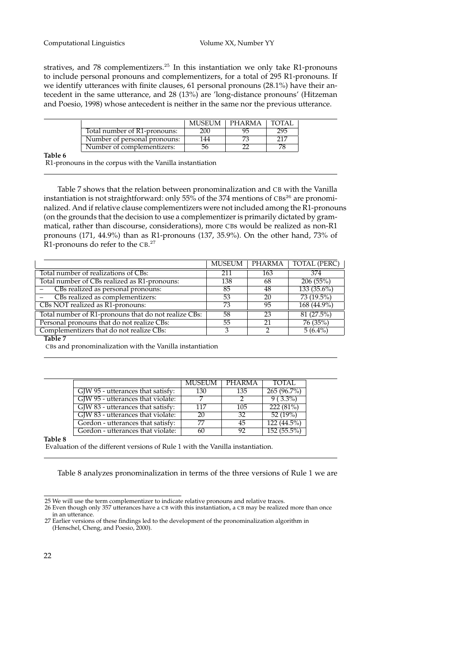stratives, and 78 complementizers. $25$  In this instantiation we only take R1-pronouns to include personal pronouns and complementizers, for a total of 295 R1-pronouns. If we identify utterances with finite clauses, 61 personal pronouns (28.1%) have their antecedent in the same utterance, and 28 (13%) are 'long-distance pronouns' (Hitzeman and Poesio, 1998) whose antecedent is neither in the same nor the previous utterance.

|                              | MI ISEI IM | PHARMA |  |
|------------------------------|------------|--------|--|
| Total number of R1-pronouns: |            |        |  |
| Number of personal pronouns: | 44         |        |  |
| Number of complementizers:   |            |        |  |

**Table 6**

R1-pronouns in the corpus with the Vanilla instantiation

Table 7 shows that the relation between pronominalization and CB with the Vanilla instantiation is not straightforward: only 55% of the 374 mentions of CBs $^{26}$  are pronominalized. And if relative clause complementizers were not included among the R1-pronouns (on the grounds that the decision to use a complementizer is primarily dictated by grammatical, rather than discourse, considerations), more CBs would be realized as non-R1 pronouns (171, 44.9%) than as R1-pronouns (137, 35.9%). On the other hand, 73% of R1-pronouns do refer to the CB.<sup>27</sup>

|                                                      | MUSEUM | PHARMA | TOTAL (PERC)  |
|------------------------------------------------------|--------|--------|---------------|
| Total number of realizations of CBs:                 | 211    | 163    | 374           |
| Total number of CBs realized as R1-pronouns:         | 138    | 68     | 206(55%)      |
| CBs realized as personal pronouns:                   | 85     | 48     | $133(35.6\%)$ |
| CBs realized as complementizers:                     | 53     | 20     | $73(19.5\%)$  |
| CBs NOT realized as R1-pronouns:                     | 73     | 95     | 168 (44.9%)   |
| Total number of R1-pronouns that do not realize CBs: | 58     | 23     | 81(27.5%)     |
| Personal pronouns that do not realize CBs:           | 55     | 21     | 76(35%)       |
| Complementizers that do not realize CBs:             | З      |        | $5(6.4\%)$    |
| $-11 -$                                              |        |        |               |

#### **Table 7**

CBs and pronominalization with the Vanilla instantiation

|                                   |     | MUSEUM   PHARMA | TOTAL.     |
|-----------------------------------|-----|-----------------|------------|
| GJW 95 - utterances that satisfy: | 130 | 135             | 265(96.7%) |
| GJW 95 - utterances that violate: |     |                 | $9(3.3\%)$ |
| GJW 83 - utterances that satisfy: | 117 | 105             | 222(81%)   |
| GJW 83 - utterances that violate: | 20  | 32              | 52 (19%)   |
| Gordon - utterances that satisfy: | 77  | 45              | 122(44.5%) |
| Gordon - utterances that violate: | 60  | 92              | 152(55.5%) |

#### **Table 8**

Evaluation of the different versions of Rule 1 with the Vanilla instantiation.

Table 8 analyzes pronominalization in terms of the three versions of Rule 1 we are

<sup>25</sup> We will use the term complementizer to indicate relative pronouns and relative traces.

<sup>26</sup> Even though only 357 utterances have a CB with this instantiation, a CB may be realized more than once in an utterance.

<sup>27</sup> Earlier versions of these findings led to the development of the pronominalization algorithm in (Henschel, Cheng, and Poesio, 2000).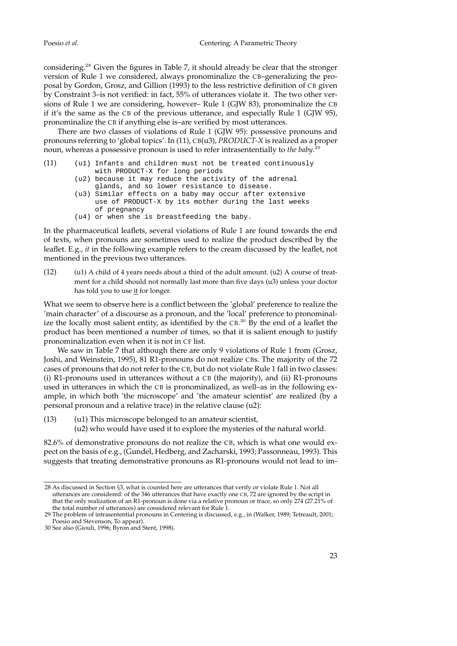considering.<sup>28</sup> Given the figures in Table 7, it should already be clear that the stronger version of Rule 1 we considered, always pronominalize the CB–generalizing the proposal by Gordon, Grosz, and Gillion (1993) to the less restrictive definition of CB given by Constraint 3–is not verified: in fact, 55% of utterances violate it. The two other versions of Rule 1 we are considering, however– Rule 1 (GJW 83), pronominalize the CB if it's the same as the CB of the previous utterance, and especially Rule 1 (GJW 95), pronominalize the CB if anything else is–are verified by most utterances.

There are two classes of violations of Rule 1 (GJW 95): possessive pronouns and pronouns referring to 'global topics'. In (11), CB(u3), *PRODUCT-X* is realized as a proper noun, whereas a possessive pronoun is used to refer intrasententially to *the baby*. 29

- (11) (u1) Infants and children must not be treated continuously with PRODUCT-X for long periods
	- (u2) because it may reduce the activity of the adrenal glands, and so lower resistance to disease.
	- (u3) Similar effects on a baby may occur after extensive use of PRODUCT-X by its mother during the last weeks of pregnancy
	- (u4) or when she is breastfeeding the baby.

In the pharmaceutical leaflets, several violations of Rule 1 are found towards the end of texts, when pronouns are sometimes used to realize the product described by the leaflet. E.g., *it* in the following example refers to the cream discussed by the leaflet, not mentioned in the previous two utterances.

 $(12)$  (u1) A child of 4 years needs about a third of the adult amount.  $(u2)$  A course of treatment for a child should not normally last more than five days (u3) unless your doctor has told you to use it for longer.

What we seem to observe here is a conflict between the 'global' preference to realize the 'main character' of a discourse as a pronoun, and the 'local' preference to pronominalize the locally most salient entity, as identified by the  $CB.^{30}$  By the end of a leaflet the product has been mentioned a number of times, so that it is salient enough to justify pronominalization even when it is not in CF list.

We saw in Table 7 that although there are only 9 violations of Rule 1 from (Grosz, Joshi, and Weinstein, 1995), 81 R1-pronouns do not realize CBs. The majority of the 72 cases of pronouns that do not refer to the CB, but do not violate Rule 1 fall in two classes: (i) R1-pronouns used in utterances without a CB (the majority), and (ii) R1-pronouns used in utterances in which the CB is pronominalized, as well–as in the following example, in which both 'the microscope' and 'the amateur scientist' are realized (by a personal pronoun and a relative trace) in the relative clause (u2):

(13) (u1) This microscope belonged to an amateur scientist, (u2) who would have used it to explore the mysteries of the natural world.

82.6% of demonstrative pronouns do not realize the CB, which is what one would expect on the basis of e.g., (Gundel, Hedberg, and Zacharski, 1993; Passonneau, 1993). This suggests that treating demonstrative pronouns as R1-pronouns would not lead to im-

<sup>28</sup> As discussed in Section §3, what is counted here are utterances that verify or violate Rule 1. Not all utterances are considered: of the 346 utterances that have exactly one CB, 72 are ignored by the script in that the only realization of an R1-pronoun is done via a relative pronoun or trace, so only 274 (27.21% of the total number of utterances) are considered relevant for Rule 1.

<sup>29</sup> The problem of intrasentential pronouns in Centering is discussed, e.g., in (Walker, 1989; Tetreault, 2001; Poesio and Stevenson, To appear).

<sup>30</sup> See also (Giouli, 1996; Byron and Stent, 1998).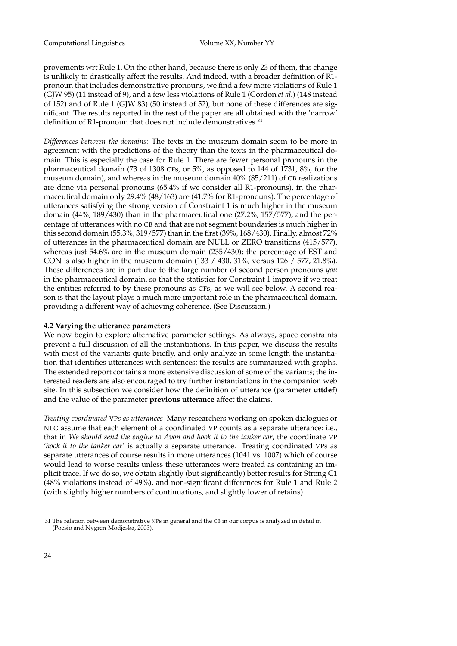provements wrt Rule 1. On the other hand, because there is only 23 of them, this change is unlikely to drastically affect the results. And indeed, with a broader definition of R1 pronoun that includes demonstrative pronouns, we find a few more violations of Rule 1 (GJW 95) (11 instead of 9), and a few less violations of Rule 1 (Gordon *et al.*) (148 instead of 152) and of Rule 1 (GJW 83) (50 instead of 52), but none of these differences are significant. The results reported in the rest of the paper are all obtained with the 'narrow' definition of R1-pronoun that does not include demonstratives.<sup>31</sup>

*Differences between the domains:* The texts in the museum domain seem to be more in agreement with the predictions of the theory than the texts in the pharmaceutical domain. This is especially the case for Rule 1. There are fewer personal pronouns in the pharmaceutical domain (73 of 1308 CFs, or 5%, as opposed to 144 of 1731, 8%, for the museum domain), and whereas in the museum domain 40% (85/211) of CB realizations are done via personal pronouns (65.4% if we consider all R1-pronouns), in the pharmaceutical domain only 29.4% (48/163) are (41.7% for R1-pronouns). The percentage of utterances satisfying the strong version of Constraint 1 is much higher in the museum domain (44%, 189/430) than in the pharmaceutical one (27.2%, 157/577), and the percentage of utterances with no CB and that are not segment boundaries is much higher in this second domain (55.3%, 319/577) than in the first (39%, 168/430). Finally, almost 72% of utterances in the pharmaceutical domain are NULL or ZERO transitions (415/577), whereas just 54.6% are in the museum domain (235/430); the percentage of EST and CON is also higher in the museum domain (133 / 430, 31%, versus 126 / 577, 21.8%). These differences are in part due to the large number of second person pronouns *you* in the pharmaceutical domain, so that the statistics for Constraint 1 improve if we treat the entities referred to by these pronouns as CFs, as we will see below. A second reason is that the layout plays a much more important role in the pharmaceutical domain, providing a different way of achieving coherence. (See Discussion.)

# **4.2 Varying the utterance parameters**

We now begin to explore alternative parameter settings. As always, space constraints prevent a full discussion of all the instantiations. In this paper, we discuss the results with most of the variants quite briefly, and only analyze in some length the instantiation that identifies utterances with sentences; the results are summarized with graphs. The extended report contains a more extensive discussion of some of the variants; the interested readers are also encouraged to try further instantiations in the companion web site. In this subsection we consider how the definition of utterance (parameter **uttdef**) and the value of the parameter **previous utterance** affect the claims.

*Treating coordinated* VP*s as utterances* Many researchers working on spoken dialogues or NLG assume that each element of a coordinated VP counts as a separate utterance: i.e., that in *We should send the engine to Avon and hook it to the tanker car*, the coordinate VP '*hook it to the tanker car*' is actually a separate utterance. Treating coordinated VPs as separate utterances of course results in more utterances (1041 vs. 1007) which of course would lead to worse results unless these utterances were treated as containing an implicit trace. If we do so, we obtain slightly (but significantly) better results for Strong C1 (48% violations instead of 49%), and non-significant differences for Rule 1 and Rule 2 (with slightly higher numbers of continuations, and slightly lower of retains).

<sup>31</sup> The relation between demonstrative NPs in general and the CB in our corpus is analyzed in detail in (Poesio and Nygren-Modjeska, 2003).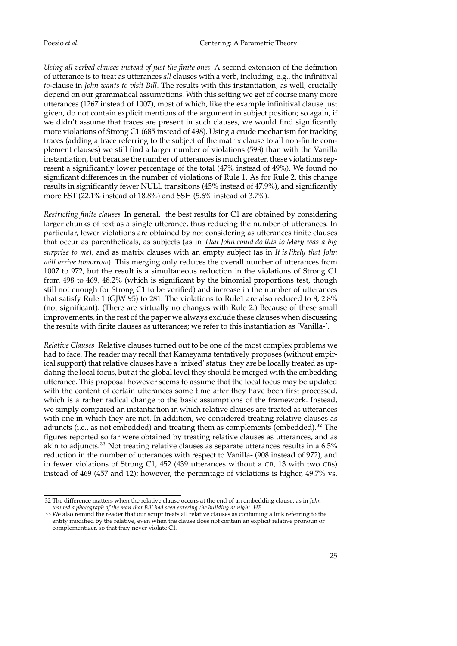*Using all verbed clauses instead of just the finite ones* A second extension of the definition of utterance is to treat as utterances *all* clauses with a verb, including, e.g., the infinitival *to*-clause in *John wants to visit Bill*. The results with this instantiation, as well, crucially depend on our grammatical assumptions. With this setting we get of course many more utterances (1267 instead of 1007), most of which, like the example infinitival clause just given, do not contain explicit mentions of the argument in subject position; so again, if we didn't assume that traces are present in such clauses, we would find significantly more violations of Strong C1 (685 instead of 498). Using a crude mechanism for tracking traces (adding a trace referring to the subject of the matrix clause to all non-finite complement clauses) we still find a larger number of violations (598) than with the Vanilla instantiation, but because the number of utterances is much greater, these violations represent a significantly lower percentage of the total (47% instead of 49%). We found no significant differences in the number of violations of Rule 1. As for Rule 2, this change results in significantly fewer NULL transitions (45% instead of 47.9%), and significantly more EST (22.1% instead of 18.8%) and SSH (5.6% instead of 3.7%).

*Restricting finite clauses* In general, the best results for C1 are obtained by considering larger chunks of text as a single utterance, thus reducing the number of utterances. In particular, fewer violations are obtained by not considering as utterances finite clauses that occur as parentheticals, as subjects (as in *That John could do this to Mary was a big surprise to me*), and as matrix clauses with an empty subject (as in *It is likely that John will arrive tomorrow*). This merging only reduces the overall number of utterances from 1007 to 972, but the result is a simultaneous reduction in the violations of Strong C1 from 498 to 469, 48.2% (which is significant by the binomial proportions test, though still not enough for Strong C1 to be verified) and increase in the number of utterances that satisfy Rule 1 (GJW 95) to 281. The violations to Rule1 are also reduced to 8, 2.8% (not significant). (There are virtually no changes with Rule 2.) Because of these small improvements, in the rest of the paper we always exclude these clauses when discussing the results with finite clauses as utterances; we refer to this instantiation as 'Vanilla-'.

*Relative Clauses* Relative clauses turned out to be one of the most complex problems we had to face. The reader may recall that Kameyama tentatively proposes (without empirical support) that relative clauses have a 'mixed' status: they are be locally treated as updating the local focus, but at the global level they should be merged with the embedding utterance. This proposal however seems to assume that the local focus may be updated with the content of certain utterances some time after they have been first processed, which is a rather radical change to the basic assumptions of the framework. Instead, we simply compared an instantiation in which relative clauses are treated as utterances with one in which they are not. In addition, we considered treating relative clauses as adjuncts (i.e., as not embedded) and treating them as complements (embedded).<sup>32</sup> The figures reported so far were obtained by treating relative clauses as utterances, and as akin to adjuncts.<sup>33</sup> Not treating relative clauses as separate utterances results in a 6.5% reduction in the number of utterances with respect to Vanilla- (908 instead of 972), and in fewer violations of Strong C1, 452 (439 utterances without a CB, 13 with two CBs) instead of 469 (457 and 12); however, the percentage of violations is higher, 49.7% vs.

<sup>32</sup> The difference matters when the relative clause occurs at the end of an embedding clause, as in *John wanted a photograph of the man that Bill had seen entering the building at night. HE ...* .

<sup>33</sup> We also remind the reader that our script treats all relative clauses as containing a link referring to the entity modified by the relative, even when the clause does not contain an explicit relative pronoun or complementizer, so that they never violate C1.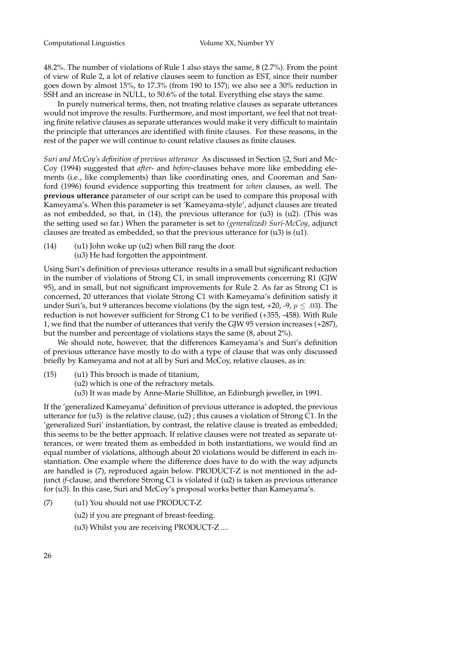48.2%. The number of violations of Rule 1 also stays the same, 8 (2.7%). From the point of view of Rule 2, a lot of relative clauses seem to function as EST, since their number goes down by almost 15%, to 17.3% (from 190 to 157); we also see a 30% reduction in SSH and an increase in NULL, to 50.6% of the total. Everything else stays the same.

In purely numerical terms, then, not treating relative clauses as separate utterances would not improve the results. Furthermore, and most important, we feel that not treating finite relative clauses as separate utterances would make it very difficult to maintain the principle that utterances are identified with finite clauses. For these reasons, in the rest of the paper we will continue to count relative clauses as finite clauses.

*Suri and McCoy's definition of previous utterance* As discussed in Section §2, Suri and Mc-Coy (1994) suggested that *after*- and *before*-clauses behave more like embedding elements (i.e., like complements) than like coordinating ones, and Cooreman and Sanford (1996) found evidence supporting this treatment for *when* clauses, as well. The **previous utterance** parameter of our script can be used to compare this proposal with Kameyama's. When this parameter is set 'Kameyama-style', adjunct clauses are treated as not embedded, so that, in (14), the previous utterance for (u3) is (u2). (This was the setting used so far.) When the parameter is set to *(generalized) Suri-McCoy*, adjunct clauses are treated as embedded, so that the previous utterance for (u3) is (u1).

(14) (u1) John woke up (u2) when Bill rang the door. (u3) He had forgotten the appointment.

Using Suri's definition of previous utterance results in a small but significant reduction in the number of violations of Strong C1, in small improvements concerning R1 (GJW 95), and in small, but not significant improvements for Rule 2. As far as Strong C1 is concerned, 20 utterances that violate Strong C1 with Kameyama's definition satisfy it under Suri's, but 9 utterances become violations (by the sign test, +20, -9,  $p \leq .03$ ). The reduction is not however sufficient for Strong C1 to be verified (+355, -458). With Rule 1, we find that the number of utterances that verify the GJW 95 version increases (+287), but the number and percentage of violations stays the same (8, about 2%).

We should note, however, that the differences Kameyama's and Suri's definition of previous utterance have mostly to do with a type of clause that was only discussed briefly by Kameyama and not at all by Suri and McCoy, relative clauses, as in:

- (15) (u1) This brooch is made of titanium,
	- (u2) which is one of the refractory metals.
	- (u3) It was made by Anne-Marie Shillitoe, an Edinburgh jeweller, in 1991.

If the 'generalized Kameyama' definition of previous utterance is adopted, the previous utterance for (u3) is the relative clause,  $(u2)$ ; this causes a violation of Strong C1. In the 'generalized Suri' instantiation, by contrast, the relative clause is treated as embedded; this seems to be the better approach. If relative clauses were not treated as separate utterances, or were treated them as embedded in both instantiations, we would find an equal number of violations, although about 20 violations would be different in each instantiation. One example where the difference does have to do with the way adjuncts are handled is (7), reproduced again below. PRODUCT-Z is not mentioned in the adjunct *if*-clause, and therefore Strong C1 is violated if (u2) is taken as previous utterance for (u3). In this case, Suri and McCoy's proposal works better than Kameyama's.

- (7) (u1) You should not use PRODUCT-Z
	- (u2) if you are pregnant of breast-feeding.
	- (u3) Whilst you are receiving PRODUCT-Z ....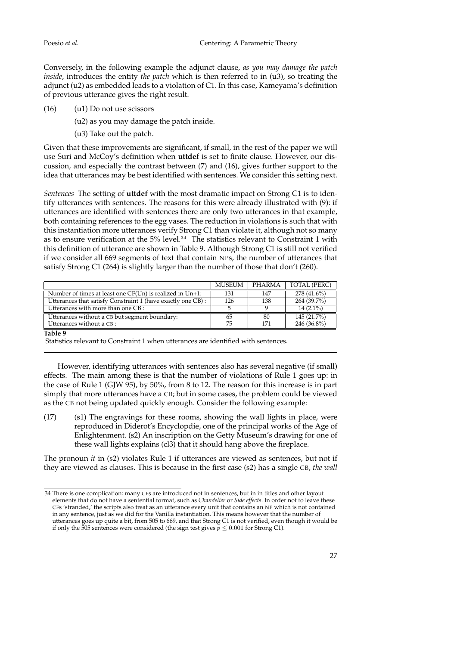Conversely, in the following example the adjunct clause, *as you may damage the patch inside*, introduces the entity *the patch* which is then referred to in (u3), so treating the adjunct (u2) as embedded leads to a violation of C1. In this case, Kameyama's definition of previous utterance gives the right result.

- (16) (u1) Do not use scissors
	- (u2) as you may damage the patch inside.
	- (u3) Take out the patch.

Given that these improvements are significant, if small, in the rest of the paper we will use Suri and McCoy's definition when **uttdef** is set to finite clause. However, our discussion, and especially the contrast between (7) and (16), gives further support to the idea that utterances may be best identified with sentences. We consider this setting next.

*Sentences* The setting of **uttdef** with the most dramatic impact on Strong C1 is to identify utterances with sentences. The reasons for this were already illustrated with (9): if utterances are identified with sentences there are only two utterances in that example, both containing references to the egg vases. The reduction in violations is such that with this instantiation more utterances verify Strong C1 than violate it, although not so many as to ensure verification at the  $5\%$  level.<sup>34</sup> The statistics relevant to Constraint 1 with this definition of utterance are shown in Table 9. Although Strong C1 is still not verified if we consider all 669 segments of text that contain NPs, the number of utterances that satisfy Strong C1 (264) is slightly larger than the number of those that don't (260).

|                                                               | <b>MUSEUM</b> | PHARMA | TOTAL (PERC)  |
|---------------------------------------------------------------|---------------|--------|---------------|
| Number of times at least one $CF(Un)$ is realized in $Un+1$ : | 131           | 147    | 278(41.6%)    |
| Utterances that satisfy Constraint 1 (have exactly one CB) :  | 126           | 138    | 264(39.7%)    |
| Utterances with more than one CB:                             |               |        | $14(2.1\%)$   |
| Utterances without a CB but segment boundary:                 | 65            | 80     | 145 (21.7%)   |
| Utterances without a CB:                                      | 75            | 171    | $246(36.8\%)$ |
| Table 9                                                       |               |        |               |

Statistics relevant to Constraint 1 when utterances are identified with sentences.

However, identifying utterances with sentences also has several negative (if small) effects. The main among these is that the number of violations of Rule 1 goes up: in the case of Rule 1 (GJW 95), by 50%, from 8 to 12. The reason for this increase is in part simply that more utterances have a CB; but in some cases, the problem could be viewed as the CB not being updated quickly enough. Consider the following example:

(17) (s1) The engravings for these rooms, showing the wall lights in place, were reproduced in Diderot's Encyclopdie, one of the principal works of the Age of Enlightenment. (s2) An inscription on the Getty Museum's drawing for one of these wall lights explains (cl3) that it should hang above the fireplace.

The pronoun *it* in (s2) violates Rule 1 if utterances are viewed as sentences, but not if they are viewed as clauses. This is because in the first case (s2) has a single CB, *the wall*

<sup>34</sup> There is one complication: many CFs are introduced not in sentences, but in in titles and other layout elements that do not have a sentential format, such as *Chandelier* or *Side effects*. In order not to leave these CFs 'stranded,' the scripts also treat as an utterance every unit that contains an NP which is not contained in any sentence, just as we did for the Vanilla instantiation. This means however that the number of utterances goes up quite a bit, from 505 to 669, and that Strong C1 is not verified, even though it would be if only the 505 sentences were considered (the sign test gives  $p < 0.001$  for Strong C1).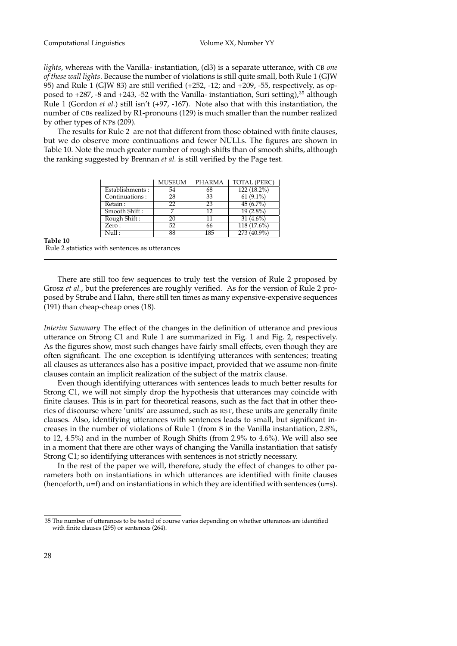*lights*, whereas with the Vanilla- instantiation, (cl3) is a separate utterance, with CB *one of these wall lights*. Because the number of violations is still quite small, both Rule 1 (GJW 95) and Rule 1 (GJW 83) are still verified (+252, -12; and +209, -55, respectively, as opposed to  $+287$ , -8 and  $+243$ , -52 with the Vanilla- instantiation, Suri setting),<sup>35</sup> although Rule 1 (Gordon *et al.*) still isn't (+97, -167). Note also that with this instantiation, the number of CBs realized by R1-pronouns (129) is much smaller than the number realized by other types of NPs (209).

The results for Rule 2 are not that different from those obtained with finite clauses, but we do observe more continuations and fewer NULLs. The figures are shown in Table 10. Note the much greater number of rough shifts than of smooth shifts, although the ranking suggested by Brennan *et al.* is still verified by the Page test.

|                 | MUSEUM | <b>PHARMA</b> | TOTAL (PERC) |  |
|-----------------|--------|---------------|--------------|--|
| Establishments: | 54     | 68            | 122 (18.2%)  |  |
| Continuations:  | 28     | 33            | $61(9.1\%)$  |  |
| Retain:         | 22     | 23            | $45(6.7\%)$  |  |
| Smooth Shift:   |        | 12            | $19(2.8\%)$  |  |
| Rough Shift:    | 20     | 11            | 31 $(4.6\%)$ |  |
| Zero:           | 52     | 66            | 118 (17.6%)  |  |
| Null :          | 88     | 185           | 273 (40.9%)  |  |

#### **Table 10**

Rule 2 statistics with sentences as utterances

There are still too few sequences to truly test the version of Rule 2 proposed by Grosz *et al.*, but the preferences are roughly verified. As for the version of Rule 2 proposed by Strube and Hahn, there still ten times as many expensive-expensive sequences (191) than cheap-cheap ones (18).

*Interim Summary* The effect of the changes in the definition of utterance and previous utterance on Strong C1 and Rule 1 are summarized in Fig. 1 and Fig. 2, respectively. As the figures show, most such changes have fairly small effects, even though they are often significant. The one exception is identifying utterances with sentences; treating all clauses as utterances also has a positive impact, provided that we assume non-finite clauses contain an implicit realization of the subject of the matrix clause.

Even though identifying utterances with sentences leads to much better results for Strong C1, we will not simply drop the hypothesis that utterances may coincide with finite clauses. This is in part for theoretical reasons, such as the fact that in other theories of discourse where 'units' are assumed, such as RST, these units are generally finite clauses. Also, identifying utterances with sentences leads to small, but significant increases in the number of violations of Rule 1 (from 8 in the Vanilla instantiation, 2.8%, to 12, 4.5%) and in the number of Rough Shifts (from 2.9% to 4.6%). We will also see in a moment that there are other ways of changing the Vanilla instantiation that satisfy Strong C1; so identifying utterances with sentences is not strictly necessary.

In the rest of the paper we will, therefore, study the effect of changes to other parameters both on instantiations in which utterances are identified with finite clauses (henceforth,  $u=f$ ) and on instantiations in which they are identified with sentences ( $u=s$ ).

<sup>35</sup> The number of utterances to be tested of course varies depending on whether utterances are identified with finite clauses (295) or sentences (264).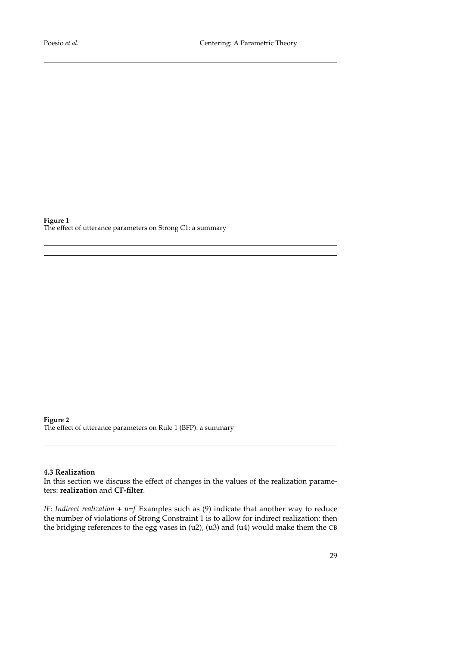**Figure 1** The effect of utterance parameters on Strong C1: a summary

**Figure 2** The effect of utterance parameters on Rule 1 (BFP): a summary

# **4.3 Realization**

In this section we discuss the effect of changes in the values of the realization parameters: **realization** and **CF-filter**.

*IF: Indirect realization + u=f* Examples such as (9) indicate that another way to reduce the number of violations of Strong Constraint 1 is to allow for indirect realization: then the bridging references to the egg vases in  $(u2)$ ,  $(u3)$  and  $(u4)$  would make them the CB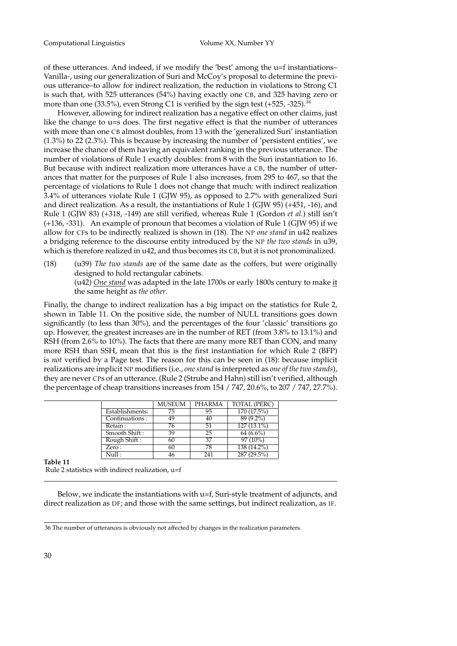of these utterances. And indeed, if we modify the 'best' among the u=f instantiations– Vanilla-, using our generalization of Suri and McCoy's proposal to determine the previous utterance–to allow for indirect realization, the reduction in violations to Strong C1 is such that, with 525 utterances (54%) having exactly one CB, and 325 having zero or more than one (33.5%), even Strong C1 is verified by the sign test  $(+525, -325)$ .<sup>36</sup>

However, allowing for indirect realization has a negative effect on other claims, just like the change to u=s does. The first negative effect is that the number of utterances with more than one CB almost doubles, from 13 with the 'generalized Suri' instantiation (1.3%) to 22 (2.3%). This is because by increasing the number of 'persistent entities', we increase the chance of them having an equivalent ranking in the previous utterance. The number of violations of Rule 1 exactly doubles: from 8 with the Suri instantiation to 16. But because with indirect realization more utterances have a CB, the number of utterances that matter for the purposes of Rule 1 also increases, from 295 to 467, so that the percentage of violations to Rule 1 does not change that much: with indirect realization 3.4% of utterances violate Rule 1 (GJW 95), as opposed to 2.7% with generalized Suri and direct realization. As a result, the instantiations of Rule 1 (GJW 95) (+451, -16), and Rule 1 (GJW 83) (+318, -149) are still verified, whereas Rule 1 (Gordon *et al.*) still isn't (+136, -331). An example of pronoun that becomes a violation of Rule 1 (GJW 95) if we allow for CFs to be indirectly realized is shown in (18). The NP *one stand* in u42 realizes a bridging reference to the discourse entity introduced by the NP *the two stands* in u39, which is therefore realized in u42, and thus becomes its CB, but it is not pronominalized.

(18) (u39) *The two stands* are of the same date as the coffers, but were originally designed to hold rectangular cabinets.

(u42) *One stand* was adapted in the late 1700s or early 1800s century to make it the same height as *the other*.

Finally, the change to indirect realization has a big impact on the statistics for Rule 2, shown in Table 11. On the positive side, the number of NULL transitions goes down significantly (to less than 30%), and the percentages of the four 'classic' transitions go up. However, the greatest increases are in the number of RET (from 3.8% to 13.1%) and RSH (from 2.6% to 10%). The facts that there are many more RET than CON, and many more RSH than SSH, mean that this is the first instantiation for which Rule 2 (BFP) is *not* verified by a Page test. The reason for this can be seen in (18): because implicit realizations are implicit NP modifiers (i.e., *one stand* is interpreted as *one of the two stands*), they are never CPs of an utterance. (Rule 2 (Strube and Hahn) still isn't verified, although the percentage of cheap transitions increases from 154 / 747, 20.6%, to 207 / 747, 27.7%).

|                 | <b>MUSEUM</b> | <b>PHARMA</b> | <b>TOTAL (PERC)</b> |
|-----------------|---------------|---------------|---------------------|
| Establishments: | 75            | 95            | 170(17.5%)          |
| Continuations:  | 49            | 40            | 89 (9.2%)           |
| Retain:         | 76            | 51            | $127(13.1\%)$       |
| Smooth Shift:   | 39            | 25            | $64(6.6\%)$         |
| Rough Shift:    | 60            | 37            | $97(10\%)$          |
| Zero:           | 60            | 78            | $138(14.2\%)$       |
| Null:           | 46            | 241           | 287(29.5%)          |

**Table 11**

Rule 2 statistics with indirect realization, u=f

Below, we indicate the instantiations with u=f, Suri-style treatment of adjuncts, and direct realization as DF; and those with the same settings, but indirect realization, as IF.

<sup>36</sup> The number of utterances is obviously not affected by changes in the realization parameters.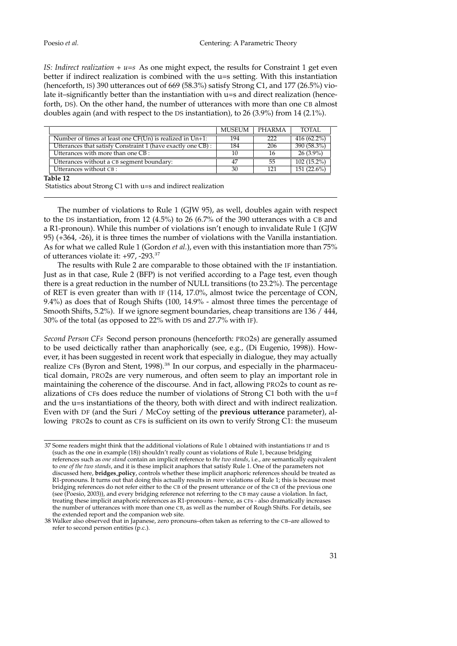*IS: Indirect realization + u=s* As one might expect, the results for Constraint 1 get even better if indirect realization is combined with the u=s setting. With this instantiation (henceforth, IS) 390 utterances out of 669 (58.3%) satisfy Strong C1, and 177 (26.5%) violate it–significantly better than the instantiation with u=s and direct realization (henceforth, DS). On the other hand, the number of utterances with more than one CB almost doubles again (and with respect to the DS instantiation), to 26 (3.9%) from 14 (2.1%).

|                                                               | <b>MUSEUM</b> | PHARMA | TOTAL.        |
|---------------------------------------------------------------|---------------|--------|---------------|
| Number of times at least one $CF(Un)$ is realized in $Un+1$ : | 194           | 222    | $416(62.2\%)$ |
| Utterances that satisfy Constraint 1 (have exactly one CB) :  | 184           | 206    | 390(58.3%)    |
| Utterances with more than one CB:                             | 10            | 16     | $26(3.9\%)$   |
| Utterances without a CB segment boundary:                     | 47            | 55     | $102(15.2\%)$ |
| Utterances without CB:                                        | 30            | 121    | $151(22.6\%)$ |

**Table 12**

Statistics about Strong C1 with u=s and indirect realization

The number of violations to Rule 1 (GJW 95), as well, doubles again with respect to the DS instantiation, from 12 (4.5%) to 26 (6.7% of the 390 utterances with a CB and a R1-pronoun). While this number of violations isn't enough to invalidate Rule 1 (GJW 95) (+364, -26), it is three times the number of violations with the Vanilla instantiation. As for what we called Rule 1 (Gordon *et al.*), even with this instantiation more than 75% of utterances violate it: +97, -293.<sup>37</sup>

The results with Rule 2 are comparable to those obtained with the IF instantiation. Just as in that case, Rule 2 (BFP) is not verified according to a Page test, even though there is a great reduction in the number of NULL transitions (to 23.2%). The percentage of RET is even greater than with IF (114, 17.0%, almost twice the percentage of CON, 9.4%) as does that of Rough Shifts (100, 14.9% - almost three times the percentage of Smooth Shifts, 5.2%). If we ignore segment boundaries, cheap transitions are 136 / 444, 30% of the total (as opposed to 22% with DS and 27.7% with IF).

*Second Person CFs* Second person pronouns (henceforth: PRO2s) are generally assumed to be used deictically rather than anaphorically (see, e.g., (Di Eugenio, 1998)). However, it has been suggested in recent work that especially in dialogue, they may actually realize CFs (Byron and Stent, 1998).<sup>38</sup> In our corpus, and especially in the pharmaceutical domain, PRO2s are very numerous, and often seem to play an important role in maintaining the coherence of the discourse. And in fact, allowing PRO2s to count as realizations of CFs does reduce the number of violations of Strong C1 both with the u=f and the u=s instantiations of the theory, both with direct and with indirect realization. Even with DF (and the Suri / McCoy setting of the **previous utterance** parameter), allowing PRO2s to count as CFs is sufficient on its own to verify Strong C1: the museum

<sup>37</sup> Some readers might think that the additional violations of Rule 1 obtained with instantiations IF and IS (such as the one in example (18)) shouldn't really count as violations of Rule 1, because bridging references such as *one stand* contain an implicit reference to *the two stands*, i.e., are semantically equivalent to *one of the two stands*, and it is these implicit anaphors that satisfy Rule 1. One of the parameters not discussed here, **bridges policy**, controls whether these implicit anaphoric references should be treated as R1-pronouns. It turns out that doing this actually results in *more* violations of Rule 1; this is because most bridging references do not refer either to the CB of the present utterance or of the CB of the previous one (see (Poesio, 2003)), and every bridging reference not referring to the CB may cause a violation. In fact, treating these implicit anaphoric references as R1-pronouns - hence, as CFs - also dramatically increases the number of utterances with more than one CB, as well as the number of Rough Shifts. For details, see the extended report and the companion web site.

<sup>38</sup> Walker also observed that in Japanese, zero pronouns–often taken as referring to the CB–are allowed to refer to second person entities (p.c.).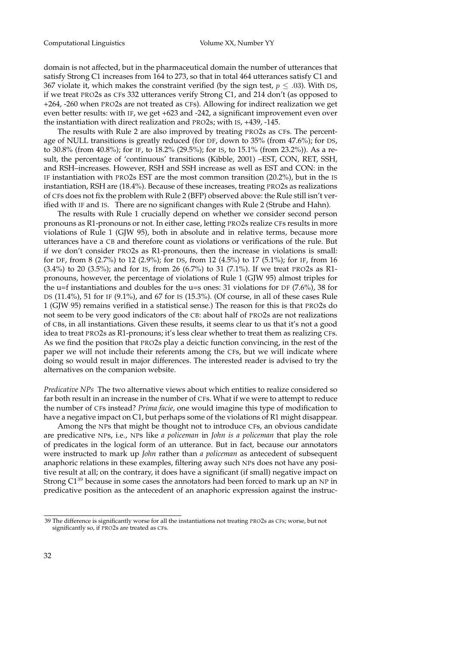domain is not affected, but in the pharmaceutical domain the number of utterances that satisfy Strong C1 increases from 164 to 273, so that in total 464 utterances satisfy C1 and 367 violate it, which makes the constraint verified (by the sign test,  $p \leq .03$ ). With DS, if we treat PRO2s as CFs 332 utterances verify Strong C1, and 214 don't (as opposed to +264, -260 when PRO2s are not treated as CFs). Allowing for indirect realization we get even better results: with IF, we get +623 and -242, a significant improvement even over the instantiation with direct realization and PRO2s; with IS, +439, -145.

The results with Rule 2 are also improved by treating PRO2s as CFs. The percentage of NULL transitions is greatly reduced (for DF, down to 35% (from 47.6%); for DS, to 30.8% (from 40.8%); for IF, to 18.2% (29.5%); for IS, to 15.1% (from 23.2%)). As a result, the percentage of 'continuous' transitions (Kibble, 2001) –EST, CON, RET, SSH, and RSH–increases. However, RSH and SSH increase as well as EST and CON: in the IF instantiation with PRO2s EST are the most common transition (20.2%), but in the IS instantiation, RSH are (18.4%). Because of these increases, treating PRO2s as realizations of CFs does not fix the problem with Rule 2 (BFP) observed above: the Rule still isn't verified with IF and IS. There are no significant changes with Rule 2 (Strube and Hahn).

The results with Rule 1 crucially depend on whether we consider second person pronouns as R1-pronouns or not. In either case, letting PRO2s realize CFs results in more violations of Rule 1 (GJW 95), both in absolute and in relative terms, because more utterances have a CB and therefore count as violations or verifications of the rule. But if we don't consider PRO2s as R1-pronouns, then the increase in violations is small: for DF, from 8 (2.7%) to 12 (2.9%); for DS, from 12 (4.5%) to 17 (5.1%); for IF, from 16 (3.4%) to 20 (3.5%); and for IS, from 26 (6.7%) to 31 (7.1%). If we treat PRO2s as R1 pronouns, however, the percentage of violations of Rule 1 (GJW 95) almost triples for the u=f instantiations and doubles for the u=s ones: 31 violations for DF (7.6%), 38 for DS (11.4%), 51 for IF (9.1%), and 67 for IS (15.3%). (Of course, in all of these cases Rule 1 (GJW 95) remains verified in a statistical sense.) The reason for this is that PRO2s do not seem to be very good indicators of the CB: about half of PRO2s are not realizations of CBs, in all instantiations. Given these results, it seems clear to us that it's not a good idea to treat PRO2s as R1-pronouns; it's less clear whether to treat them as realizing CFs. As we find the position that PRO2s play a deictic function convincing, in the rest of the paper we will not include their referents among the CFs, but we will indicate where doing so would result in major differences. The interested reader is advised to try the alternatives on the companion website.

*Predicative NPs* The two alternative views about which entities to realize considered so far both result in an increase in the number of CFs. What if we were to attempt to reduce the number of CFs instead? *Prima facie*, one would imagine this type of modification to have a negative impact on C1, but perhaps some of the violations of R1 might disappear.

Among the NPs that might be thought not to introduce CFs, an obvious candidate are predicative NPs, i.e., NPs like *a policeman* in *John is a policeman* that play the role of predicates in the logical form of an utterance. But in fact, because our annotators were instructed to mark up *John* rather than *a policeman* as antecedent of subsequent anaphoric relations in these examples, filtering away such NPs does not have any positive result at all; on the contrary, it does have a significant (if small) negative impact on Strong  $C1^{39}$  because in some cases the annotators had been forced to mark up an NP in predicative position as the antecedent of an anaphoric expression against the instruc-

<sup>39</sup> The difference is significantly worse for all the instantiations not treating PRO2s as CFs; worse, but not significantly so, if PRO2s are treated as CFs.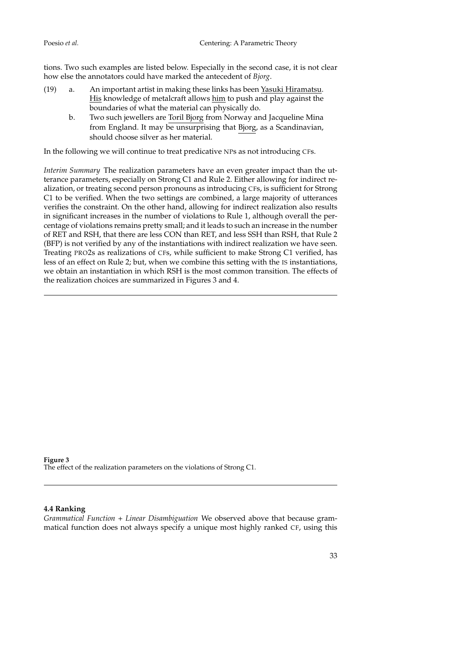tions. Two such examples are listed below. Especially in the second case, it is not clear how else the annotators could have marked the antecedent of *Bjorg*.

- (19) a. An important artist in making these links has been Yasuki Hiramatsu. His knowledge of metalcraft allows him to push and play against the boundaries of what the material can physically do.
	- b. Two such jewellers are Toril Bjorg from Norway and Jacqueline Mina from England. It may be unsurprising that Bjorg, as a Scandinavian, should choose silver as her material.

In the following we will continue to treat predicative NPs as not introducing CFs.

*Interim Summary* The realization parameters have an even greater impact than the utterance parameters, especially on Strong C1 and Rule 2. Either allowing for indirect realization, or treating second person pronouns as introducing CFs, is sufficient for Strong C1 to be verified. When the two settings are combined, a large majority of utterances verifies the constraint. On the other hand, allowing for indirect realization also results in significant increases in the number of violations to Rule 1, although overall the percentage of violations remains pretty small; and it leads to such an increase in the number of RET and RSH, that there are less CON than RET, and less SSH than RSH, that Rule 2 (BFP) is not verified by any of the instantiations with indirect realization we have seen. Treating PRO2s as realizations of CFs, while sufficient to make Strong C1 verified, has less of an effect on Rule 2; but, when we combine this setting with the IS instantiations, we obtain an instantiation in which RSH is the most common transition. The effects of the realization choices are summarized in Figures 3 and 4.

**Figure 3** The effect of the realization parameters on the violations of Strong C1.

# **4.4 Ranking**

*Grammatical Function + Linear Disambiguation* We observed above that because grammatical function does not always specify a unique most highly ranked CF, using this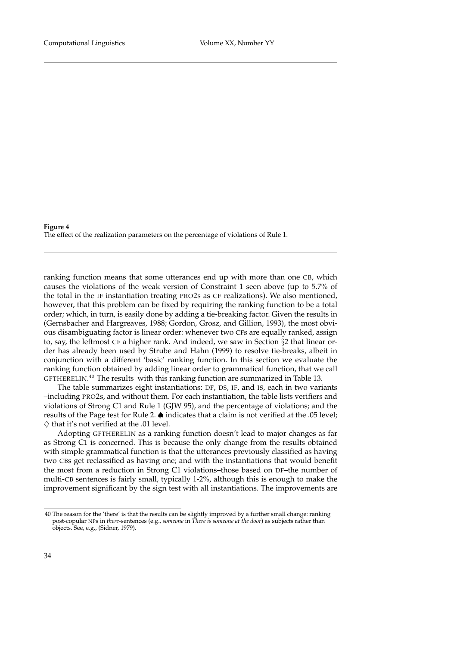**Figure 4** The effect of the realization parameters on the percentage of violations of Rule 1.

ranking function means that some utterances end up with more than one CB, which causes the violations of the weak version of Constraint 1 seen above (up to 5.7% of the total in the IF instantiation treating PRO2s as CF realizations). We also mentioned, however, that this problem can be fixed by requiring the ranking function to be a total order; which, in turn, is easily done by adding a tie-breaking factor. Given the results in (Gernsbacher and Hargreaves, 1988; Gordon, Grosz, and Gillion, 1993), the most obvious disambiguating factor is linear order: whenever two CFs are equally ranked, assign to, say, the leftmost CF a higher rank. And indeed, we saw in Section §2 that linear order has already been used by Strube and Hahn (1999) to resolve tie-breaks, albeit in conjunction with a different 'basic' ranking function. In this section we evaluate the ranking function obtained by adding linear order to grammatical function, that we call GFTHERELIN.<sup>40</sup> The results with this ranking function are summarized in Table 13.

The table summarizes eight instantiations: DF, DS, IF, and IS, each in two variants –including PRO2s, and without them. For each instantiation, the table lists verifiers and violations of Strong C1 and Rule 1 (GJW 95), and the percentage of violations; and the results of the Page test for Rule 2. ♠ indicates that a claim is not verified at the .05 level;  $\diamondsuit$  that it's not verified at the .01 level.

Adopting GFTHERELIN as a ranking function doesn't lead to major changes as far as Strong C1 is concerned. This is because the only change from the results obtained with simple grammatical function is that the utterances previously classified as having two CBs get reclassified as having one; and with the instantiations that would benefit the most from a reduction in Strong C1 violations–those based on DF–the number of multi-CB sentences is fairly small, typically 1-2%, although this is enough to make the improvement significant by the sign test with all instantiations. The improvements are

<sup>40</sup> The reason for the 'there' is that the results can be slightly improved by a further small change: ranking post-copular NPs in *there*-sentences (e.g., *someone* in *There is someone at the door*) as subjects rather than objects. See, e.g., (Sidner, 1979).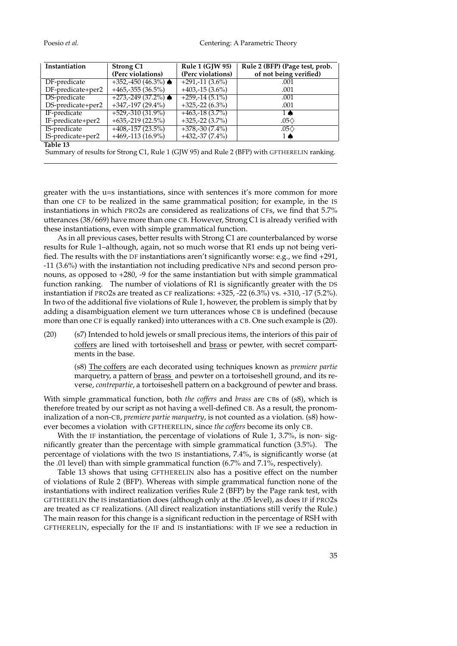Poesio *et al.* Centering: A Parametric Theory

| Instantiation     | <b>Strong C1</b>                 | <b>Rule 1 (GJW 95)</b> | Rule 2 (BFP) (Page test, prob. |
|-------------------|----------------------------------|------------------------|--------------------------------|
|                   | (Perc violations)                | (Perc violations)      | of not being verified)         |
| DF-predicate      | $+352,-450(46.3\%)$ $\spadesuit$ | $+291,-11(3.6\%)$      | .001                           |
| DF-predicate+per2 | $+465, -355(36.5\%)$             | $+403,-15(3.6\%)$      | .001                           |
| DS-predicate      | $+273,-249$ (37.2%) $\spadesuit$ | $+259,-14(5.1\%)$      | .001                           |
| DS-predicate+per2 | $+347,-197(29.4\%)$              | $+325,-22(6.3\%)$      | .001                           |
| IF-predicate      | $+529, -310(31.9\%)$             | $+463,-18(3.7%)$       | $1 \spadesuit$                 |
| IF-predicate+per2 | $+635, -219(22.5%)$              | $+325,-22(3.7%)$       | .05 $\diamond$                 |
| IS-predicate      | $+408, -157(23.5\%)$             | $+378,-30(7.4\%)$      | .05 $\diamond$                 |
| IS-predicate+per2 | $+469, -113(16.9\%)$             | $+432,-37(7.4\%)$      | 1 ♠                            |
| Table 13          |                                  |                        |                                |

Summary of results for Strong C1, Rule 1 (GJW 95) and Rule 2 (BFP) with GFTHERELIN ranking.

greater with the u=s instantiations, since with sentences it's more common for more than one CF to be realized in the same grammatical position; for example, in the IS instantiations in which PRO2s are considered as realizations of CFs, we find that 5.7% utterances (38/669) have more than one CB. However, Strong C1 is already verified with these instantiations, even with simple grammatical function.

As in all previous cases, better results with Strong C1 are counterbalanced by worse results for Rule 1–although, again, not so much worse that R1 ends up not being verified. The results with the DF instantiations aren't significantly worse: e.g., we find +291, -11 (3.6%) with the instantiation not including predicative NPs and second person pronouns, as opposed to +280, -9 for the same instantiation but with simple grammatical function ranking. The number of violations of R1 is significantly greater with the DS instantiation if PRO2s are treated as CF realizations: +325, -22 (6.3%) vs. +310, -17 (5.2%). In two of the additional five violations of Rule 1, however, the problem is simply that by adding a disambiguation element we turn utterances whose CB is undefined (because more than one CF is equally ranked) into utterances with a CB. One such example is (20).

(20) (s7) Intended to hold jewels or small precious items, the interiors of this pair of coffers are lined with tortoiseshell and brass or pewter, with secret compartments in the base.

> (s8) The coffers are each decorated using techniques known as *premiere partie* marquetry, a pattern of brass and pewter on a tortoiseshell ground, and its reverse, *contrepartie*, a tortoiseshell pattern on a background of pewter and brass.

With simple grammatical function, both *the coffers* and *brass* are CBs of (s8), which is therefore treated by our script as not having a well-defined CB. As a result, the pronominalization of a non-CB, *premiere partie marquetry*, is not counted as a violation. (s8) however becomes a violation with GFTHERELIN, since *the coffers* become its only CB.

With the IF instantiation, the percentage of violations of Rule 1, 3.7%, is non-significantly greater than the percentage with simple grammatical function (3.5%). The percentage of violations with the two IS instantiations, 7.4%, is significantly worse (at the .01 level) than with simple grammatical function (6.7% and 7.1%, respectively).

Table 13 shows that using GFTHERELIN also has a positive effect on the number of violations of Rule 2 (BFP). Whereas with simple grammatical function none of the instantiations with indirect realization verifies Rule 2 (BFP) by the Page rank test, with GFTHERELIN the IS instantiation does (although only at the .05 level), as does IF if PRO2s are treated as CF realizations. (All direct realization instantiations still verify the Rule.) The main reason for this change is a significant reduction in the percentage of RSH with GFTHERELIN, especially for the IF and IS instantiations: with IF we see a reduction in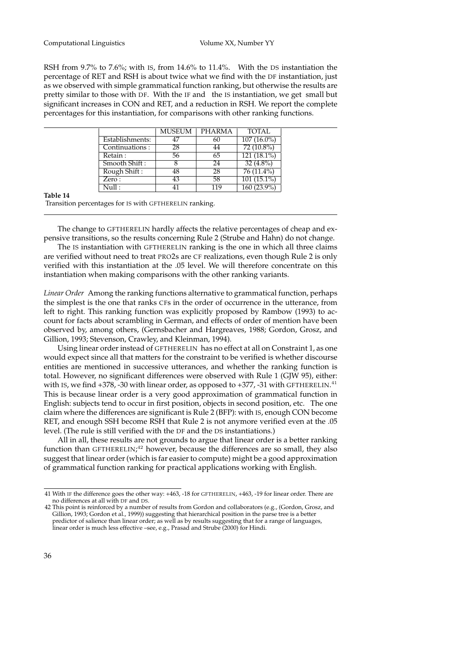RSH from 9.7% to 7.6%; with IS, from 14.6% to 11.4%. With the DS instantiation the percentage of RET and RSH is about twice what we find with the DF instantiation, just as we observed with simple grammatical function ranking, but otherwise the results are pretty similar to those with DF. With the IF and the IS instantiation, we get small but significant increases in CON and RET, and a reduction in RSH. We report the complete percentages for this instantiation, for comparisons with other ranking functions.

|                            | MUSEUM | <b>PHARMA</b> | <b>TOTAL</b>             |
|----------------------------|--------|---------------|--------------------------|
| Establishments:            | 47     | 60            | $107(16.0\%)$            |
| Continuations:             | 28     | 44            | $72(10.8\%)$             |
| Retain:                    | 56     | 65            | $121(18.1\%)$            |
| Smooth Shift:              |        | 24            | $32(4.8\%)$              |
| Rough Shift:               | 48     | 28            | 76 (11.4%)               |
| Zero:                      | 43     | 58            | $\overline{101(15.1\%)}$ |
| $\overline{\text{Null}}$ : |        | 119           | 160 (23.9%)              |

#### **Table 14**

Transition percentages for IS with GFTHERELIN ranking.

The change to GFTHERELIN hardly affects the relative percentages of cheap and expensive transitions, so the results concerning Rule 2 (Strube and Hahn) do not change.

The IS instantiation with GFTHERELIN ranking is the one in which all three claims are verified without need to treat PRO2s are CF realizations, even though Rule 2 is only verified with this instantiation at the .05 level. We will therefore concentrate on this instantiation when making comparisons with the other ranking variants.

*Linear Order* Among the ranking functions alternative to grammatical function, perhaps the simplest is the one that ranks CFs in the order of occurrence in the utterance, from left to right. This ranking function was explicitly proposed by Rambow (1993) to account for facts about scrambling in German, and effects of order of mention have been observed by, among others, (Gernsbacher and Hargreaves, 1988; Gordon, Grosz, and Gillion, 1993; Stevenson, Crawley, and Kleinman, 1994).

Using linear order instead of GFTHERELIN has no effect at all on Constraint 1, as one would expect since all that matters for the constraint to be verified is whether discourse entities are mentioned in successive utterances, and whether the ranking function is total. However, no significant differences were observed with Rule 1 (GJW 95), either: with IS, we find +378, -30 with linear order, as opposed to +377, -31 with <code>GFTHERELIN. $^{41}$ </code> This is because linear order is a very good approximation of grammatical function in English: subjects tend to occur in first position, objects in second position, etc. The one claim where the differences are significant is Rule 2 (BFP): with IS, enough CON become RET, and enough SSH become RSH that Rule 2 is not anymore verified even at the .05 level. (The rule is still verified with the DF and the DS instantiations.)

All in all, these results are not grounds to argue that linear order is a better ranking function than  $GFHERELIN<sup>,42</sup>$  however, because the differences are so small, they also suggest that linear order (which is far easier to compute) might be a good approximation of grammatical function ranking for practical applications working with English.

<sup>41</sup> With IF the difference goes the other way: +463, -18 for GFTHERELIN, +463, -19 for linear order. There are no differences at all with DF and DS.

<sup>42</sup> This point is reinforced by a number of results from Gordon and collaborators (e.g., (Gordon, Grosz, and Gillion, 1993; Gordon et al., 1999)) suggesting that hierarchical position in the parse tree is a better predictor of salience than linear order; as well as by results suggesting that for a range of languages, linear order is much less effective –see, e.g., Prasad and Strube (2000) for Hindi.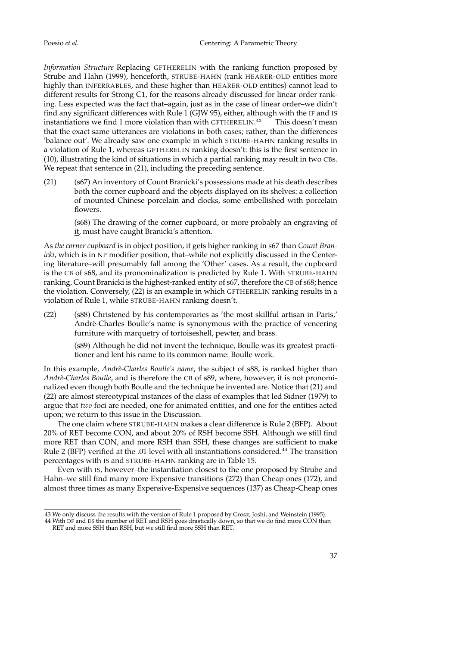*Information Structure* Replacing GFTHERELIN with the ranking function proposed by Strube and Hahn (1999), henceforth, STRUBE-HAHN (rank HEARER-OLD entities more highly than INFERRABLES, and these higher than HEARER-OLD entities) cannot lead to different results for Strong C1, for the reasons already discussed for linear order ranking. Less expected was the fact that–again, just as in the case of linear order–we didn't find any significant differences with Rule 1 (GJW 95), either, although with the IF and IS instantiations we find 1 more violation than with GFTHERELIN. This doesn't mean that the exact same utterances are violations in both cases; rather, than the differences 'balance out'. We already saw one example in which STRUBE-HAHN ranking results in a violation of Rule 1, whereas GFTHERELIN ranking doesn't: this is the first sentence in (10), illustrating the kind of situations in which a partial ranking may result in two CBs. We repeat that sentence in (21), including the preceding sentence.

(21) (s67) An inventory of Count Branicki's possessions made at his death describes both the corner cupboard and the objects displayed on its shelves: a collection of mounted Chinese porcelain and clocks, some embellished with porcelain flowers.

> (s68) The drawing of the corner cupboard, or more probably an engraving of it, must have caught Branicki's attention.

As *the corner cupboard* is in object position, it gets higher ranking in s67 than *Count Branicki*, which is in NP modifier position, that–while not explicitly discussed in the Centering literature–will presumably fall among the 'Other' cases. As a result, the cupboard is the CB of s68, and its pronominalization is predicted by Rule 1. With STRUBE-HAHN ranking, Count Branicki is the highest-ranked entity of s67, therefore the CB of s68; hence the violation. Conversely, (22) is an example in which GFTHERELIN ranking results in a violation of Rule 1, while STRUBE-HAHN ranking doesn't.

(22) (s88) Christened by his contemporaries as 'the most skillful artisan in Paris,' Andrè-Charles Boulle's name is synonymous with the practice of veneering furniture with marquetry of tortoiseshell, pewter, and brass.

> (s89) Although he did not invent the technique, Boulle was its greatest practitioner and lent his name to its common name: Boulle work.

In this example, *Andrè-Charles Boulle's name*, the subject of s88, is ranked higher than *Andrè-Charles Boulle*, and is therefore the CB of s89, where, however, it is not pronominalized even though both Boulle and the technique he invented are. Notice that (21) and (22) are almost stereotypical instances of the class of examples that led Sidner (1979) to argue that *two* foci are needed, one for animated entities, and one for the entities acted upon; we return to this issue in the Discussion.

The one claim where STRUBE-HAHN makes a clear difference is Rule 2 (BFP). About 20% of RET become CON, and about 20% of RSH become SSH. Although we still find more RET than CON, and more RSH than SSH, these changes are sufficient to make Rule 2 (BFP) verified at the .01 level with all instantiations considered.<sup>44</sup> The transition percentages with IS and STRUBE-HAHN ranking are in Table 15.

Even with IS, however–the instantiation closest to the one proposed by Strube and Hahn–we still find many more Expensive transitions (272) than Cheap ones (172), and almost three times as many Expensive-Expensive sequences (137) as Cheap-Cheap ones

<sup>43</sup> We only discuss the results with the version of Rule 1 proposed by Grosz, Joshi, and Weinstein (1995).

<sup>44</sup> With DF and DS the number of RET and RSH goes drastically down, so that we do find more CON than RET and more SSH than RSH, but we still find more SSH than RET.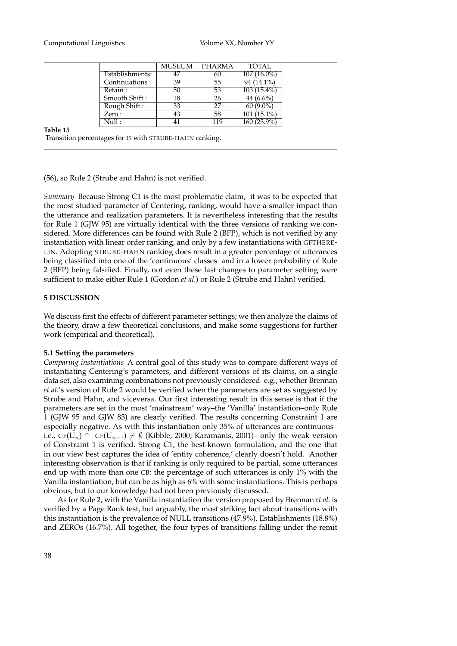|                 | MUSEUM | <b>PHARMA</b> | <b>TOTAL</b>             |
|-----------------|--------|---------------|--------------------------|
| Establishments: | 47     | 60            | $107(16.0\%)$            |
| Continuations:  | 39     | 55            | 94 (14.1%)               |
| Retain:         | 50     | 53            | $\overline{103(15.4\%)}$ |
| Smooth Shift:   | 18     | 26            | $44(6.6\%)$              |
| Rough Shift:    | 33     | 27            | $60(9.0\%)$              |
| Zero:           | 43     | 58            | $101(15.1\%)$            |
| Null :          |        | 119           | 160 (23.9%)              |

### **Table 15**

Transition percentages for IS with STRUBE-HAHN ranking.

(56), so Rule 2 (Strube and Hahn) is not verified.

*Summary* Because Strong C1 is the most problematic claim, it was to be expected that the most studied parameter of Centering, ranking, would have a smaller impact than the utterance and realization parameters. It is nevertheless interesting that the results for Rule 1 (GJW 95) are virtually identical with the three versions of ranking we considered. More differences can be found with Rule 2 (BFP), which is not verified by any instantiation with linear order ranking, and only by a few instantiations with GFTHERE-LIN. Adopting STRUBE-HAHN ranking does result in a greater percentage of utterances being classified into one of the 'continuous' classes and in a lower probability of Rule 2 (BFP) being falsified. Finally, not even these last changes to parameter setting were sufficient to make either Rule 1 (Gordon *et al.*) or Rule 2 (Strube and Hahn) verified.

# **5 DISCUSSION**

We discuss first the effects of different parameter settings; we then analyze the claims of the theory, draw a few theoretical conclusions, and make some suggestions for further work (empirical and theoretical).

# **5.1 Setting the parameters**

*Comparing instantiations* A central goal of this study was to compare different ways of instantiating Centering's parameters, and different versions of its claims, on a single data set, also examining combinations not previously considered–e.g., whether Brennan *et al.*'s version of Rule 2 would be verified when the parameters are set as suggested by Strube and Hahn, and viceversa. Our first interesting result in this sense is that if the parameters are set in the most 'mainstream' way–the 'Vanilla' instantiation–only Rule 1 (GJW 95 and GJW 83) are clearly verified. The results concerning Constraint 1 are especially negative. As with this instantiation only 35% of utterances are continuous– i.e., CF(U<sub>n</sub>) ∩ CF(U<sub>n−1</sub>)  $\neq \emptyset$  (Kibble, 2000; Karamanis, 2001)– only the weak version of Constraint 1 is verified. Strong C1, the best-known formulation, and the one that in our view best captures the idea of 'entity coherence,' clearly doesn't hold. Another interesting observation is that if ranking is only required to be partial, some utterances end up with more than one CB: the percentage of such utterances is only 1% with the Vanilla instantiation, but can be as high as 6% with some instantiations. This is perhaps obvious, but to our knowledge had not been previously discussed.

As for Rule 2, with the Vanilla instantiation the version proposed by Brennan *et al.* is verified by a Page Rank test, but arguably, the most striking fact about transitions with this instantiation is the prevalence of NULL transitions (47.9%), Establishments (18.8%) and ZEROs (16.7%). All together, the four types of transitions falling under the remit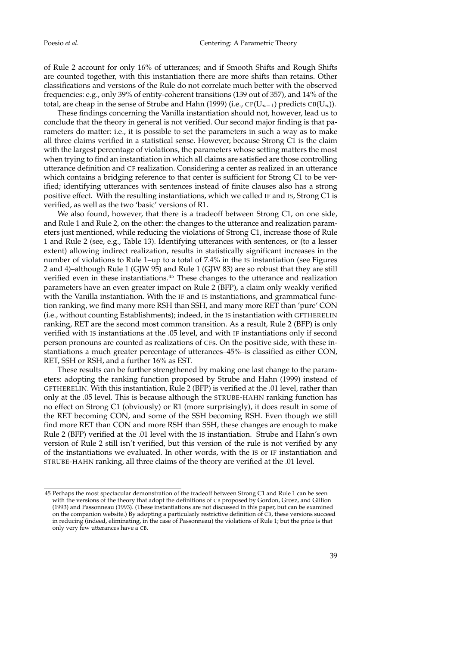of Rule 2 account for only 16% of utterances; and if Smooth Shifts and Rough Shifts are counted together, with this instantiation there are more shifts than retains. Other classifications and versions of the Rule do not correlate much better with the observed frequencies: e.g., only 39% of entity-coherent transitions (139 out of 357), and 14% of the total, are cheap in the sense of Strube and Hahn (1999) (i.e.,  $CP(U_{n-1})$  predicts  $CB(U_n)$ ).

These findings concerning the Vanilla instantiation should not, however, lead us to conclude that the theory in general is not verified. Our second major finding is that parameters do matter: i.e., it is possible to set the parameters in such a way as to make all three claims verified in a statistical sense. However, because Strong C1 is the claim with the largest percentage of violations, the parameters whose setting matters the most when trying to find an instantiation in which all claims are satisfied are those controlling utterance definition and CF realization. Considering a center as realized in an utterance which contains a bridging reference to that center is sufficient for Strong C1 to be verified; identifying utterances with sentences instead of finite clauses also has a strong positive effect. With the resulting instantiations, which we called IF and IS, Strong C1 is verified, as well as the two 'basic' versions of R1.

We also found, however, that there is a tradeoff between Strong C1, on one side, and Rule 1 and Rule 2, on the other: the changes to the utterance and realization parameters just mentioned, while reducing the violations of Strong C1, increase those of Rule 1 and Rule 2 (see, e.g., Table 13). Identifying utterances with sentences, or (to a lesser extent) allowing indirect realization, results in statistically significant increases in the number of violations to Rule 1–up to a total of 7.4% in the IS instantiation (see Figures 2 and 4)–although Rule 1 (GJW 95) and Rule 1 (GJW 83) are so robust that they are still verified even in these instantiations.<sup>45</sup> These changes to the utterance and realization parameters have an even greater impact on Rule 2 (BFP), a claim only weakly verified with the Vanilla instantiation. With the IF and IS instantiations, and grammatical function ranking, we find many more RSH than SSH, and many more RET than 'pure' CON (i.e., without counting Establishments); indeed, in the IS instantiation with GFTHERELIN ranking, RET are the second most common transition. As a result, Rule 2 (BFP) is only verified with IS instantiations at the .05 level, and with IF instantiations only if second person pronouns are counted as realizations of CFs. On the positive side, with these instantiations a much greater percentage of utterances–45%–is classified as either CON, RET, SSH or RSH, and a further 16% as EST.

These results can be further strengthened by making one last change to the parameters: adopting the ranking function proposed by Strube and Hahn (1999) instead of GFTHERELIN. With this instantiation, Rule 2 (BFP) is verified at the .01 level, rather than only at the .05 level. This is because although the STRUBE-HAHN ranking function has no effect on Strong C1 (obviously) or R1 (more surprisingly), it does result in some of the RET becoming CON, and some of the SSH becoming RSH. Even though we still find more RET than CON and more RSH than SSH, these changes are enough to make Rule 2 (BFP) verified at the .01 level with the IS instantiation. Strube and Hahn's own version of Rule 2 still isn't verified, but this version of the rule is not verified by any of the instantiations we evaluated. In other words, with the IS or IF instantiation and STRUBE-HAHN ranking, all three claims of the theory are verified at the .01 level.

<sup>45</sup> Perhaps the most spectacular demonstration of the tradeoff between Strong C1 and Rule 1 can be seen with the versions of the theory that adopt the definitions of CB proposed by Gordon, Grosz, and Gillion (1993) and Passonneau (1993). (These instantiations are not discussed in this paper, but can be examined on the companion website.) By adopting a particularly restrictive definition of CB, these versions succeed in reducing (indeed, eliminating, in the case of Passonneau) the violations of Rule 1; but the price is that only very few utterances have a CB.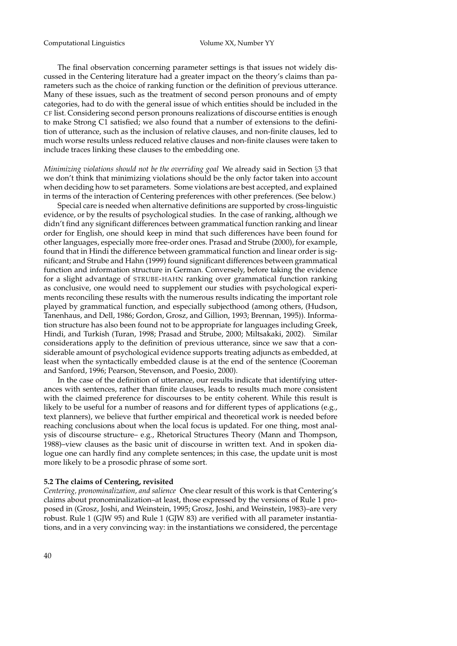The final observation concerning parameter settings is that issues not widely discussed in the Centering literature had a greater impact on the theory's claims than parameters such as the choice of ranking function or the definition of previous utterance. Many of these issues, such as the treatment of second person pronouns and of empty categories, had to do with the general issue of which entities should be included in the CF list. Considering second person pronouns realizations of discourse entities is enough to make Strong C1 satisfied; we also found that a number of extensions to the definition of utterance, such as the inclusion of relative clauses, and non-finite clauses, led to much worse results unless reduced relative clauses and non-finite clauses were taken to include traces linking these clauses to the embedding one.

*Minimizing violations should not be the overriding goal* We already said in Section §3 that we don't think that minimizing violations should be the only factor taken into account when deciding how to set parameters. Some violations are best accepted, and explained in terms of the interaction of Centering preferences with other preferences. (See below.)

Special care is needed when alternative definitions are supported by cross-linguistic evidence, or by the results of psychological studies. In the case of ranking, although we didn't find any significant differences between grammatical function ranking and linear order for English, one should keep in mind that such differences have been found for other languages, especially more free-order ones. Prasad and Strube (2000), for example, found that in Hindi the difference between grammatical function and linear order is significant; and Strube and Hahn (1999) found significant differences between grammatical function and information structure in German. Conversely, before taking the evidence for a slight advantage of STRUBE-HAHN ranking over grammatical function ranking as conclusive, one would need to supplement our studies with psychological experiments reconciling these results with the numerous results indicating the important role played by grammatical function, and especially subjecthood (among others, (Hudson, Tanenhaus, and Dell, 1986; Gordon, Grosz, and Gillion, 1993; Brennan, 1995)). Information structure has also been found not to be appropriate for languages including Greek, Hindi, and Turkish (Turan, 1998; Prasad and Strube, 2000; Miltsakaki, 2002). Similar considerations apply to the definition of previous utterance, since we saw that a considerable amount of psychological evidence supports treating adjuncts as embedded, at least when the syntactically embedded clause is at the end of the sentence (Cooreman and Sanford, 1996; Pearson, Stevenson, and Poesio, 2000).

In the case of the definition of utterance, our results indicate that identifying utterances with sentences, rather than finite clauses, leads to results much more consistent with the claimed preference for discourses to be entity coherent. While this result is likely to be useful for a number of reasons and for different types of applications (e.g., text planners), we believe that further empirical and theoretical work is needed before reaching conclusions about when the local focus is updated. For one thing, most analysis of discourse structure– e.g., Rhetorical Structures Theory (Mann and Thompson, 1988)–view clauses as the basic unit of discourse in written text. And in spoken dialogue one can hardly find any complete sentences; in this case, the update unit is most more likely to be a prosodic phrase of some sort.

### **5.2 The claims of Centering, revisited**

*Centering, pronominalization, and salience* One clear result of this work is that Centering's claims about pronominalization–at least, those expressed by the versions of Rule 1 proposed in (Grosz, Joshi, and Weinstein, 1995; Grosz, Joshi, and Weinstein, 1983)–are very robust. Rule 1 (GJW 95) and Rule 1 (GJW 83) are verified with all parameter instantiations, and in a very convincing way: in the instantiations we considered, the percentage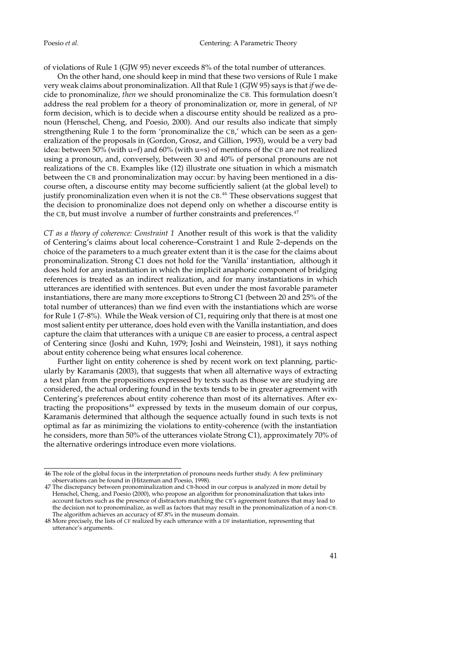of violations of Rule 1 (GJW 95) never exceeds 8% of the total number of utterances.

On the other hand, one should keep in mind that these two versions of Rule 1 make very weak claims about pronominalization. All that Rule 1 (GJW 95) says is that *if* we decide to pronominalize, *then* we should pronominalize the CB. This formulation doesn't address the real problem for a theory of pronominalization or, more in general, of NP form decision, which is to decide when a discourse entity should be realized as a pronoun (Henschel, Cheng, and Poesio, 2000). And our results also indicate that simply strengthening Rule 1 to the form 'pronominalize the CB,' which can be seen as a generalization of the proposals in (Gordon, Grosz, and Gillion, 1993), would be a very bad idea: between 50% (with u=f) and 60% (with u=s) of mentions of the CB are not realized using a pronoun, and, conversely, between 30 and 40% of personal pronouns are not realizations of the CB. Examples like (12) illustrate one situation in which a mismatch between the CB and pronominalization may occur: by having been mentioned in a discourse often, a discourse entity may become sufficiently salient (at the global level) to justify pronominalization even when it is not the CB. $^{46}$  These observations suggest that the decision to pronominalize does not depend only on whether a discourse entity is the CB, but must involve a number of further constraints and preferences.<sup>47</sup>

*CT as a theory of coherence: Constraint 1* Another result of this work is that the validity of Centering's claims about local coherence–Constraint 1 and Rule 2–depends on the choice of the parameters to a much greater extent than it is the case for the claims about pronominalization. Strong C1 does not hold for the 'Vanilla' instantiation, although it does hold for any instantiation in which the implicit anaphoric component of bridging references is treated as an indirect realization, and for many instantiations in which utterances are identified with sentences. But even under the most favorable parameter instantiations, there are many more exceptions to Strong C1 (between 20 and 25% of the total number of utterances) than we find even with the instantiations which are worse for Rule 1 (7-8%). While the Weak version of C1, requiring only that there is at most one most salient entity per utterance, does hold even with the Vanilla instantiation, and does capture the claim that utterances with a unique CB are easier to process, a central aspect of Centering since (Joshi and Kuhn, 1979; Joshi and Weinstein, 1981), it says nothing about entity coherence being what ensures local coherence.

Further light on entity coherence is shed by recent work on text planning, particularly by Karamanis (2003), that suggests that when all alternative ways of extracting a text plan from the propositions expressed by texts such as those we are studying are considered, the actual ordering found in the texts tends to be in greater agreement with Centering's preferences about entity coherence than most of its alternatives. After extracting the propositions<sup>48</sup> expressed by texts in the museum domain of our corpus, Karamanis determined that although the sequence actually found in such texts is not optimal as far as minimizing the violations to entity-coherence (with the instantiation he considers, more than 50% of the utterances violate Strong C1), approximately 70% of the alternative orderings introduce even more violations.

<sup>46</sup> The role of the global focus in the interpretation of pronouns needs further study. A few preliminary observations can be found in (Hitzeman and Poesio, 1998).

<sup>47</sup> The discrepancy between pronominalization and CB-hood in our corpus is analyzed in more detail by Henschel, Cheng, and Poesio (2000), who propose an algorithm for pronominalization that takes into account factors such as the presence of distractors matching the CB's agreement features that may lead to the decision not to pronominalize, as well as factors that may result in the pronominalization of a non-CB. The algorithm achieves an accuracy of 87.8% in the museum domain.

<sup>48</sup> More precisely, the lists of CF realized by each utterance with a DF instantiation, representing that utterance's arguments.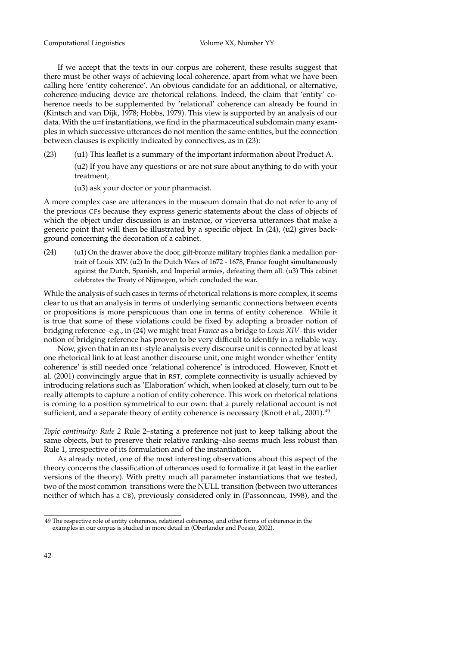If we accept that the texts in our corpus are coherent, these results suggest that there must be other ways of achieving local coherence, apart from what we have been calling here 'entity coherence'. An obvious candidate for an additional, or alternative, coherence-inducing device are rhetorical relations. Indeed, the claim that 'entity' coherence needs to be supplemented by 'relational' coherence can already be found in (Kintsch and van Dijk, 1978; Hobbs, 1979). This view is supported by an analysis of our data. With the u=f instantiations, we find in the pharmaceutical subdomain many examples in which successive utterances do not mention the same entities, but the connection between clauses is explicitly indicated by connectives, as in (23):

(23) (u1) This leaflet is a summary of the important information about Product A.

(u2) If you have any questions or are not sure about anything to do with your treatment,

(u3) ask your doctor or your pharmacist.

A more complex case are utterances in the museum domain that do not refer to any of the previous CFs because they express generic statements about the class of objects of which the object under discussion is an instance, or viceversa utterances that make a generic point that will then be illustrated by a specific object. In (24), (u2) gives background concerning the decoration of a cabinet.

(24) (u1) On the drawer above the door, gilt-bronze military trophies flank a medallion portrait of Louis XIV. (u2) In the Dutch Wars of 1672 - 1678, France fought simultaneously against the Dutch, Spanish, and Imperial armies, defeating them all. (u3) This cabinet celebrates the Treaty of Nijmegen, which concluded the war.

While the analysis of such cases in terms of rhetorical relations is more complex, it seems clear to us that an analysis in terms of underlying semantic connections between events or propositions is more perspicuous than one in terms of entity coherence. While it is true that some of these violations could be fixed by adopting a broader notion of bridging reference–e.g., in (24) we might treat *France* as a bridge to *Louis XIV*–this wider notion of bridging reference has proven to be very difficult to identify in a reliable way.

Now, given that in an RST-style analysis every discourse unit is connected by at least one rhetorical link to at least another discourse unit, one might wonder whether 'entity coherence' is still needed once 'relational coherence' is introduced. However, Knott et al. (2001) convincingly argue that in RST, complete connectivity is usually achieved by introducing relations such as 'Elaboration' which, when looked at closely, turn out to be really attempts to capture a notion of entity coherence. This work on rhetorical relations is coming to a position symmetrical to our own: that a purely relational account is not sufficient, and a separate theory of entity coherence is necessary (Knott et al., 2001).<sup>49</sup>

*Topic continuity: Rule 2* Rule 2–stating a preference not just to keep talking about the same objects, but to preserve their relative ranking–also seems much less robust than Rule 1, irrespective of its formulation and of the instantiation.

As already noted, one of the most interesting observations about this aspect of the theory concerns the classification of utterances used to formalize it (at least in the earlier versions of the theory). With pretty much all parameter instantiations that we tested, two of the most common transitions were the NULL transition (between two utterances neither of which has a CB), previously considered only in (Passonneau, 1998), and the

<sup>49</sup> The respective role of entity coherence, relational coherence, and other forms of coherence in the examples in our corpus is studied in more detail in (Oberlander and Poesio, 2002).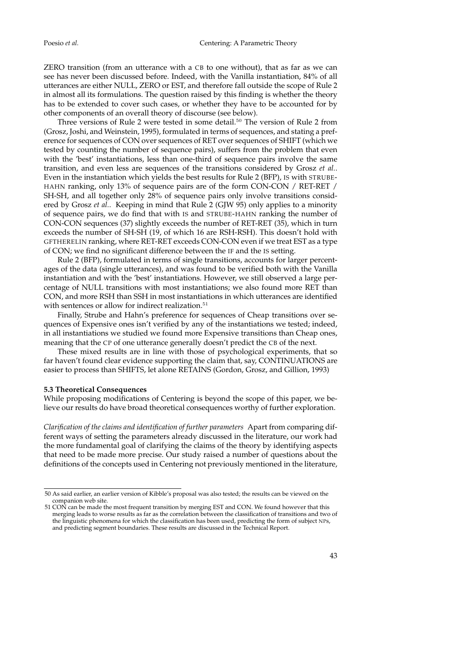ZERO transition (from an utterance with a CB to one without), that as far as we can see has never been discussed before. Indeed, with the Vanilla instantiation, 84% of all utterances are either NULL, ZERO or EST, and therefore fall outside the scope of Rule 2 in almost all its formulations. The question raised by this finding is whether the theory has to be extended to cover such cases, or whether they have to be accounted for by other components of an overall theory of discourse (see below).

Three versions of Rule 2 were tested in some detail.<sup>50</sup> The version of Rule 2 from (Grosz, Joshi, and Weinstein, 1995), formulated in terms of sequences, and stating a preference for sequences of CON over sequences of RET over sequences of SHIFT (which we tested by counting the number of sequence pairs), suffers from the problem that even with the 'best' instantiations, less than one-third of sequence pairs involve the same transition, and even less are sequences of the transitions considered by Grosz *et al.*. Even in the instantiation which yields the best results for Rule 2 (BFP), IS with STRUBE-HAHN ranking, only 13% of sequence pairs are of the form CON-CON / RET-RET / SH-SH, and all together only 28% of sequence pairs only involve transitions considered by Grosz *et al.*. Keeping in mind that Rule 2 (GJW 95) only applies to a minority of sequence pairs, we do find that with IS and STRUBE-HAHN ranking the number of CON-CON sequences (37) slightly exceeds the number of RET-RET (35), which in turn exceeds the number of SH-SH (19, of which 16 are RSH-RSH). This doesn't hold with GFTHERELIN ranking, where RET-RET exceeds CON-CON even if we treat EST as a type of CON; we find no significant difference between the IF and the IS setting.

Rule 2 (BFP), formulated in terms of single transitions, accounts for larger percentages of the data (single utterances), and was found to be verified both with the Vanilla instantiation and with the 'best' instantiations. However, we still observed a large percentage of NULL transitions with most instantiations; we also found more RET than CON, and more RSH than SSH in most instantiations in which utterances are identified with sentences or allow for indirect realization.<sup>51</sup>

Finally, Strube and Hahn's preference for sequences of Cheap transitions over sequences of Expensive ones isn't verified by any of the instantiations we tested; indeed, in all instantiations we studied we found more Expensive transitions than Cheap ones, meaning that the CP of one utterance generally doesn't predict the CB of the next.

These mixed results are in line with those of psychological experiments, that so far haven't found clear evidence supporting the claim that, say, CONTINUATIONS are easier to process than SHIFTS, let alone RETAINS (Gordon, Grosz, and Gillion, 1993)

### **5.3 Theoretical Consequences**

While proposing modifications of Centering is beyond the scope of this paper, we believe our results do have broad theoretical consequences worthy of further exploration.

*Clarification of the claims and identification of further parameters* Apart from comparing different ways of setting the parameters already discussed in the literature, our work had the more fundamental goal of clarifying the claims of the theory by identifying aspects that need to be made more precise. Our study raised a number of questions about the definitions of the concepts used in Centering not previously mentioned in the literature,

<sup>50</sup> As said earlier, an earlier version of Kibble's proposal was also tested; the results can be viewed on the companion web site.

<sup>51</sup> CON can be made the most frequent transition by merging EST and CON. We found however that this merging leads to worse results as far as the correlation between the classification of transitions and two of the linguistic phenomena for which the classification has been used, predicting the form of subject NPs, and predicting segment boundaries. These results are discussed in the Technical Report.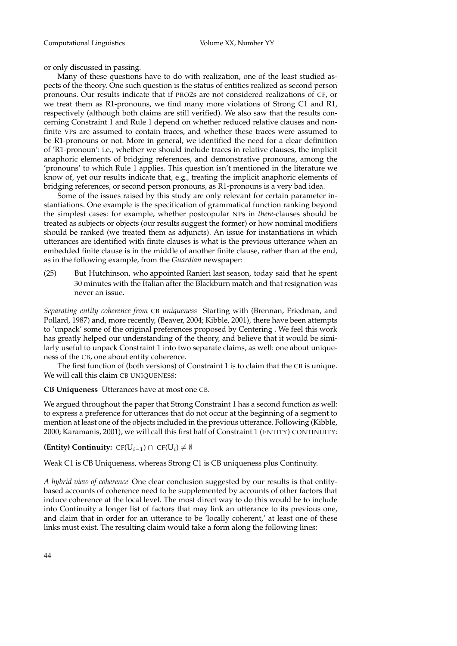or only discussed in passing.

Many of these questions have to do with realization, one of the least studied aspects of the theory. One such question is the status of entities realized as second person pronouns. Our results indicate that if PRO2s are not considered realizations of CF, or we treat them as R1-pronouns, we find many more violations of Strong C1 and R1, respectively (although both claims are still verified). We also saw that the results concerning Constraint 1 and Rule 1 depend on whether reduced relative clauses and nonfinite VPs are assumed to contain traces, and whether these traces were assumed to be R1-pronouns or not. More in general, we identified the need for a clear definition of 'R1-pronoun': i.e., whether we should include traces in relative clauses, the implicit anaphoric elements of bridging references, and demonstrative pronouns, among the 'pronouns' to which Rule 1 applies. This question isn't mentioned in the literature we know of, yet our results indicate that, e.g., treating the implicit anaphoric elements of bridging references, or second person pronouns, as R1-pronouns is a very bad idea.

Some of the issues raised by this study are only relevant for certain parameter instantiations. One example is the specification of grammatical function ranking beyond the simplest cases: for example, whether postcopular NPs in *there*-clauses should be treated as subjects or objects (our results suggest the former) or how nominal modifiers should be ranked (we treated them as adjuncts). An issue for instantiations in which utterances are identified with finite clauses is what is the previous utterance when an embedded finite clause is in the middle of another finite clause, rather than at the end, as in the following example, from the *Guardian* newspaper:

(25) But Hutchinson, who appointed Ranieri last season, today said that he spent 30 minutes with the Italian after the Blackburn match and that resignation was never an issue.

*Separating entity coherence from* CB *uniqueness* Starting with (Brennan, Friedman, and Pollard, 1987) and, more recently, (Beaver, 2004; Kibble, 2001), there have been attempts to 'unpack' some of the original preferences proposed by Centering . We feel this work has greatly helped our understanding of the theory, and believe that it would be similarly useful to unpack Constraint 1 into two separate claims, as well: one about uniqueness of the CB, one about entity coherence.

The first function of (both versions) of Constraint 1 is to claim that the CB is unique. We will call this claim CB UNIQUENESS:

**CB Uniqueness** Utterances have at most one CB.

We argued throughout the paper that Strong Constraint 1 has a second function as well: to express a preference for utterances that do not occur at the beginning of a segment to mention at least one of the objects included in the previous utterance. Following (Kibble, 2000; Karamanis, 2001), we will call this first half of Constraint 1 (ENTITY) CONTINUITY:

**(Entity) Continuity:** CF( $U_{i-1}$ )  $\cap$  CF( $U_i$ )  $\neq \emptyset$ 

Weak C1 is CB Uniqueness, whereas Strong C1 is CB uniqueness plus Continuity.

*A hybrid view of coherence* One clear conclusion suggested by our results is that entitybased accounts of coherence need to be supplemented by accounts of other factors that induce coherence at the local level. The most direct way to do this would be to include into Continuity a longer list of factors that may link an utterance to its previous one, and claim that in order for an utterance to be 'locally coherent,' at least one of these links must exist. The resulting claim would take a form along the following lines: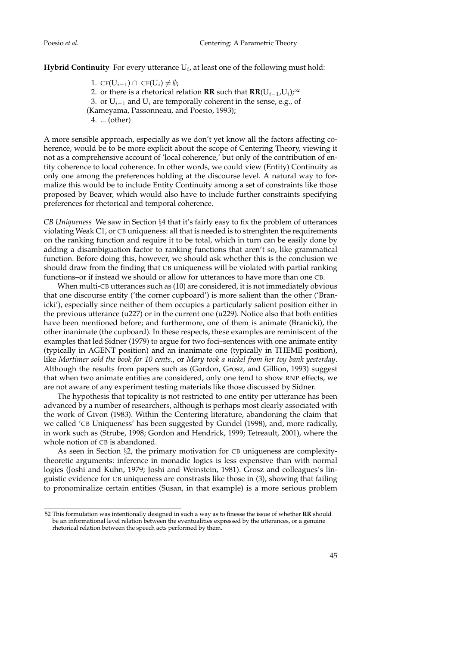**Hybrid Continuity** For every utterance  $U_i$ , at least one of the following must hold:

1. CF( $U_{i-1}$ ) ∩ CF( $U_i$ )  $\neq \emptyset$ ; 2. or there is a rhetorical relation **RR** such that **RR**( $U_{i-1}, U_i$ );<sup>52</sup> 3. or  $U_{i-1}$  and  $U_i$  are temporally coherent in the sense, e.g., of (Kameyama, Passonneau, and Poesio, 1993); 4. ... (other)

A more sensible approach, especially as we don't yet know all the factors affecting coherence, would be to be more explicit about the scope of Centering Theory, viewing it not as a comprehensive account of 'local coherence,' but only of the contribution of entity coherence to local coherence. In other words, we could view (Entity) Continuity as only one among the preferences holding at the discourse level. A natural way to formalize this would be to include Entity Continuity among a set of constraints like those proposed by Beaver, which would also have to include further constraints specifying preferences for rhetorical and temporal coherence.

*CB Uniqueness* We saw in Section §4 that it's fairly easy to fix the problem of utterances violating Weak C1, or CB uniqueness: all that is needed is to strenghten the requirements on the ranking function and require it to be total, which in turn can be easily done by adding a disambiguation factor to ranking functions that aren't so, like grammatical function. Before doing this, however, we should ask whether this is the conclusion we should draw from the finding that CB uniqueness will be violated with partial ranking functions–or if instead we should or allow for utterances to have more than one CB.

When multi-CB utterances such as (10) are considered, it is not immediately obvious that one discourse entity ('the corner cupboard') is more salient than the other ('Branicki'), especially since neither of them occupies a particularly salient position either in the previous utterance (u227) or in the current one (u229). Notice also that both entities have been mentioned before; and furthermore, one of them is animate (Branicki), the other inanimate (the cupboard). In these respects, these examples are reminiscent of the examples that led Sidner (1979) to argue for two foci–sentences with one animate entity (typically in AGENT position) and an inanimate one (typically in THEME position), like *Mortimer sold the book for 10 cents.*, or *Mary took a nickel from her toy bank yesterday*. Although the results from papers such as (Gordon, Grosz, and Gillion, 1993) suggest that when two animate entities are considered, only one tend to show RNP effects, we are not aware of any experiment testing materials like those discussed by Sidner.

The hypothesis that topicality is not restricted to one entity per utterance has been advanced by a number of researchers, although is perhaps most clearly associated with the work of Givon (1983). Within the Centering literature, abandoning the claim that we called 'CB Uniqueness' has been suggested by Gundel (1998), and, more radically, in work such as (Strube, 1998; Gordon and Hendrick, 1999; Tetreault, 2001), where the whole notion of CB is abandoned.

As seen in Section §2, the primary motivation for CB uniqueness are complexitytheoretic arguments: inference in monadic logics is less expensive than with normal logics (Joshi and Kuhn, 1979; Joshi and Weinstein, 1981). Grosz and colleagues's linguistic evidence for CB uniqueness are constrasts like those in (3), showing that failing to pronominalize certain entities (Susan, in that example) is a more serious problem

<sup>52</sup> This formulation was intentionally designed in such a way as to finesse the issue of whether **RR** should be an informational level relation between the eventualities expressed by the utterances, or a genuine rhetorical relation between the speech acts performed by them.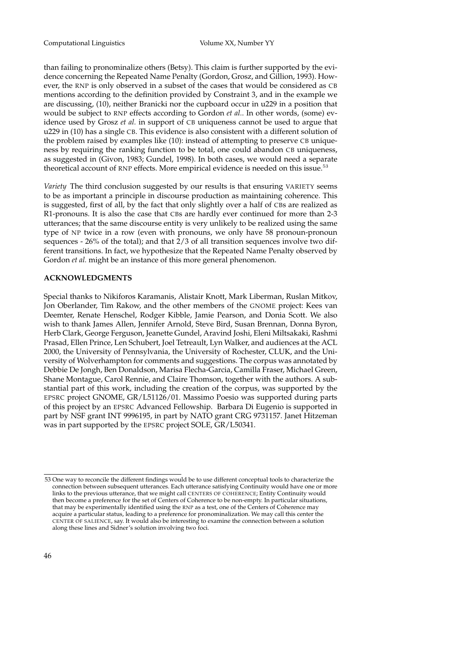than failing to pronominalize others (Betsy). This claim is further supported by the evidence concerning the Repeated Name Penalty (Gordon, Grosz, and Gillion, 1993). However, the RNP is only observed in a subset of the cases that would be considered as CB mentions according to the definition provided by Constraint 3, and in the example we are discussing, (10), neither Branicki nor the cupboard occur in u229 in a position that would be subject to RNP effects according to Gordon *et al.*. In other words, (some) evidence used by Grosz *et al.* in support of CB uniqueness cannot be used to argue that u229 in (10) has a single CB. This evidence is also consistent with a different solution of the problem raised by examples like (10): instead of attempting to preserve CB uniqueness by requiring the ranking function to be total, one could abandon CB uniqueness, as suggested in (Givon, 1983; Gundel, 1998). In both cases, we would need a separate theoretical account of RNP effects. More empirical evidence is needed on this issue.<sup>53</sup>

*Variety* The third conclusion suggested by our results is that ensuring VARIETY seems to be as important a principle in discourse production as maintaining coherence. This is suggested, first of all, by the fact that only slightly over a half of CBs are realized as R1-pronouns. It is also the case that CBs are hardly ever continued for more than 2-3 utterances; that the same discourse entity is very unlikely to be realized using the same type of NP twice in a row (even with pronouns, we only have 58 pronoun-pronoun sequences - 26% of the total); and that 2/3 of all transition sequences involve two different transitions. In fact, we hypothesize that the Repeated Name Penalty observed by Gordon *et al.* might be an instance of this more general phenomenon.

# **ACKNOWLEDGMENTS**

Special thanks to Nikiforos Karamanis, Alistair Knott, Mark Liberman, Ruslan Mitkov, Jon Oberlander, Tim Rakow, and the other members of the GNOME project: Kees van Deemter, Renate Henschel, Rodger Kibble, Jamie Pearson, and Donia Scott. We also wish to thank James Allen, Jennifer Arnold, Steve Bird, Susan Brennan, Donna Byron, Herb Clark, George Ferguson, Jeanette Gundel, Aravind Joshi, Eleni Miltsakaki, Rashmi Prasad, Ellen Prince, Len Schubert, Joel Tetreault, Lyn Walker, and audiences at the ACL 2000, the University of Pennsylvania, the University of Rochester, CLUK, and the University of Wolverhampton for comments and suggestions. The corpus was annotated by Debbie De Jongh, Ben Donaldson, Marisa Flecha-Garcia, Camilla Fraser, Michael Green, Shane Montague, Carol Rennie, and Claire Thomson, together with the authors. A substantial part of this work, including the creation of the corpus, was supported by the EPSRC project GNOME, GR/L51126/01. Massimo Poesio was supported during parts of this project by an EPSRC Advanced Fellowship. Barbara Di Eugenio is supported in part by NSF grant INT 9996195, in part by NATO grant CRG 9731157. Janet Hitzeman was in part supported by the EPSRC project SOLE, GR/L50341.

<sup>53</sup> One way to reconcile the different findings would be to use different conceptual tools to characterize the connection between subsequent utterances. Each utterance satisfying Continuity would have one or more links to the previous utterance, that we might call CENTERS OF COHERENCE; Entity Continuity would then become a preference for the set of Centers of Coherence to be non-empty. In particular situations, that may be experimentally identified using the RNP as a test, one of the Centers of Coherence may acquire a particular status, leading to a preference for pronominalization. We may call this center the CENTER OF SALIENCE, say. It would also be interesting to examine the connection between a solution along these lines and Sidner's solution involving two foci.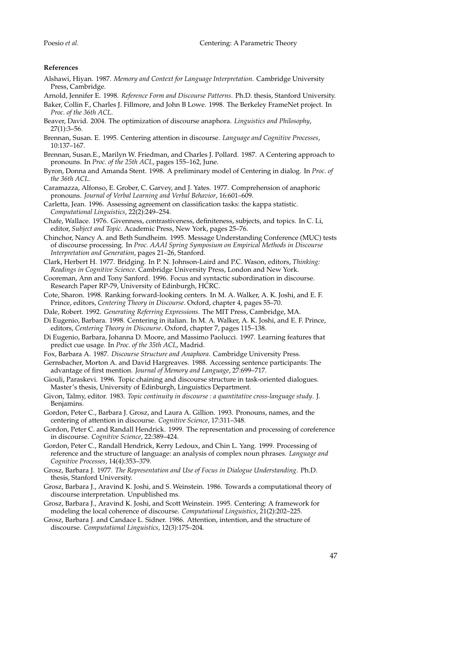### **References**

- Alshawi, Hiyan. 1987. *Memory and Context for Language Interpretation*. Cambridge University Press, Cambridge.
- Arnold, Jennifer E. 1998. *Reference Form and Discourse Patterns*. Ph.D. thesis, Stanford University.
- Baker, Collin F., Charles J. Fillmore, and John B Lowe. 1998. The Berkeley FrameNet project. In *Proc. of the 36th ACL*.
- Beaver, David. 2004. The optimization of discourse anaphora. *Linguistics and Philosophy*, 27(1):3–56.
- Brennan, Susan. E. 1995. Centering attention in discourse. *Language and Cognitive Processes*, 10:137–167.
- Brennan, Susan.E., Marilyn W. Friedman, and Charles J. Pollard. 1987. A Centering approach to pronouns. In *Proc. of the 25th ACL*, pages 155–162, June.
- Byron, Donna and Amanda Stent. 1998. A preliminary model of Centering in dialog. In *Proc. of the 36th ACL*.
- Caramazza, Alfonso, E. Grober, C. Garvey, and J. Yates. 1977. Comprehension of anaphoric pronouns. *Journal of Verbal Learning and Verbal Behavior*, 16:601–609.
- Carletta, Jean. 1996. Assessing agreement on classification tasks: the kappa statistic. *Computational Linguistics*, 22(2):249–254.
- Chafe, Wallace. 1976. Givenness, contrastiveness, definiteness, subjects, and topics. In C. Li, editor, *Subject and Topic*. Academic Press, New York, pages 25–76.
- Chinchor, Nancy A. and Beth Sundheim. 1995. Message Understanding Conference (MUC) tests of discourse processing. In *Proc. AAAI Spring Symposium on Empirical Methods in Discourse Interpretation and Generation*, pages 21–26, Stanford.
- Clark, Herbert H. 1977. Bridging. In P. N. Johnson-Laird and P.C. Wason, editors, *Thinking: Readings in Cognitive Science*. Cambridge University Press, London and New York.
- Cooreman, Ann and Tony Sanford. 1996. Focus and syntactic subordination in discourse. Research Paper RP-79, University of Edinburgh, HCRC.
- Cote, Sharon. 1998. Ranking forward-looking centers. In M. A. Walker, A. K. Joshi, and E. F. Prince, editors, *Centering Theory in Discourse*. Oxford, chapter 4, pages 55–70.
- Dale, Robert. 1992. *Generating Referring Expressions*. The MIT Press, Cambridge, MA.
- Di Eugenio, Barbara. 1998. Centering in italian. In M. A. Walker, A. K. Joshi, and E. F. Prince, editors, *Centering Theory in Discourse*. Oxford, chapter 7, pages 115–138.
- Di Eugenio, Barbara, Johanna D. Moore, and Massimo Paolucci. 1997. Learning features that predict cue usage. In *Proc. of the 35th ACL*, Madrid.
- Fox, Barbara A. 1987. *Discourse Structure and Anaphora*. Cambridge University Press.
- Gernsbacher, Morton A. and David Hargreaves. 1988. Accessing sentence participants: The advantage of first mention. *Journal of Memory and Language*, 27:699–717.
- Giouli, Paraskevi. 1996. Topic chaining and discourse structure in task-oriented dialogues. Master's thesis, University of Edinburgh, Linguistics Department.
- Givon, Talmy, editor. 1983. *Topic continuity in discourse : a quantitative cross-language study*. J. Benjamins.
- Gordon, Peter C., Barbara J. Grosz, and Laura A. Gillion. 1993. Pronouns, names, and the centering of attention in discourse. *Cognitive Science*, 17:311–348.
- Gordon, Peter C. and Randall Hendrick. 1999. The representation and processing of coreference in discourse. *Cognitive Science*, 22:389–424.
- Gordon, Peter C., Randall Hendrick, Kerry Ledoux, and Chin L. Yang. 1999. Processing of reference and the structure of language: an analysis of complex noun phrases. *Language and Cognitive Processes*, 14(4):353–379.
- Grosz, Barbara J. 1977. *The Representation and Use of Focus in Dialogue Understanding*. Ph.D. thesis, Stanford University.
- Grosz, Barbara J., Aravind K. Joshi, and S. Weinstein. 1986. Towards a computational theory of discourse interpretation. Unpublished ms.
- Grosz, Barbara J., Aravind K. Joshi, and Scott Weinstein. 1995. Centering: A framework for modeling the local coherence of discourse. *Computational Linguistics*, 21(2):202–225.
- Grosz, Barbara J. and Candace L. Sidner. 1986. Attention, intention, and the structure of discourse. *Computational Linguistics*, 12(3):175–204.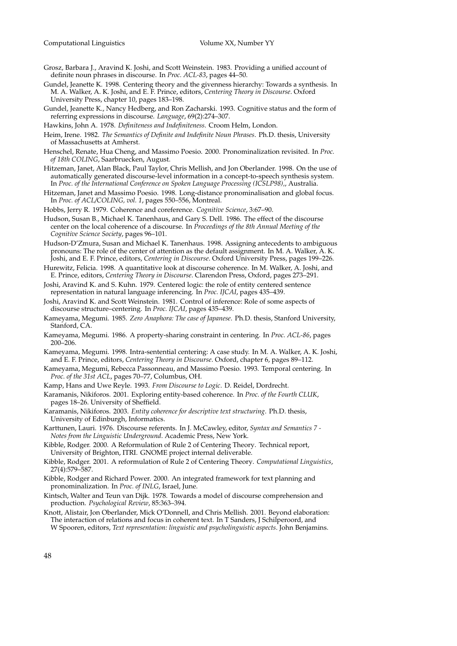- Grosz, Barbara J., Aravind K. Joshi, and Scott Weinstein. 1983. Providing a unified account of definite noun phrases in discourse. In *Proc. ACL-83*, pages 44–50.
- Gundel, Jeanette K. 1998. Centering theory and the givenness hierarchy: Towards a synthesis. In M. A. Walker, A. K. Joshi, and E. F. Prince, editors, *Centering Theory in Discourse*. Oxford University Press, chapter 10, pages 183–198.
- Gundel, Jeanette K., Nancy Hedberg, and Ron Zacharski. 1993. Cognitive status and the form of referring expressions in discourse. *Language*, 69(2):274–307.
- Hawkins, John A. 1978. *Definiteness and Indefiniteness*. Croom Helm, London.
- Heim, Irene. 1982. *The Semantics of Definite and Indefinite Noun Phrases*. Ph.D. thesis, University of Massachusetts at Amherst.
- Henschel, Renate, Hua Cheng, and Massimo Poesio. 2000. Pronominalization revisited. In *Proc. of 18th COLING*, Saarbruecken, August.
- Hitzeman, Janet, Alan Black, Paul Taylor, Chris Mellish, and Jon Oberlander. 1998. On the use of automatically generated discourse-level information in a concept-to-speech synthesis system. In *Proc. of the International Conference on Spoken Language Processing (ICSLP98),*, Australia.
- Hitzeman, Janet and Massimo Poesio. 1998. Long-distance pronominalisation and global focus. In *Proc. of ACL/COLING, vol. 1*, pages 550–556, Montreal.
- Hobbs, Jerry R. 1979. Coherence and coreference. *Cognitive Science*, 3:67–90.
- Hudson, Susan B., Michael K. Tanenhaus, and Gary S. Dell. 1986. The effect of the discourse center on the local coherence of a discourse. In *Proceedings of the 8th Annual Meeting of the Cognitive Science Society*, pages 96–101.
- Hudson-D'Zmura, Susan and Michael K. Tanenhaus. 1998. Assigning antecedents to ambiguous pronouns: The role of the center of attention as the default assignment. In M. A. Walker, A. K. Joshi, and E. F. Prince, editors, *Centering in Discourse*. Oxford University Press, pages 199–226.
- Hurewitz, Felicia. 1998. A quantitative look at discourse coherence. In M. Walker, A. Joshi, and E. Prince, editors, *Centering Theory in Discourse*. Clarendon Press, Oxford, pages 273–291.
- Joshi, Aravind K. and S. Kuhn. 1979. Centered logic: the role of entity centered sentence representation in natural language inferencing. In *Proc. IJCAI*, pages 435–439.
- Joshi, Aravind K. and Scott Weinstein. 1981. Control of inference: Role of some aspects of discourse structure–centering. In *Proc. IJCAI*, pages 435–439.
- Kameyama, Megumi. 1985. *Zero Anaphora: The case of Japanese*. Ph.D. thesis, Stanford University, Stanford, CA.
- Kameyama, Megumi. 1986. A property-sharing constraint in centering. In *Proc. ACL-86*, pages 200–206.
- Kameyama, Megumi. 1998. Intra-sentential centering: A case study. In M. A. Walker, A. K. Joshi, and E. F. Prince, editors, *Centering Theory in Discourse*. Oxford, chapter 6, pages 89–112.
- Kameyama, Megumi, Rebecca Passonneau, and Massimo Poesio. 1993. Temporal centering. In *Proc. of the 31st ACL*, pages 70–77, Columbus, OH.
- Kamp, Hans and Uwe Reyle. 1993. *From Discourse to Logic*. D. Reidel, Dordrecht.
- Karamanis, Nikiforos. 2001. Exploring entity-based coherence. In *Proc. of the Fourth CLUK*, pages 18–26. University of Sheffield.
- Karamanis, Nikiforos. 2003. *Entity coherence for descriptive text structuring*. Ph.D. thesis, University of Edinburgh, Informatics.
- Karttunen, Lauri. 1976. Discourse referents. In J. McCawley, editor, *Syntax and Semantics 7 - Notes from the Linguistic Underground*. Academic Press, New York.
- Kibble, Rodger. 2000. A Reformulation of Rule 2 of Centering Theory. Technical report, University of Brighton, ITRI. GNOME project internal deliverable.
- Kibble, Rodger. 2001. A reformulation of Rule 2 of Centering Theory. *Computational Linguistics*, 27(4):579–587.
- Kibble, Rodger and Richard Power. 2000. An integrated framework for text planning and pronominalization. In *Proc. of INLG*, Israel, June.
- Kintsch, Walter and Teun van Dijk. 1978. Towards a model of discourse comprehension and production. *Psychological Review*, 85:363–394.
- Knott, Alistair, Jon Oberlander, Mick O'Donnell, and Chris Mellish. 2001. Beyond elaboration: The interaction of relations and focus in coherent text. In T Sanders, J Schilperoord, and W Spooren, editors, *Text representation: linguistic and psycholinguistic aspects*. John Benjamins.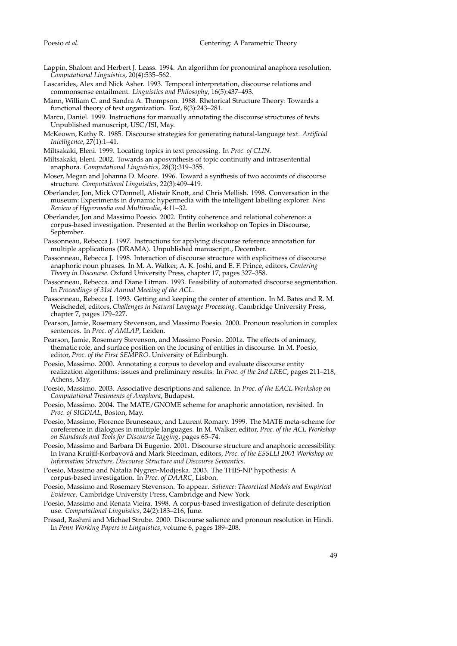- Lappin, Shalom and Herbert J. Leass. 1994. An algorithm for pronominal anaphora resolution. *Computational Linguistics*, 20(4):535–562.
- Lascarides, Alex and Nick Asher. 1993. Temporal interpretation, discourse relations and commonsense entailment. *Linguistics and Philosophy*, 16(5):437–493.
- Mann, William C. and Sandra A. Thompson. 1988. Rhetorical Structure Theory: Towards a functional theory of text organization. *Text*, 8(3):243–281.
- Marcu, Daniel. 1999. Instructions for manually annotating the discourse structures of texts. Unpublished manuscript, USC/ISI, May.
- McKeown, Kathy R. 1985. Discourse strategies for generating natural-language text. *Artificial Intelligence*, 27(1):1–41.
- Miltsakaki, Eleni. 1999. Locating topics in text processing. In *Proc. of CLIN*.
- Miltsakaki, Eleni. 2002. Towards an aposynthesis of topic continuity and intrasentential anaphora. *Computational Linguistics*, 28(3):319–355.
- Moser, Megan and Johanna D. Moore. 1996. Toward a synthesis of two accounts of discourse structure. *Computational Linguistics*, 22(3):409–419.
- Oberlander, Jon, Mick O'Donnell, Alistair Knott, and Chris Mellish. 1998. Conversation in the museum: Experiments in dynamic hypermedia with the intelligent labelling explorer. *New Review of Hypermedia and Multimedia*, 4:11–32.
- Oberlander, Jon and Massimo Poesio. 2002. Entity coherence and relational coherence: a corpus-based investigation. Presented at the Berlin workshop on Topics in Discourse, September.
- Passonneau, Rebecca J. 1997. Instructions for applying discourse reference annotation for multiple applications (DRAMA). Unpublished manuscript., December.
- Passonneau, Rebecca J. 1998. Interaction of discourse structure with explicitness of discourse anaphoric noun phrases. In M. A. Walker, A. K. Joshi, and E. F. Prince, editors, *Centering Theory in Discourse*. Oxford University Press, chapter 17, pages 327–358.
- Passonneau, Rebecca. and Diane Litman. 1993. Feasibility of automated discourse segmentation. In *Proceedings of 31st Annual Meeting of the ACL*.
- Passonneau, Rebecca J. 1993. Getting and keeping the center of attention. In M. Bates and R. M. Weischedel, editors, *Challenges in Natural Language Processing*. Cambridge University Press, chapter 7, pages 179–227.
- Pearson, Jamie, Rosemary Stevenson, and Massimo Poesio. 2000. Pronoun resolution in complex sentences. In *Proc. of AMLAP*, Leiden.
- Pearson, Jamie, Rosemary Stevenson, and Massimo Poesio. 2001a. The effects of animacy, thematic role, and surface position on the focusing of entities in discourse. In M. Poesio, editor, *Proc. of the First SEMPRO*. University of Edinburgh.
- Poesio, Massimo. 2000. Annotating a corpus to develop and evaluate discourse entity realization algorithms: issues and preliminary results. In *Proc. of the 2nd LREC*, pages 211–218, Athens, May.
- Poesio, Massimo. 2003. Associative descriptions and salience. In *Proc. of the EACL Workshop on Computational Treatments of Anaphora*, Budapest.
- Poesio, Massimo. 2004. The MATE/GNOME scheme for anaphoric annotation, revisited. In *Proc. of SIGDIAL*, Boston, May.
- Poesio, Massimo, Florence Bruneseaux, and Laurent Romary. 1999. The MATE meta-scheme for coreference in dialogues in multiple languages. In M. Walker, editor, *Proc. of the ACL Workshop on Standards and Tools for Discourse Tagging*, pages 65–74.
- Poesio, Massimo and Barbara Di Eugenio. 2001. Discourse structure and anaphoric accessibility. In Ivana Kruijff-Korbayova and Mark Steedman, editors, ´ *Proc. of the ESSLLI 2001 Workshop on Information Structure, Discourse Structure and Discourse Semantics*.
- Poesio, Massimo and Natalia Nygren-Modjeska. 2003. The THIS-NP hypothesis: A corpus-based investigation. In *Proc. of DAARC*, Lisbon.
- Poesio, Massimo and Rosemary Stevenson. To appear. *Salience: Theoretical Models and Empirical Evidence*. Cambridge University Press, Cambridge and New York.
- Poesio, Massimo and Renata Vieira. 1998. A corpus-based investigation of definite description use. *Computational Linguistics*, 24(2):183–216, June.
- Prasad, Rashmi and Michael Strube. 2000. Discourse salience and pronoun resolution in Hindi. In *Penn Working Papers in Linguistics*, volume 6, pages 189–208.